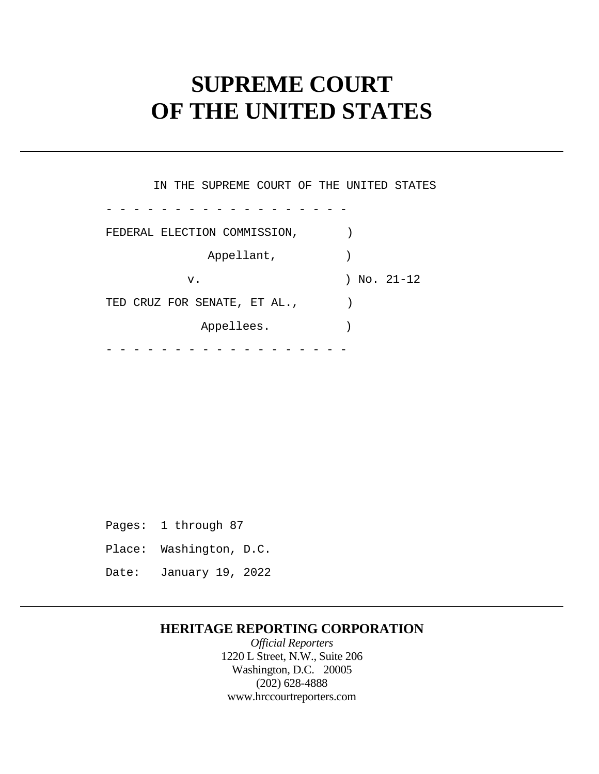# **SUPREME COURT OF THE UNITED STATES**

 - - - - - - - - - - - - - - - - - - - - - - - - - - - - - - - - - - - - IN THE SUPREME COURT OF THE UNITED STATES FEDERAL ELECTION COMMISSION,  $)$ Appellant, v. ) No. 21-12 TED CRUZ FOR SENATE, ET AL.,  $\qquad$ ) Appellees.

 Pages: 1 through 87 Place: Washington, D.C. Date: January 19, 2022

### **HERITAGE REPORTING CORPORATION**

*Official Reporters*  1220 L Street, N.W., Suite 206 Washington, D.C. 20005 (202) 628-4888 <www.hrccourtreporters.com>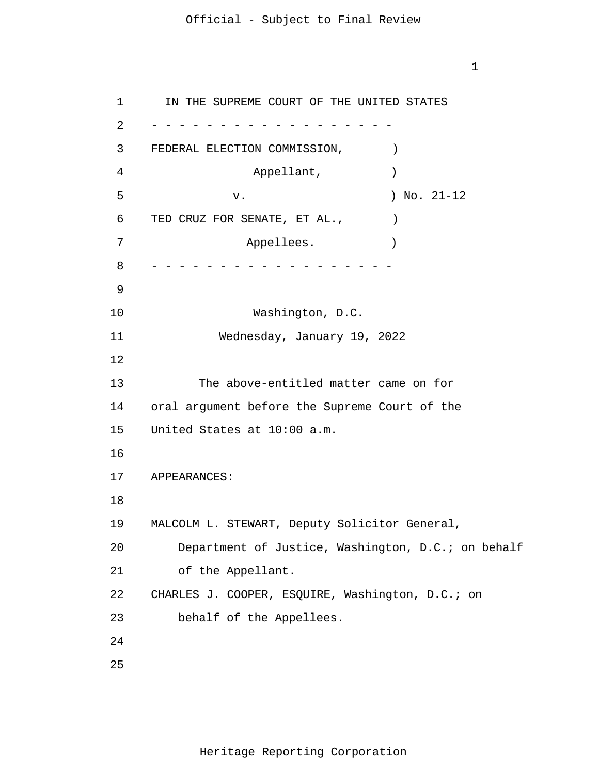1

1 2 3 4 5 6 7 8 9 10 11 12 13 14 15 16 17 18 19 20 21 22 23 24 25 - - - - - - - - - - - - - - - - - - - - - - - - - - - - - - - - - - - - IN THE SUPREME COURT OF THE UNITED STATES FEDERAL ELECTION COMMISSION,  $)$ Appellant,  $)$  v. ) No. 21-12 TED CRUZ FOR SENATE, ET AL.,  $\qquad \qquad$  ) Appellees. Washington, D.C. Wednesday, January 19, 2022 The above-entitled matter came on for oral argument before the Supreme Court of the United States at 10:00 a.m. APPEARANCES: MALCOLM L. STEWART, Deputy Solicitor General, Department of Justice, Washington, D.C.; on behalf of the Appellant. CHARLES J. COOPER, ESQUIRE, Washington, D.C.; on behalf of the Appellees.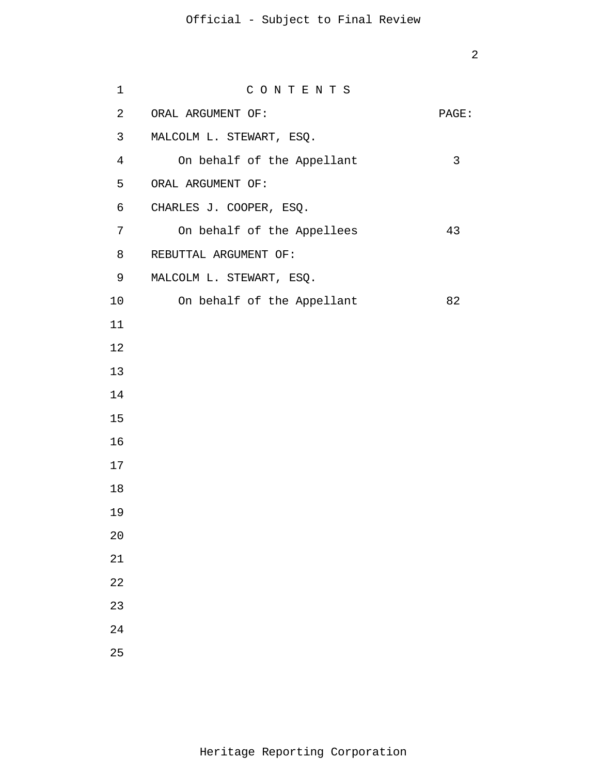| $\mathbf 1$    | CONTENTS                   |       |
|----------------|----------------------------|-------|
| $\overline{a}$ | ORAL ARGUMENT OF:          | PAGE: |
| 3              | MALCOLM L. STEWART, ESQ.   |       |
| $\overline{4}$ | On behalf of the Appellant | 3     |
| 5              | ORAL ARGUMENT OF:          |       |
| 6              | CHARLES J. COOPER, ESQ.    |       |
| 7 <sup>7</sup> | On behalf of the Appellees | 43    |
| 8              | REBUTTAL ARGUMENT OF:      |       |
| 9              | MALCOLM L. STEWART, ESQ.   |       |
| 10             | On behalf of the Appellant | 82    |
| 11             |                            |       |
| 12             |                            |       |
| 13             |                            |       |
| 14             |                            |       |
| 15             |                            |       |
| 16             |                            |       |
| 17             |                            |       |
| 18             |                            |       |
| 19             |                            |       |
| 20             |                            |       |
| 21             |                            |       |
| 22             |                            |       |
| 23             |                            |       |
| 24             |                            |       |
| 25             |                            |       |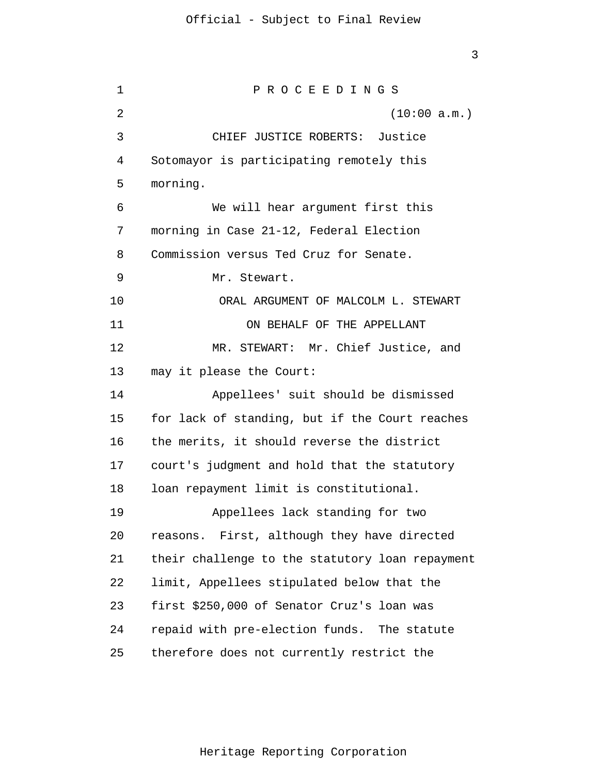1 2 3 4 5 6 7 8 9 10 11 12 13 14 15 16 17 18 19 20 21 22 23 24 25 P R O C E E D I N G S (10:00 a.m.) CHIEF JUSTICE ROBERTS: Justice Sotomayor is participating remotely this morning. We will hear argument first this morning in Case 21-12, Federal Election Commission versus Ted Cruz for Senate. Mr. Stewart. ORAL ARGUMENT OF MALCOLM L. STEWART ON BEHALF OF THE APPELLANT MR. STEWART: Mr. Chief Justice, and may it please the Court: Appellees' suit should be dismissed for lack of standing, but if the Court reaches the merits, it should reverse the district court's judgment and hold that the statutory loan repayment limit is constitutional. Appellees lack standing for two reasons. First, although they have directed their challenge to the statutory loan repayment limit, Appellees stipulated below that the first \$250,000 of Senator Cruz's loan was repaid with pre-election funds. The statute therefore does not currently restrict the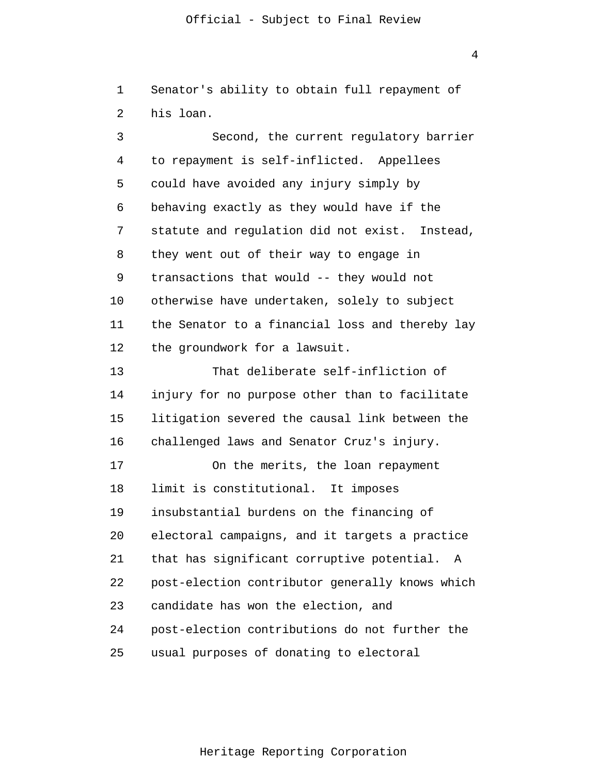1  $\overline{2}$  Senator's ability to obtain full repayment of his loan.

3 4 5 6 7 8 9 10 11 12 13 14 15 16 17 18 19 20 21 22 23 24 25 Second, the current regulatory barrier to repayment is self-inflicted. Appellees could have avoided any injury simply by behaving exactly as they would have if the statute and regulation did not exist. Instead, they went out of their way to engage in transactions that would -- they would not otherwise have undertaken, solely to subject the Senator to a financial loss and thereby lay the groundwork for a lawsuit. That deliberate self-infliction of injury for no purpose other than to facilitate litigation severed the causal link between the challenged laws and Senator Cruz's injury. On the merits, the loan repayment limit is constitutional. It imposes insubstantial burdens on the financing of electoral campaigns, and it targets a practice that has significant corruptive potential. A post-election contributor generally knows which candidate has won the election, and post-election contributions do not further the usual purposes of donating to electoral

Heritage Reporting Corporation

4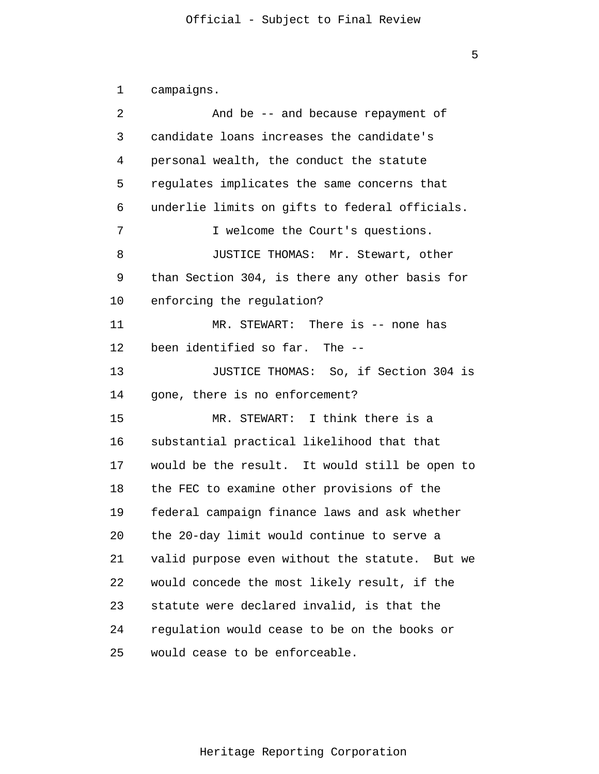```
1 
 2 
 3 
 4 
 5 
 6 
 7 
 8 
 9 
10 
11 
12 
13 
14 
15 
16 
17 
18 
19 
20 
21 
22 
23 
24 
25 
       campaigns.
                And be -- and because repayment of
       candidate loans increases the candidate's 
      personal wealth, the conduct the statute
       regulates implicates the same concerns that 
      underlie limits on gifts to federal officials.
                I welcome the Court's questions.
                JUSTICE THOMAS: Mr. Stewart, other 
      than Section 304, is there any other basis for 
      enforcing the regulation? 
               MR. STEWART: There is -- none has
      been identified so far. The --
               JUSTICE THOMAS: So, if Section 304 is 
      gone, there is no enforcement? 
               MR. STEWART: I think there is a 
      substantial practical likelihood that that 
      would be the result. It would still be open to 
      the FEC to examine other provisions of the 
      federal campaign finance laws and ask whether 
      the 20-day limit would continue to serve a 
      valid purpose even without the statute. But we 
      would concede the most likely result, if the 
      statute were declared invalid, is that the 
      regulation would cease to be on the books or 
      would cease to be enforceable.
```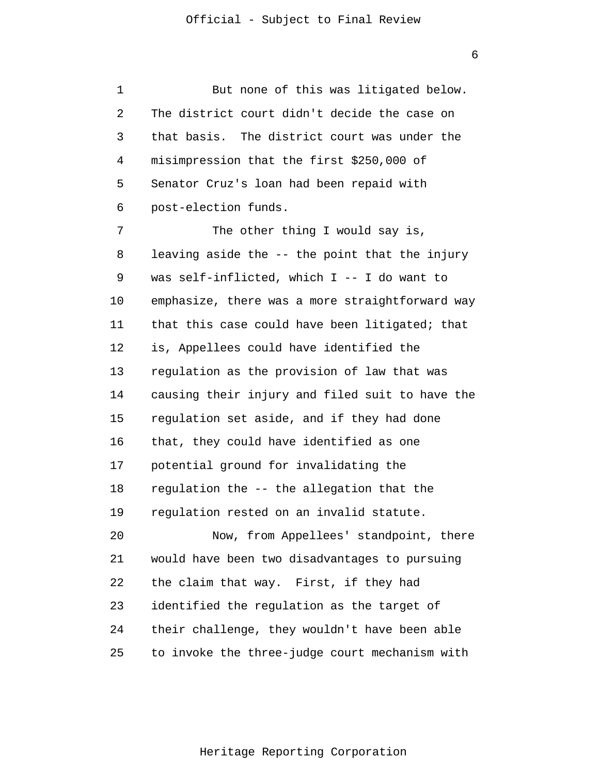1 2 3 4 5 6 7 8 9 10 11 12 13 14 15 But none of this was litigated below. The district court didn't decide the case on that basis. The district court was under the misimpression that the first \$250,000 of Senator Cruz's loan had been repaid with post-election funds. The other thing I would say is, leaving aside the -- the point that the injury was self-inflicted, which I -- I do want to emphasize, there was a more straightforward way that this case could have been litigated; that is, Appellees could have identified the regulation as the provision of law that was causing their injury and filed suit to have the regulation set aside, and if they had done

16 17 that, they could have identified as one potential ground for invalidating the

18 regulation the -- the allegation that the

19 regulation rested on an invalid statute.

20 21 22 23 24 25 Now, from Appellees' standpoint, there would have been two disadvantages to pursuing the claim that way. First, if they had identified the regulation as the target of their challenge, they wouldn't have been able to invoke the three-judge court mechanism with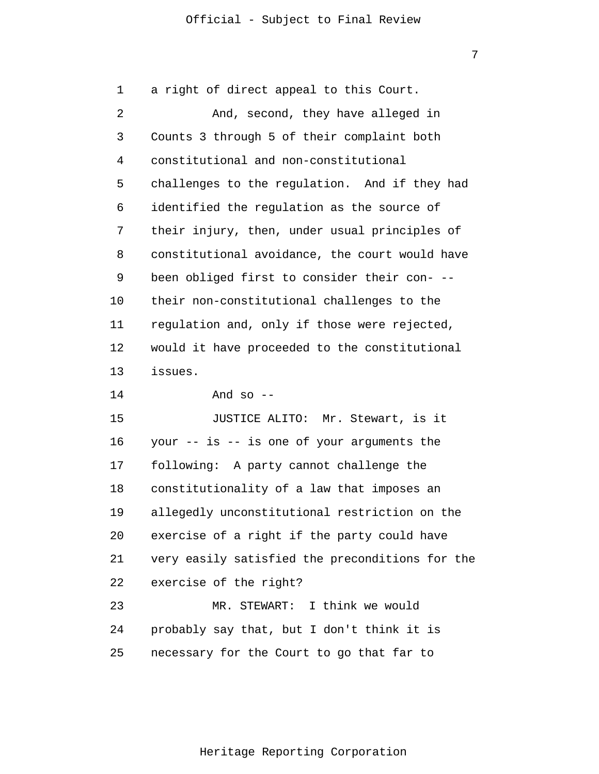1 2 3 4 5 6 7 8 9 10 11 12 13 14 15 16 17 18 19 20 21 22 23 24 25 a right of direct appeal to this Court. And, second, they have alleged in Counts 3 through 5 of their complaint both constitutional and non-constitutional challenges to the regulation. And if they had identified the regulation as the source of their injury, then, under usual principles of constitutional avoidance, the court would have been obliged first to consider their con- - their non-constitutional challenges to the regulation and, only if those were rejected, would it have proceeded to the constitutional issues. And so  $-$ JUSTICE ALITO: Mr. Stewart, is it your -- is -- is one of your arguments the following: A party cannot challenge the constitutionality of a law that imposes an allegedly unconstitutional restriction on the exercise of a right if the party could have very easily satisfied the preconditions for the exercise of the right? MR. STEWART: I think we would probably say that, but I don't think it is necessary for the Court to go that far to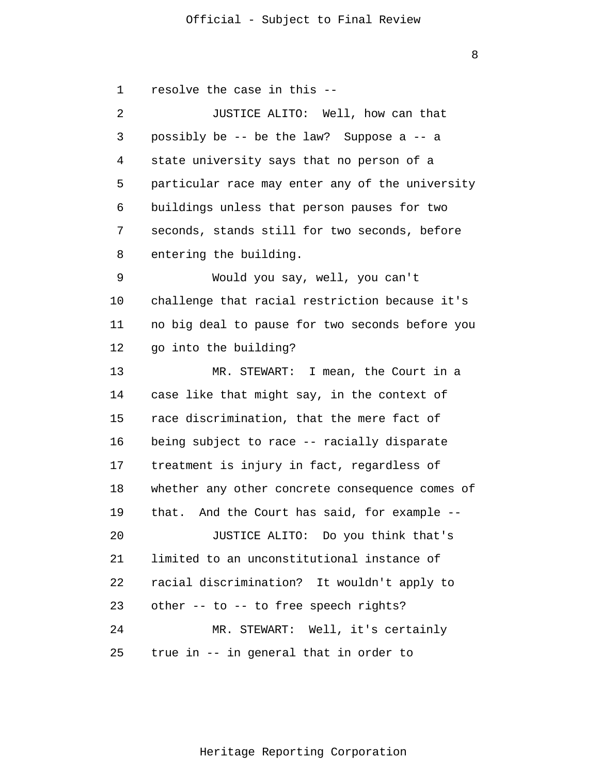8

1 2 3 4 5 6 7 8 9 10 11 12 13 14 15 16 17 18 19 20 21 22 23 24 25 resolve the case in this -- JUSTICE ALITO: Well, how can that possibly be -- be the law? Suppose a -- a state university says that no person of a particular race may enter any of the university buildings unless that person pauses for two seconds, stands still for two seconds, before entering the building. Would you say, well, you can't challenge that racial restriction because it's no big deal to pause for two seconds before you go into the building? MR. STEWART: I mean, the Court in a case like that might say, in the context of race discrimination, that the mere fact of being subject to race -- racially disparate treatment is injury in fact, regardless of whether any other concrete consequence comes of that. And the Court has said, for example -- JUSTICE ALITO: Do you think that's limited to an unconstitutional instance of racial discrimination? It wouldn't apply to other -- to -- to free speech rights? MR. STEWART: Well, it's certainly true in -- in general that in order to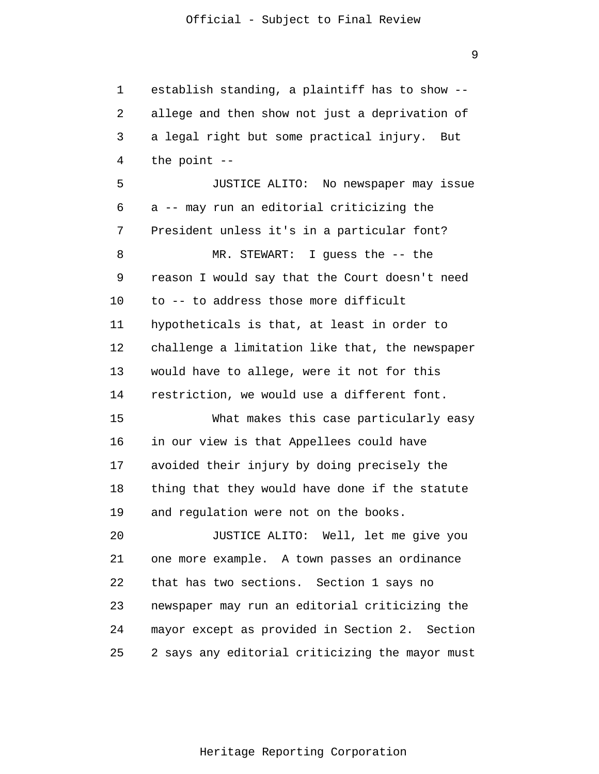1 2 3 4 5 6 7 8 9 10 11 12 13 14 15 16 17 18 19 20 21 22 23 24 25 establish standing, a plaintiff has to show - allege and then show not just a deprivation of a legal right but some practical injury. But the point -- JUSTICE ALITO: No newspaper may issue a -- may run an editorial criticizing the President unless it's in a particular font? MR. STEWART: I guess the -- the reason I would say that the Court doesn't need to -- to address those more difficult hypotheticals is that, at least in order to challenge a limitation like that, the newspaper would have to allege, were it not for this restriction, we would use a different font. What makes this case particularly easy in our view is that Appellees could have avoided their injury by doing precisely the thing that they would have done if the statute and regulation were not on the books. JUSTICE ALITO: Well, let me give you one more example. A town passes an ordinance that has two sections. Section 1 says no newspaper may run an editorial criticizing the mayor except as provided in Section 2. Section 2 says any editorial criticizing the mayor must

9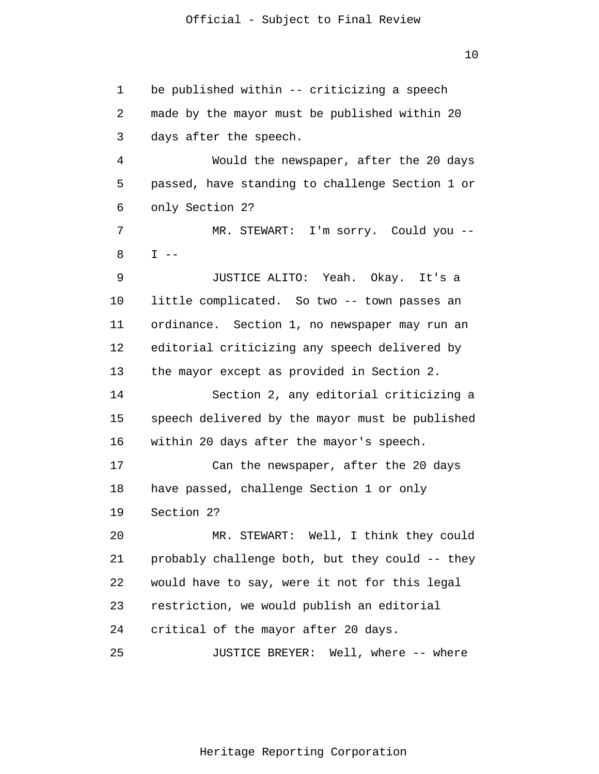1 2 3 4 5 6 7 8 9 10 11 12 13 14 15 16 17 18 19 20 21 22 23 24 25 be published within -- criticizing a speech made by the mayor must be published within 20 days after the speech. Would the newspaper, after the 20 days passed, have standing to challenge Section 1 or only Section 2? MR. STEWART: I'm sorry. Could you --  $I$  --JUSTICE ALITO: Yeah. Okay. It's a little complicated. So two -- town passes an ordinance. Section 1, no newspaper may run an editorial criticizing any speech delivered by the mayor except as provided in Section 2. Section 2, any editorial criticizing a speech delivered by the mayor must be published within 20 days after the mayor's speech. Can the newspaper, after the 20 days have passed, challenge Section 1 or only Section 2? MR. STEWART: Well, I think they could probably challenge both, but they could -- they would have to say, were it not for this legal restriction, we would publish an editorial critical of the mayor after 20 days. JUSTICE BREYER: Well, where -- where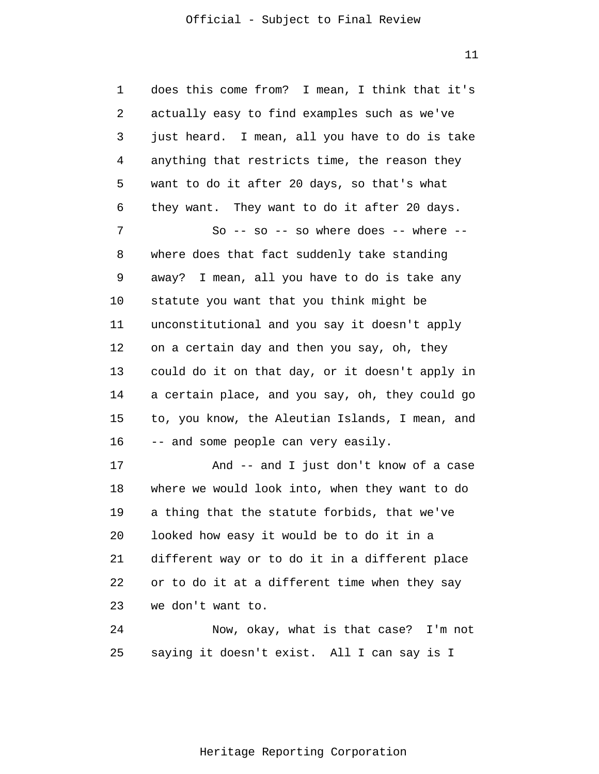11

1 2 3 4 5 6 7 8 9 10 11 12 13 14 15 16 17 18 19 20 21 22 23 24 25 does this come from? I mean, I think that it's actually easy to find examples such as we've just heard. I mean, all you have to do is take anything that restricts time, the reason they want to do it after 20 days, so that's what they want. They want to do it after 20 days. So -- so -- so where does -- where -where does that fact suddenly take standing away? I mean, all you have to do is take any statute you want that you think might be unconstitutional and you say it doesn't apply on a certain day and then you say, oh, they could do it on that day, or it doesn't apply in a certain place, and you say, oh, they could go to, you know, the Aleutian Islands, I mean, and -- and some people can very easily. And -- and I just don't know of a case where we would look into, when they want to do a thing that the statute forbids, that we've looked how easy it would be to do it in a different way or to do it in a different place or to do it at a different time when they say we don't want to. Now, okay, what is that case? I'm not saying it doesn't exist. All I can say is I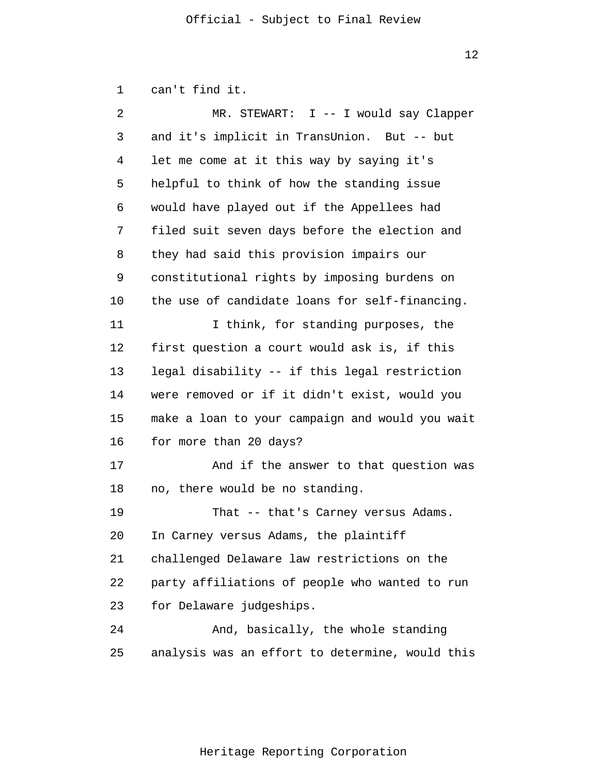1 can't find it.

| 2  | MR. STEWART: I -- I would say Clapper           |
|----|-------------------------------------------------|
| 3  | and it's implicit in TransUnion. But -- but     |
| 4  | let me come at it this way by saying it's       |
| 5  | helpful to think of how the standing issue      |
| 6  | would have played out if the Appellees had      |
| 7  | filed suit seven days before the election and   |
| 8  | they had said this provision impairs our        |
| 9  | constitutional rights by imposing burdens on    |
| 10 | the use of candidate loans for self-financing.  |
| 11 | I think, for standing purposes, the             |
| 12 | first question a court would ask is, if this    |
| 13 | legal disability -- if this legal restriction   |
| 14 | were removed or if it didn't exist, would you   |
| 15 | make a loan to your campaign and would you wait |
| 16 | for more than 20 days?                          |
| 17 | And if the answer to that question was          |
| 18 | no, there would be no standing.                 |
| 19 | That -- that's Carney versus Adams.             |
| 20 | In Carney versus Adams, the plaintiff           |
| 21 | challenged Delaware law restrictions on the     |
| 22 | party affiliations of people who wanted to run  |
| 23 | for Delaware judgeships.                        |
| 24 | And, basically, the whole standing              |
| 25 | analysis was an effort to determine, would this |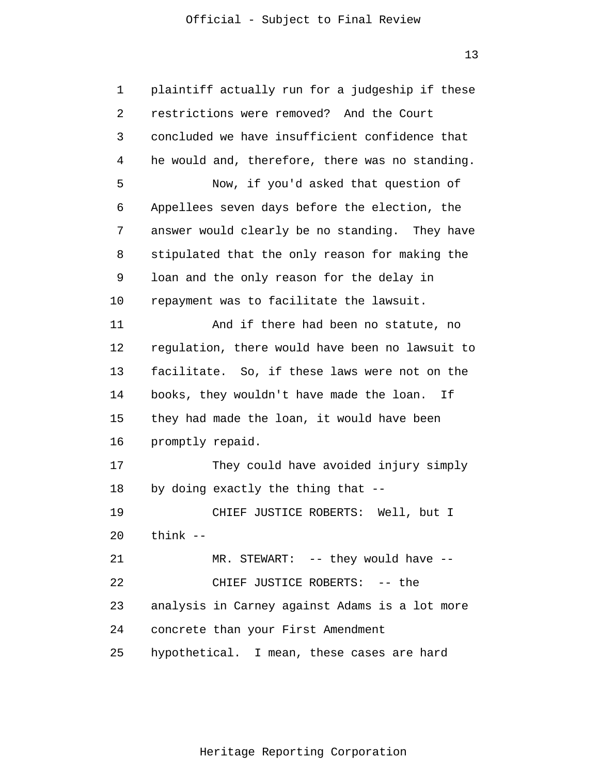13

| 1  | plaintiff actually run for a judgeship if these |
|----|-------------------------------------------------|
| 2  | restrictions were removed? And the Court        |
| 3  | concluded we have insufficient confidence that  |
| 4  | he would and, therefore, there was no standing. |
| 5  | Now, if you'd asked that question of            |
| 6  | Appellees seven days before the election, the   |
| 7  | answer would clearly be no standing. They have  |
| 8  | stipulated that the only reason for making the  |
| 9  | loan and the only reason for the delay in       |
| 10 | repayment was to facilitate the lawsuit.        |
| 11 | And if there had been no statute, no            |
| 12 | regulation, there would have been no lawsuit to |
| 13 | facilitate. So, if these laws were not on the   |
| 14 | books, they wouldn't have made the loan. If     |
| 15 | they had made the loan, it would have been      |
| 16 | promptly repaid.                                |
| 17 | They could have avoided injury simply           |
| 18 | by doing exactly the thing that --              |
| 19 | CHIEF JUSTICE ROBERTS: Well, but I              |
|    | $20$ think $-$                                  |
| 21 | MR. STEWART: -- they would have --              |
| 22 | CHIEF JUSTICE ROBERTS: -- the                   |
| 23 | analysis in Carney against Adams is a lot more  |
| 24 | concrete than your First Amendment              |
| 25 | hypothetical. I mean, these cases are hard      |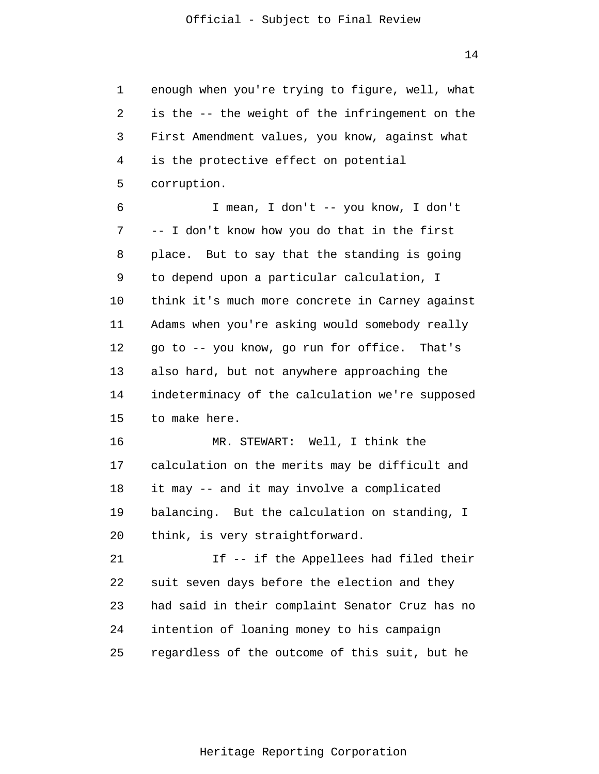1 2 3 4 5 6 7 8 9 10 11 12 13 14 15 16 17 18 19 20 21 22 23 24 25 enough when you're trying to figure, well, what is the -- the weight of the infringement on the First Amendment values, you know, against what is the protective effect on potential corruption. I mean, I don't -- you know, I don't -- I don't know how you do that in the first place. But to say that the standing is going to depend upon a particular calculation, I think it's much more concrete in Carney against Adams when you're asking would somebody really go to -- you know, go run for office. That's also hard, but not anywhere approaching the indeterminacy of the calculation we're supposed to make here. MR. STEWART: Well, I think the calculation on the merits may be difficult and it may -- and it may involve a complicated balancing. But the calculation on standing, I think, is very straightforward. If -- if the Appellees had filed their suit seven days before the election and they had said in their complaint Senator Cruz has no intention of loaning money to his campaign regardless of the outcome of this suit, but he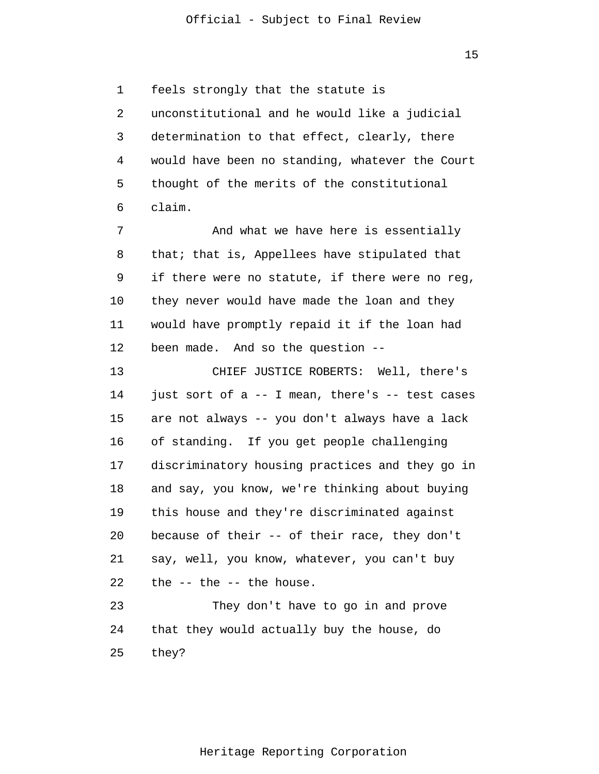1 2 3 4 5 6 feels strongly that the statute is unconstitutional and he would like a judicial determination to that effect, clearly, there would have been no standing, whatever the Court thought of the merits of the constitutional claim.

7 8 9 10 11 12 And what we have here is essentially that; that is, Appellees have stipulated that if there were no statute, if there were no reg, they never would have made the loan and they would have promptly repaid it if the loan had been made. And so the question --

13 14 15 16 17 18 19 20 21 22 23 CHIEF JUSTICE ROBERTS: Well, there's just sort of a -- I mean, there's -- test cases are not always -- you don't always have a lack of standing. If you get people challenging discriminatory housing practices and they go in and say, you know, we're thinking about buying this house and they're discriminated against because of their -- of their race, they don't say, well, you know, whatever, you can't buy the -- the -- the house. They don't have to go in and prove

24 25 that they would actually buy the house, do they?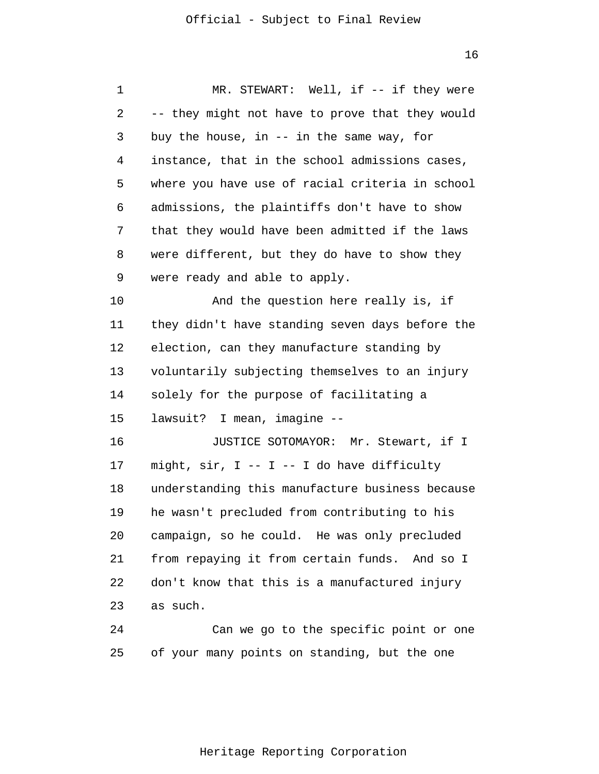| 1  | MR. STEWART: Well, if -- if they were              |
|----|----------------------------------------------------|
| 2  | -- they might not have to prove that they would    |
| 3  | buy the house, in $--$ in the same way, for        |
| 4  | instance, that in the school admissions cases,     |
| 5  | where you have use of racial criteria in school    |
| 6  | admissions, the plaintiffs don't have to show      |
| 7  | that they would have been admitted if the laws     |
| 8  | were different, but they do have to show they      |
| 9  | were ready and able to apply.                      |
| 10 | And the question here really is, if                |
| 11 | they didn't have standing seven days before the    |
| 12 | election, can they manufacture standing by         |
| 13 | voluntarily subjecting themselves to an injury     |
| 14 | solely for the purpose of facilitating a           |
| 15 | lawsuit? I mean, imagine --                        |
| 16 | JUSTICE SOTOMAYOR: Mr. Stewart, if I               |
| 17 | might, $\sin$ , $I$ -- $I$ -- I do have difficulty |
| 18 | understanding this manufacture business because    |
| 19 | he wasn't precluded from contributing to his       |
| 20 | campaign, so he could. He was only precluded       |
| 21 | from repaying it from certain funds. And so I      |
| 22 | don't know that this is a manufactured injury      |
| 23 | as such.                                           |
| 24 | Can we go to the specific point or one             |

Heritage Reporting Corporation

25 of your many points on standing, but the one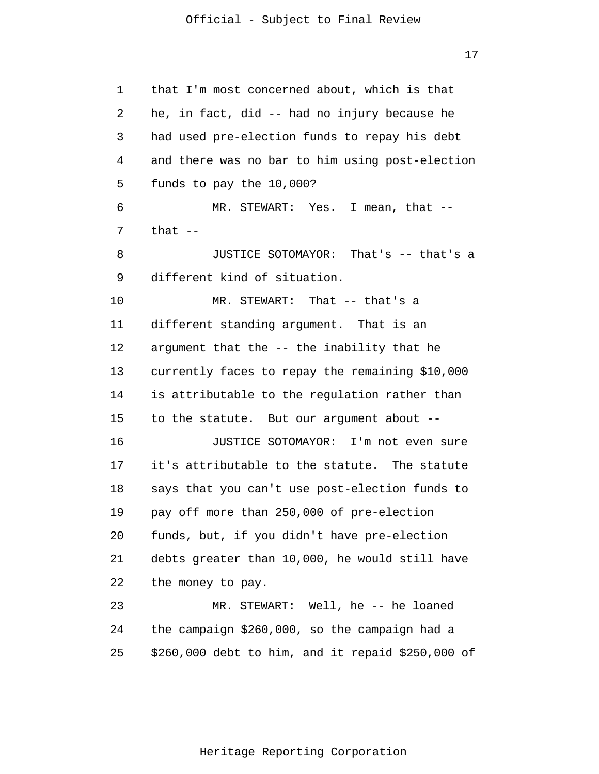17

1 2 3 4 5 6 7 8 9 10 11 12 13 14 15 16 17 18 19 20 21 22 23 24 25 that I'm most concerned about, which is that he, in fact, did -- had no injury because he had used pre-election funds to repay his debt and there was no bar to him using post-election funds to pay the 10,000? MR. STEWART: Yes. I mean, that -that  $--$ JUSTICE SOTOMAYOR: That's -- that's a different kind of situation. MR. STEWART: That -- that's a different standing argument. That is an argument that the -- the inability that he currently faces to repay the remaining \$10,000 is attributable to the regulation rather than to the statute. But our argument about -- JUSTICE SOTOMAYOR: I'm not even sure it's attributable to the statute. The statute says that you can't use post-election funds to pay off more than 250,000 of pre-election funds, but, if you didn't have pre-election debts greater than 10,000, he would still have the money to pay. MR. STEWART: Well, he -- he loaned the campaign \$260,000, so the campaign had a \$260,000 debt to him, and it repaid \$250,000 of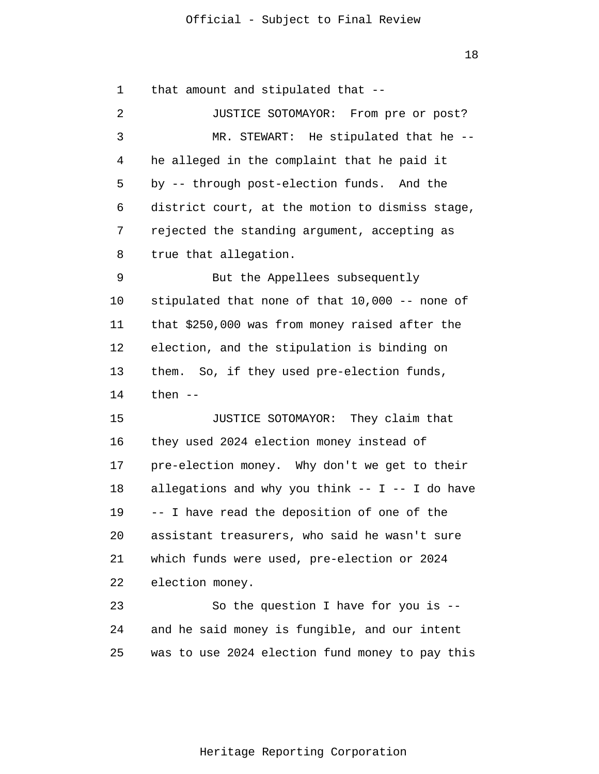18

1 2 3 4 5 6 7 8 9 10 11 12 13 14 15 16 17 18 19 20 21 22 23 24 25 that amount and stipulated that -- JUSTICE SOTOMAYOR: From pre or post? MR. STEWART: He stipulated that he - he alleged in the complaint that he paid it by -- through post-election funds. And the district court, at the motion to dismiss stage, rejected the standing argument, accepting as true that allegation. But the Appellees subsequently stipulated that none of that 10,000 -- none of that \$250,000 was from money raised after the election, and the stipulation is binding on them. So, if they used pre-election funds, then  $--$ JUSTICE SOTOMAYOR: They claim that they used 2024 election money instead of pre-election money. Why don't we get to their allegations and why you think  $-- I -- I$  do have -- I have read the deposition of one of the assistant treasurers, who said he wasn't sure which funds were used, pre-election or 2024 election money. So the question I have for you is - and he said money is fungible, and our intent was to use 2024 election fund money to pay this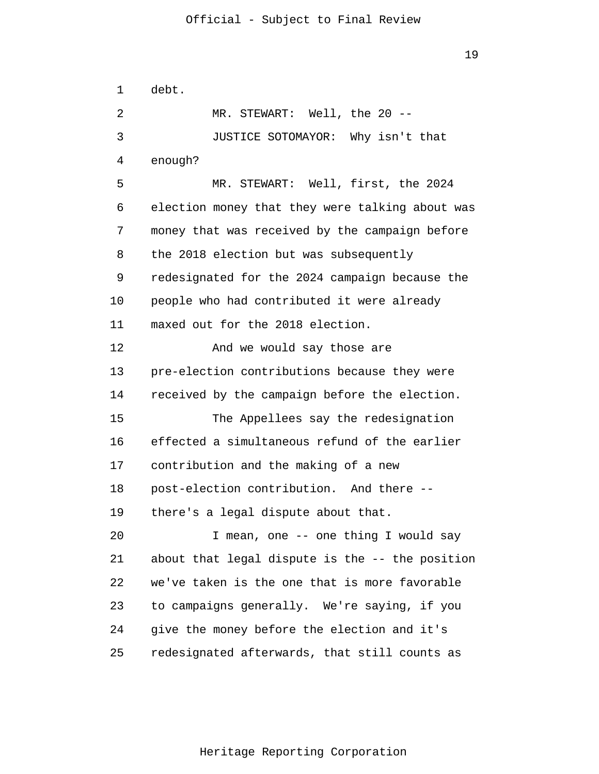1 2 3 4 5 6 7 8 9 10 11 12 13 14 15 16 17 18 19 20 21 22 23 24 25 debt. MR. STEWART: Well, the 20 --JUSTICE SOTOMAYOR: Why isn't that enough? MR. STEWART: Well, first, the 2024 election money that they were talking about was money that was received by the campaign before the 2018 election but was subsequently redesignated for the 2024 campaign because the people who had contributed it were already maxed out for the 2018 election. And we would say those are pre-election contributions because they were received by the campaign before the election. The Appellees say the redesignation effected a simultaneous refund of the earlier contribution and the making of a new post-election contribution. And there - there's a legal dispute about that. I mean, one -- one thing I would say about that legal dispute is the -- the position we've taken is the one that is more favorable to campaigns generally. We're saying, if you give the money before the election and it's redesignated afterwards, that still counts as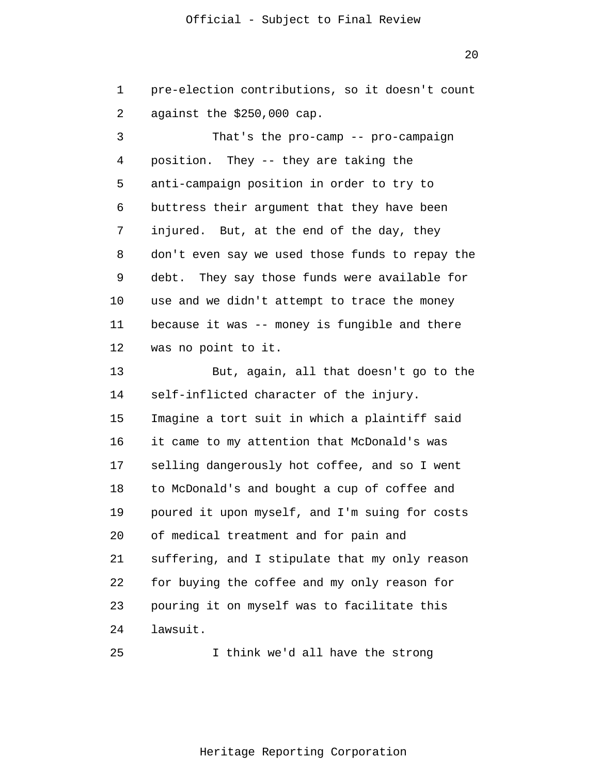20

1 2 pre-election contributions, so it doesn't count against the \$250,000 cap.

3 4 5 6 7 8 9 10 11 12 13 14 15 16 17 18 19 20 21 22 23 24 That's the pro-camp -- pro-campaign position. They -- they are taking the anti-campaign position in order to try to buttress their argument that they have been injured. But, at the end of the day, they don't even say we used those funds to repay the debt. They say those funds were available for use and we didn't attempt to trace the money because it was -- money is fungible and there was no point to it. But, again, all that doesn't go to the self-inflicted character of the injury. Imagine a tort suit in which a plaintiff said it came to my attention that McDonald's was selling dangerously hot coffee, and so I went to McDonald's and bought a cup of coffee and poured it upon myself, and I'm suing for costs of medical treatment and for pain and suffering, and I stipulate that my only reason for buying the coffee and my only reason for pouring it on myself was to facilitate this lawsuit.

25

I think we'd all have the strong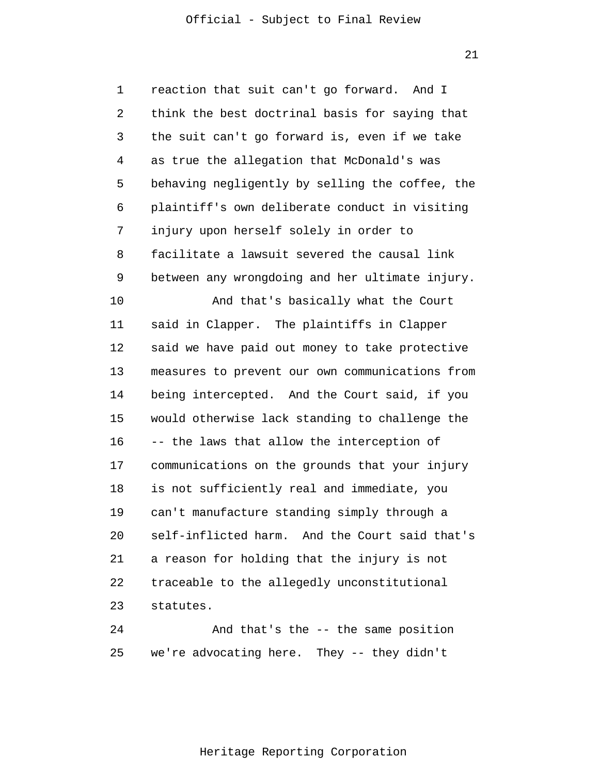21

1 2 3 4 5 6 7 8 9 10 11 12 13 14 15 16 17 18 19 20 21 22 23 24 reaction that suit can't go forward. And I think the best doctrinal basis for saying that the suit can't go forward is, even if we take as true the allegation that McDonald's was behaving negligently by selling the coffee, the plaintiff's own deliberate conduct in visiting injury upon herself solely in order to facilitate a lawsuit severed the causal link between any wrongdoing and her ultimate injury. And that's basically what the Court said in Clapper. The plaintiffs in Clapper said we have paid out money to take protective measures to prevent our own communications from being intercepted. And the Court said, if you would otherwise lack standing to challenge the -- the laws that allow the interception of communications on the grounds that your injury is not sufficiently real and immediate, you can't manufacture standing simply through a self-inflicted harm. And the Court said that's a reason for holding that the injury is not traceable to the allegedly unconstitutional statutes. And that's the -- the same position

25 we're advocating here. They -- they didn't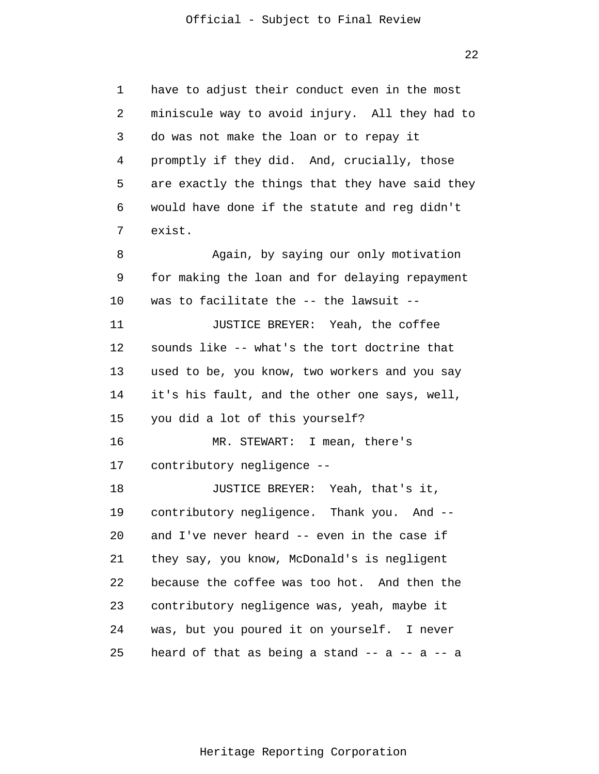1 2 3 4 5 6 7 8 9 10 11 12 13 14 15 16 17 18 19 20 21 22 23 24 25 have to adjust their conduct even in the most miniscule way to avoid injury. All they had to do was not make the loan or to repay it promptly if they did. And, crucially, those are exactly the things that they have said they would have done if the statute and reg didn't exist. Again, by saying our only motivation for making the loan and for delaying repayment was to facilitate the -- the lawsuit -- JUSTICE BREYER: Yeah, the coffee sounds like -- what's the tort doctrine that used to be, you know, two workers and you say it's his fault, and the other one says, well, you did a lot of this yourself? MR. STEWART: I mean, there's contributory negligence -- JUSTICE BREYER: Yeah, that's it, contributory negligence. Thank you. And - and I've never heard -- even in the case if they say, you know, McDonald's is negligent because the coffee was too hot. And then the contributory negligence was, yeah, maybe it was, but you poured it on yourself. I never heard of that as being a stand  $-$  -  $a$   $a$   $a$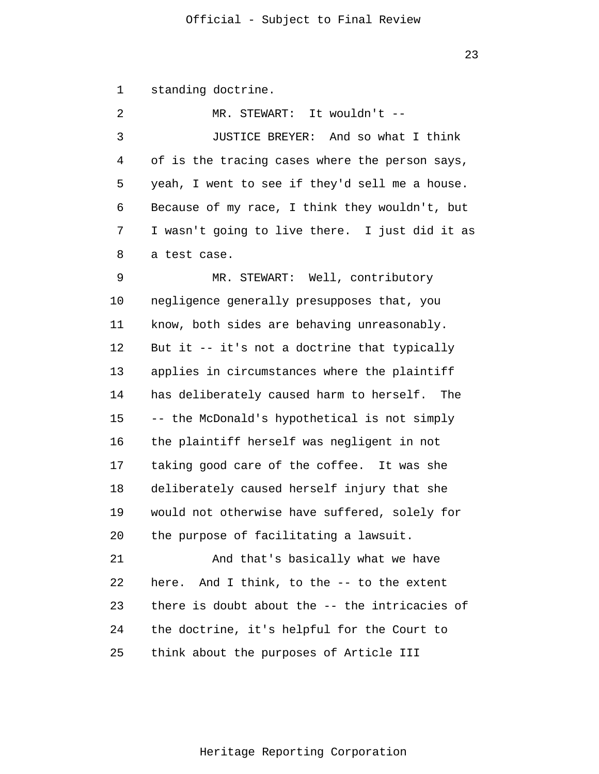1 2 3 4 5 6 7 8 9 10 11 12 13 14 15 16 17 18 19 20 21 22 23 24 25 standing doctrine. MR. STEWART: It wouldn't -- JUSTICE BREYER: And so what I think of is the tracing cases where the person says, yeah, I went to see if they'd sell me a house. Because of my race, I think they wouldn't, but I wasn't going to live there. I just did it as a test case. MR. STEWART: Well, contributory negligence generally presupposes that, you know, both sides are behaving unreasonably. But it -- it's not a doctrine that typically applies in circumstances where the plaintiff has deliberately caused harm to herself. The -- the McDonald's hypothetical is not simply the plaintiff herself was negligent in not taking good care of the coffee. It was she deliberately caused herself injury that she would not otherwise have suffered, solely for the purpose of facilitating a lawsuit. And that's basically what we have here. And I think, to the -- to the extent there is doubt about the -- the intricacies of the doctrine, it's helpful for the Court to think about the purposes of Article III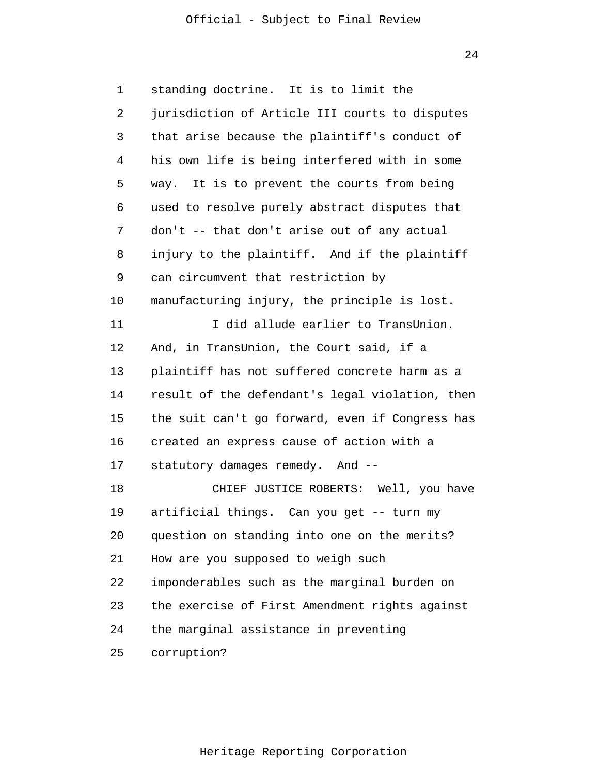24

1 2 3 4 5 6 7 8 9 10 11 12 13 14 15 16 17 18 19 20 21 22 23 24 25 standing doctrine. It is to limit the jurisdiction of Article III courts to disputes that arise because the plaintiff's conduct of his own life is being interfered with in some way. It is to prevent the courts from being used to resolve purely abstract disputes that don't -- that don't arise out of any actual injury to the plaintiff. And if the plaintiff can circumvent that restriction by manufacturing injury, the principle is lost. I did allude earlier to TransUnion. And, in TransUnion, the Court said, if a plaintiff has not suffered concrete harm as a result of the defendant's legal violation, then the suit can't go forward, even if Congress has created an express cause of action with a statutory damages remedy. And -- CHIEF JUSTICE ROBERTS: Well, you have artificial things. Can you get -- turn my question on standing into one on the merits? How are you supposed to weigh such imponderables such as the marginal burden on the exercise of First Amendment rights against the marginal assistance in preventing corruption?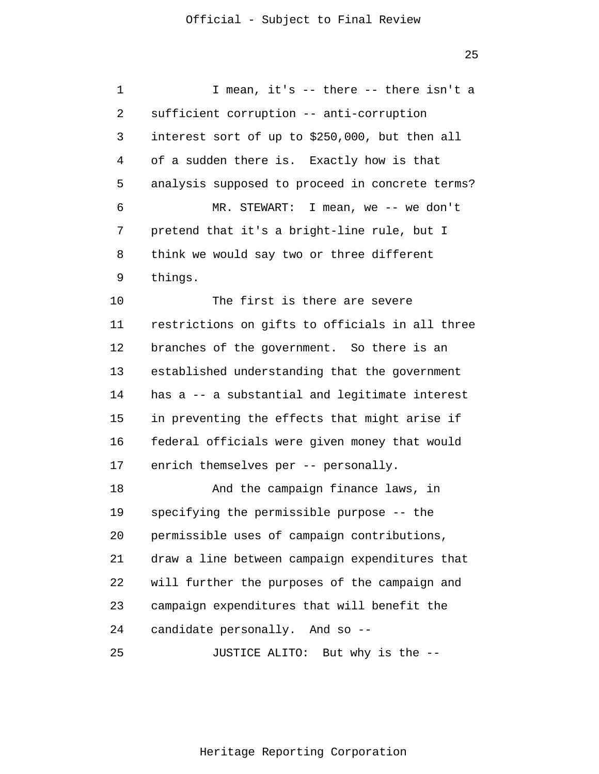1 2 3 4 5 6 7 8 9 10 11 12 13 14 15 16 17 18 19 20 21 22 23 24 25 I mean, it's -- there -- there isn't a sufficient corruption -- anti-corruption interest sort of up to \$250,000, but then all of a sudden there is. Exactly how is that analysis supposed to proceed in concrete terms? MR. STEWART: I mean, we -- we don't pretend that it's a bright-line rule, but I think we would say two or three different things. The first is there are severe restrictions on gifts to officials in all three branches of the government. So there is an established understanding that the government has a -- a substantial and legitimate interest in preventing the effects that might arise if federal officials were given money that would enrich themselves per -- personally. And the campaign finance laws, in specifying the permissible purpose -- the permissible uses of campaign contributions, draw a line between campaign expenditures that will further the purposes of the campaign and campaign expenditures that will benefit the candidate personally. And so -- JUSTICE ALITO: But why is the --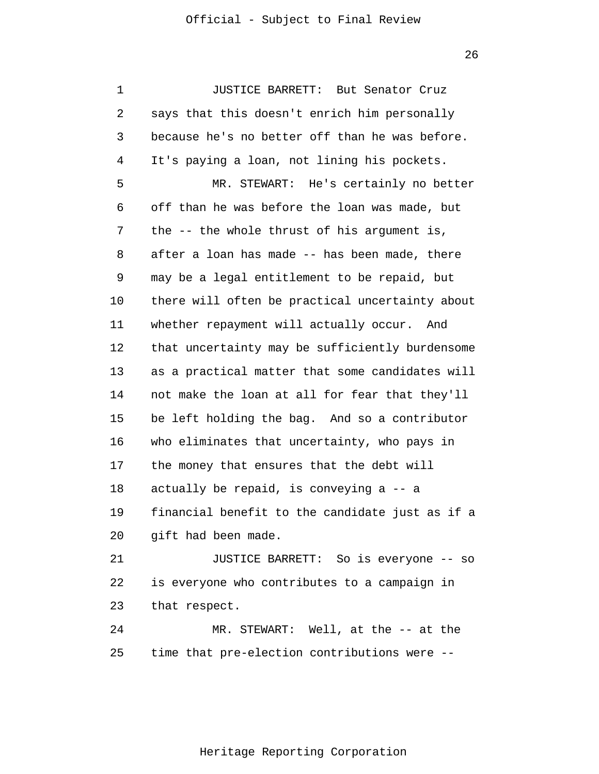1 2 3 4 5 6 7 8 9 10 11 12 13 14 15 16 17 18 19 20 21 22 23 24 25 JUSTICE BARRETT: But Senator Cruz says that this doesn't enrich him personally because he's no better off than he was before. It's paying a loan, not lining his pockets. MR. STEWART: He's certainly no better off than he was before the loan was made, but the -- the whole thrust of his argument is, after a loan has made -- has been made, there may be a legal entitlement to be repaid, but there will often be practical uncertainty about whether repayment will actually occur. And that uncertainty may be sufficiently burdensome as a practical matter that some candidates will not make the loan at all for fear that they'll be left holding the bag. And so a contributor who eliminates that uncertainty, who pays in the money that ensures that the debt will actually be repaid, is conveying a -- a financial benefit to the candidate just as if a gift had been made. JUSTICE BARRETT: So is everyone -- so is everyone who contributes to a campaign in that respect. MR. STEWART: Well, at the -- at the time that pre-election contributions were --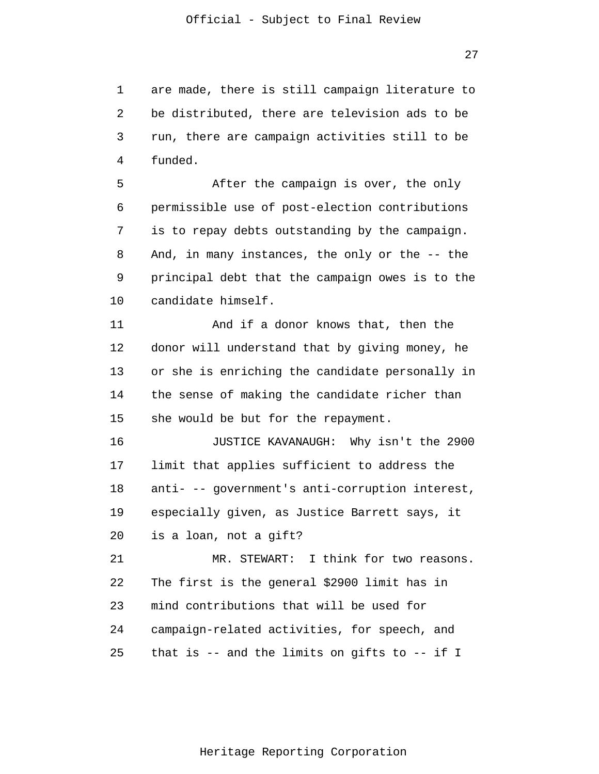1 2 3 4 are made, there is still campaign literature to be distributed, there are television ads to be run, there are campaign activities still to be funded.

5 6 7 8 9 10 After the campaign is over, the only permissible use of post-election contributions is to repay debts outstanding by the campaign. And, in many instances, the only or the -- the principal debt that the campaign owes is to the candidate himself.

11 12 13 14 15 And if a donor knows that, then the donor will understand that by giving money, he or she is enriching the candidate personally in the sense of making the candidate richer than she would be but for the repayment.

16 17 18 19 20 JUSTICE KAVANAUGH: Why isn't the 2900 limit that applies sufficient to address the anti- -- government's anti-corruption interest, especially given, as Justice Barrett says, it is a loan, not a gift?

21 22 23 24 25 MR. STEWART: I think for two reasons. The first is the general \$2900 limit has in mind contributions that will be used for campaign-related activities, for speech, and that is -- and the limits on gifts to -- if I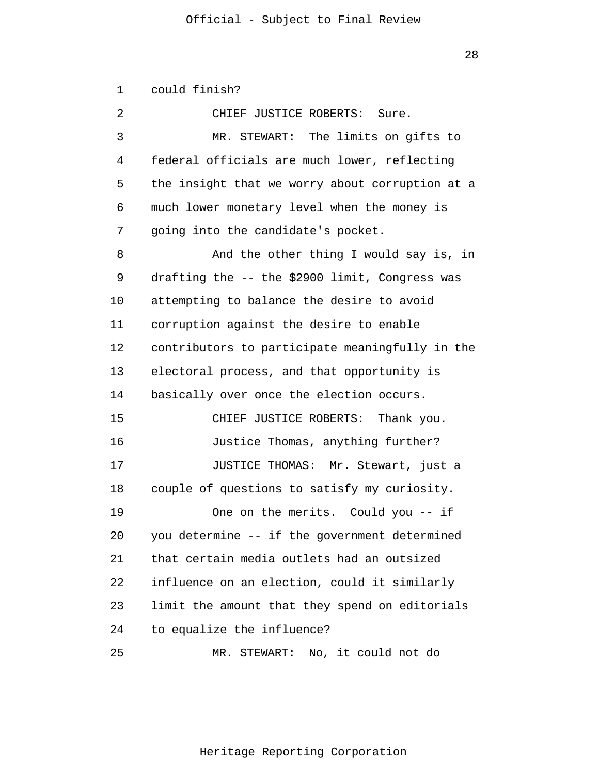1 2 3 4 5 6 7 8 9 10 11 12 13 14 15 16 17 18 19 20 21 22 23 24 25 could finish? CHIEF JUSTICE ROBERTS: Sure. MR. STEWART: The limits on gifts to federal officials are much lower, reflecting the insight that we worry about corruption at a much lower monetary level when the money is going into the candidate's pocket. And the other thing I would say is, in drafting the -- the \$2900 limit, Congress was attempting to balance the desire to avoid corruption against the desire to enable contributors to participate meaningfully in the electoral process, and that opportunity is basically over once the election occurs. CHIEF JUSTICE ROBERTS: Thank you. Justice Thomas, anything further? JUSTICE THOMAS: Mr. Stewart, just a couple of questions to satisfy my curiosity. One on the merits. Could you -- if you determine -- if the government determined that certain media outlets had an outsized influence on an election, could it similarly limit the amount that they spend on editorials to equalize the influence? MR. STEWART: No, it could not do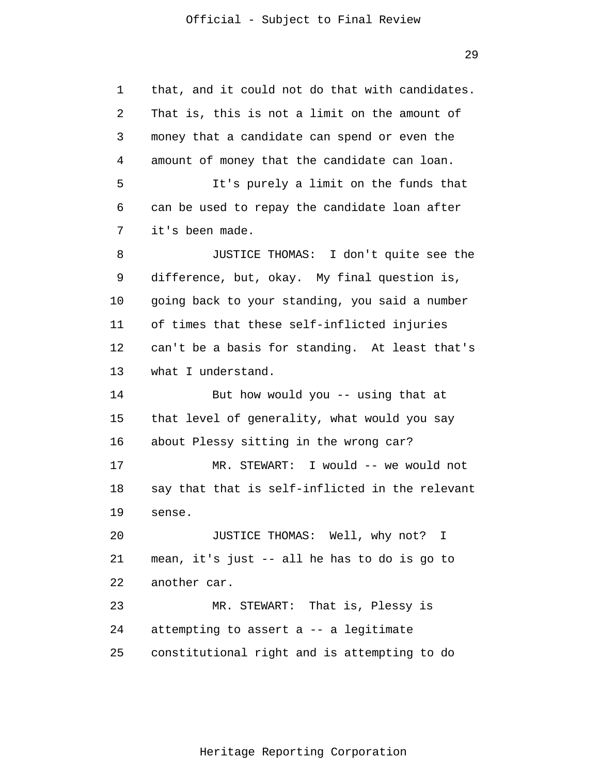1 2 3 4 5 6 7 8 9 10 11 12 13 14 15 16 17 18 19 20 21 22 23 24 25 that, and it could not do that with candidates. That is, this is not a limit on the amount of money that a candidate can spend or even the amount of money that the candidate can loan. It's purely a limit on the funds that can be used to repay the candidate loan after it's been made. JUSTICE THOMAS: I don't quite see the difference, but, okay. My final question is, going back to your standing, you said a number of times that these self-inflicted injuries can't be a basis for standing. At least that's what I understand. But how would you -- using that at that level of generality, what would you say about Plessy sitting in the wrong car? MR. STEWART: I would -- we would not say that that is self-inflicted in the relevant sense. JUSTICE THOMAS: Well, why not? I mean, it's just -- all he has to do is go to another car. MR. STEWART: That is, Plessy is attempting to assert a -- a legitimate constitutional right and is attempting to do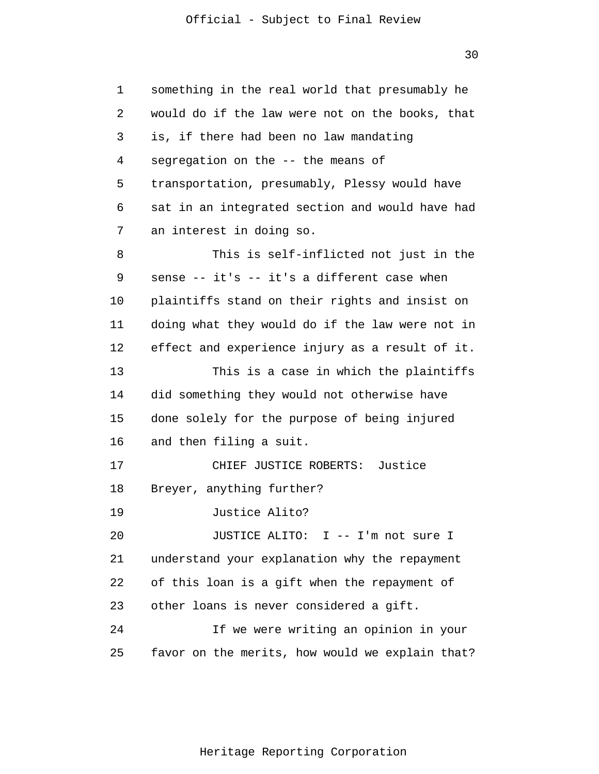1 2 3 4 5 6 7 8 9 10 11 12 13 14 15 16 17 18 19 20 21 22 23 24 25 something in the real world that presumably he would do if the law were not on the books, that is, if there had been no law mandating segregation on the -- the means of transportation, presumably, Plessy would have sat in an integrated section and would have had an interest in doing so. This is self-inflicted not just in the sense -- it's -- it's a different case when plaintiffs stand on their rights and insist on doing what they would do if the law were not in effect and experience injury as a result of it. This is a case in which the plaintiffs did something they would not otherwise have done solely for the purpose of being injured and then filing a suit. CHIEF JUSTICE ROBERTS: Justice Breyer, anything further? Justice Alito? JUSTICE ALITO: I -- I'm not sure I understand your explanation why the repayment of this loan is a gift when the repayment of other loans is never considered a gift. If we were writing an opinion in your favor on the merits, how would we explain that?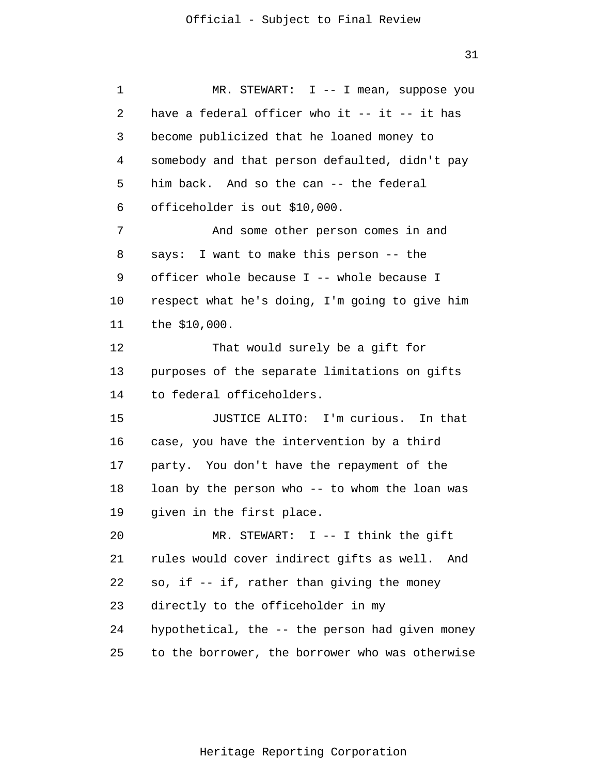1 2 3 4 5 6 7 8 9 10 11 12 13 14 15 16 17 18 19 20 21 22 23 24 25 MR. STEWART: I -- I mean, suppose you have a federal officer who it  $--$  it  $--$  it has become publicized that he loaned money to somebody and that person defaulted, didn't pay him back. And so the can -- the federal officeholder is out \$10,000. And some other person comes in and says: I want to make this person -- the officer whole because I -- whole because I respect what he's doing, I'm going to give him the \$10,000. That would surely be a gift for purposes of the separate limitations on gifts to federal officeholders. JUSTICE ALITO: I'm curious. In that case, you have the intervention by a third party. You don't have the repayment of the loan by the person who -- to whom the loan was given in the first place. MR. STEWART: I -- I think the gift rules would cover indirect gifts as well. And so, if -- if, rather than giving the money directly to the officeholder in my hypothetical, the -- the person had given money to the borrower, the borrower who was otherwise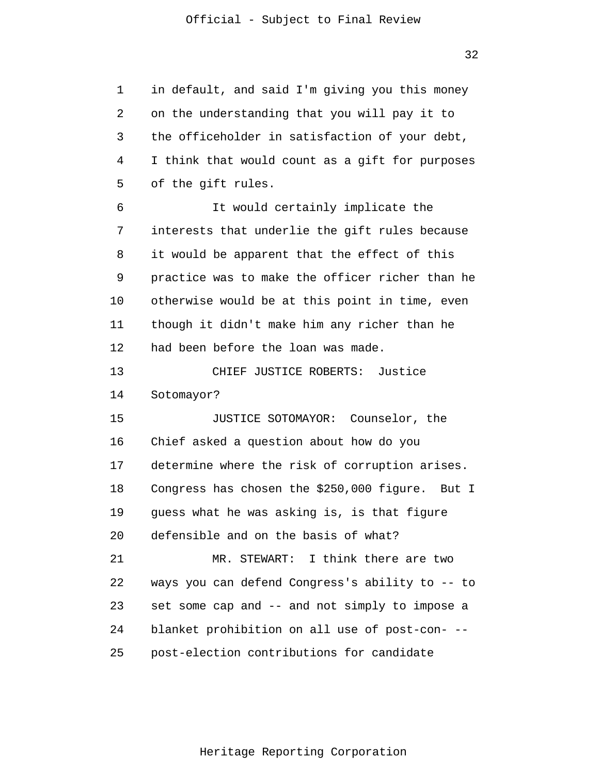1 2 3 4 5 6 7 8 9 10 11 12 13 14 15 16 17 18 19 20 21 22 23 24 25 in default, and said I'm giving you this money on the understanding that you will pay it to the officeholder in satisfaction of your debt, I think that would count as a gift for purposes of the gift rules. It would certainly implicate the interests that underlie the gift rules because it would be apparent that the effect of this practice was to make the officer richer than he otherwise would be at this point in time, even though it didn't make him any richer than he had been before the loan was made. CHIEF JUSTICE ROBERTS: Justice Sotomayor? JUSTICE SOTOMAYOR: Counselor, the Chief asked a question about how do you determine where the risk of corruption arises. Congress has chosen the \$250,000 figure. But I guess what he was asking is, is that figure defensible and on the basis of what? MR. STEWART: I think there are two ways you can defend Congress's ability to -- to set some cap and -- and not simply to impose a blanket prohibition on all use of post-con- - post-election contributions for candidate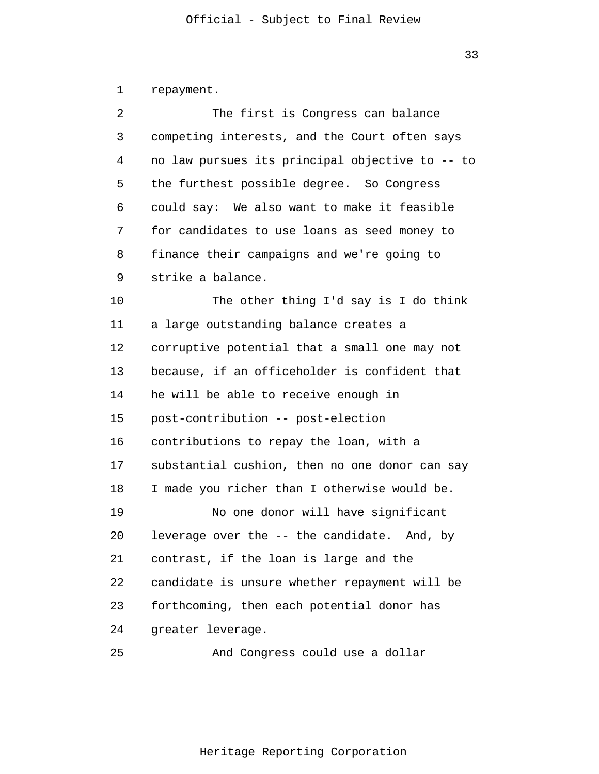1 2 3 4 5 6 7 8 9 10 11 12 13 14 15 16 17 18 19 20 21 22 23 24 repayment. The first is Congress can balance competing interests, and the Court often says no law pursues its principal objective to -- to the furthest possible degree. So Congress could say: We also want to make it feasible for candidates to use loans as seed money to finance their campaigns and we're going to strike a balance. The other thing I'd say is I do think a large outstanding balance creates a corruptive potential that a small one may not because, if an officeholder is confident that he will be able to receive enough in post-contribution -- post-election contributions to repay the loan, with a substantial cushion, then no one donor can say I made you richer than I otherwise would be. No one donor will have significant leverage over the -- the candidate. And, by contrast, if the loan is large and the candidate is unsure whether repayment will be forthcoming, then each potential donor has greater leverage.

25 And Congress could use a dollar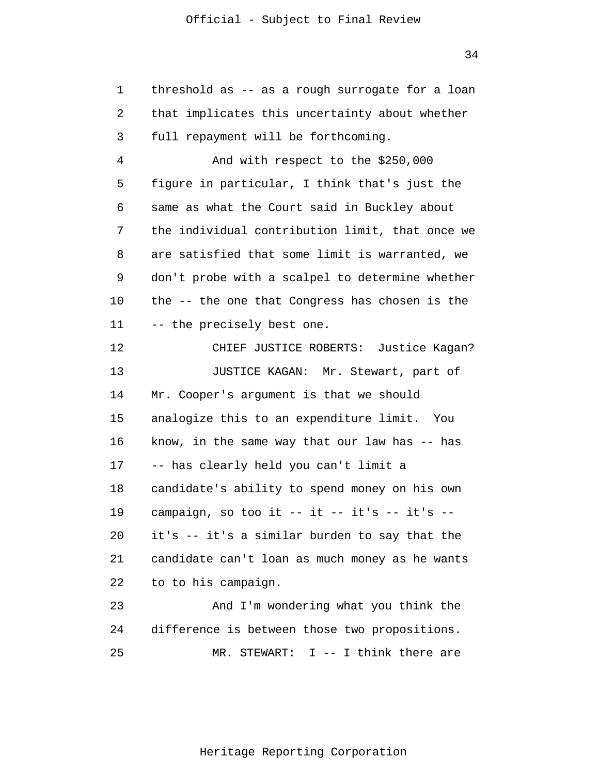1 2 3 4 5 6 7 8 9 10 11 12 13 14 15 16 17 18 19 20 21 22 23 24 25 threshold as -- as a rough surrogate for a loan that implicates this uncertainty about whether full repayment will be forthcoming. And with respect to the \$250,000 figure in particular, I think that's just the same as what the Court said in Buckley about the individual contribution limit, that once we are satisfied that some limit is warranted, we don't probe with a scalpel to determine whether the -- the one that Congress has chosen is the -- the precisely best one. CHIEF JUSTICE ROBERTS: Justice Kagan? JUSTICE KAGAN: Mr. Stewart, part of Mr. Cooper's argument is that we should analogize this to an expenditure limit. You know, in the same way that our law has -- has -- has clearly held you can't limit a candidate's ability to spend money on his own campaign, so too it  $--$  it  $--$  it's  $-$ it's -- it's a similar burden to say that the candidate can't loan as much money as he wants to to his campaign. And I'm wondering what you think the difference is between those two propositions. MR. STEWART: I -- I think there are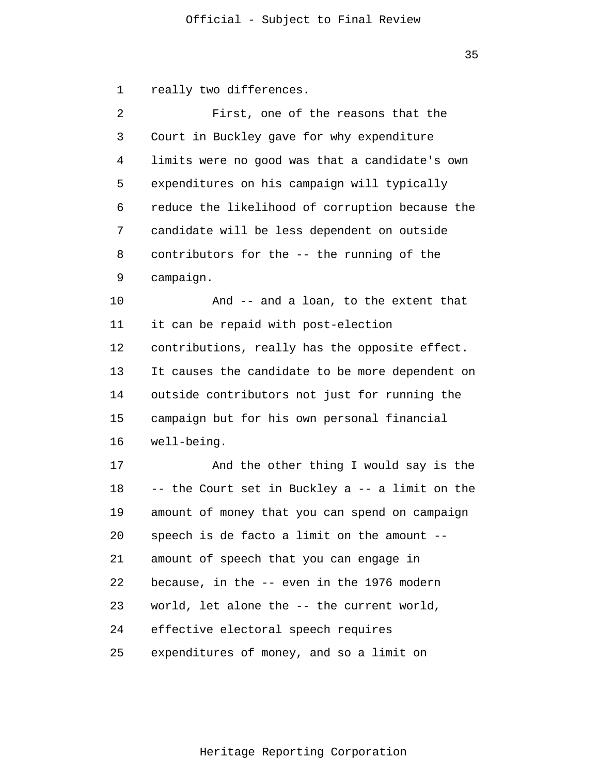1 really two differences.

| 2  | First, one of the reasons that the              |
|----|-------------------------------------------------|
| 3  | Court in Buckley gave for why expenditure       |
| 4  | limits were no good was that a candidate's own  |
| 5  | expenditures on his campaign will typically     |
| 6  | reduce the likelihood of corruption because the |
| 7  | candidate will be less dependent on outside     |
| 8  | contributors for the -- the running of the      |
| 9  | campaign.                                       |
| 10 | And -- and a loan, to the extent that           |
| 11 | it can be repaid with post-election             |
| 12 | contributions, really has the opposite effect.  |
| 13 | It causes the candidate to be more dependent on |
| 14 | outside contributors not just for running the   |
| 15 | campaign but for his own personal financial     |
| 16 | well-being.                                     |
| 17 | And the other thing I would say is the          |
| 18 | -- the Court set in Buckley a -- a limit on the |
| 19 | amount of money that you can spend on campaign  |
| 20 | speech is de facto a limit on the amount --     |
| 21 | amount of speech that you can engage in         |
| 22 | because, in the -- even in the 1976 modern      |
| 23 | world, let alone the -- the current world,      |
| 24 | effective electoral speech requires             |
| 25 | expenditures of money, and so a limit on        |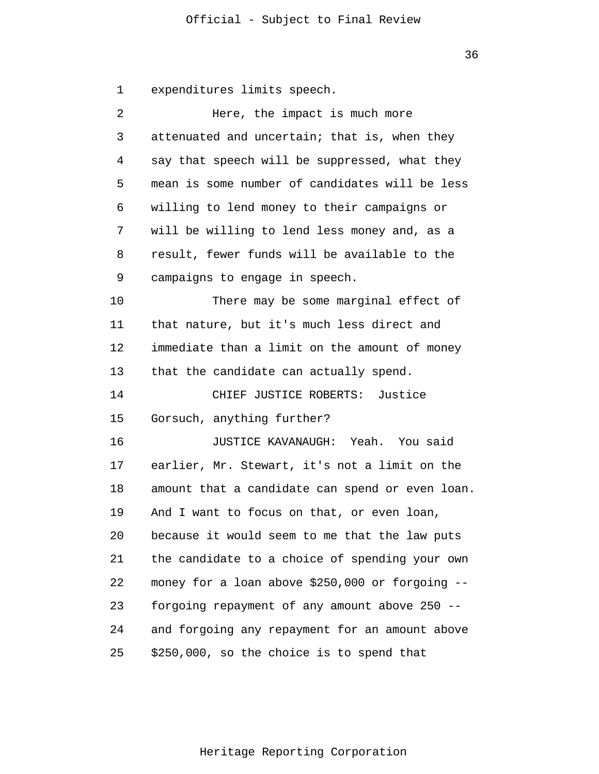36

1 expenditures limits speech.

| 2  | Here, the impact is much more                   |
|----|-------------------------------------------------|
| 3  | attenuated and uncertain; that is, when they    |
| 4  | say that speech will be suppressed, what they   |
| 5  | mean is some number of candidates will be less  |
| 6  | willing to lend money to their campaigns or     |
| 7  | will be willing to lend less money and, as a    |
| 8  | result, fewer funds will be available to the    |
| 9  | campaigns to engage in speech.                  |
| 10 | There may be some marginal effect of            |
| 11 | that nature, but it's much less direct and      |
| 12 | immediate than a limit on the amount of money   |
| 13 | that the candidate can actually spend.          |
| 14 | CHIEF JUSTICE ROBERTS: Justice                  |
| 15 | Gorsuch, anything further?                      |
| 16 | JUSTICE KAVANAUGH: Yeah. You said               |
| 17 | earlier, Mr. Stewart, it's not a limit on the   |
| 18 | amount that a candidate can spend or even loan. |
| 19 | And I want to focus on that, or even loan,      |
| 20 | because it would seem to me that the law puts   |
| 21 | the candidate to a choice of spending your own  |
| 22 | money for a loan above \$250,000 or forgoing -- |
| 23 | forgoing repayment of any amount above 250 --   |
| 24 | and forgoing any repayment for an amount above  |
| 25 | \$250,000, so the choice is to spend that       |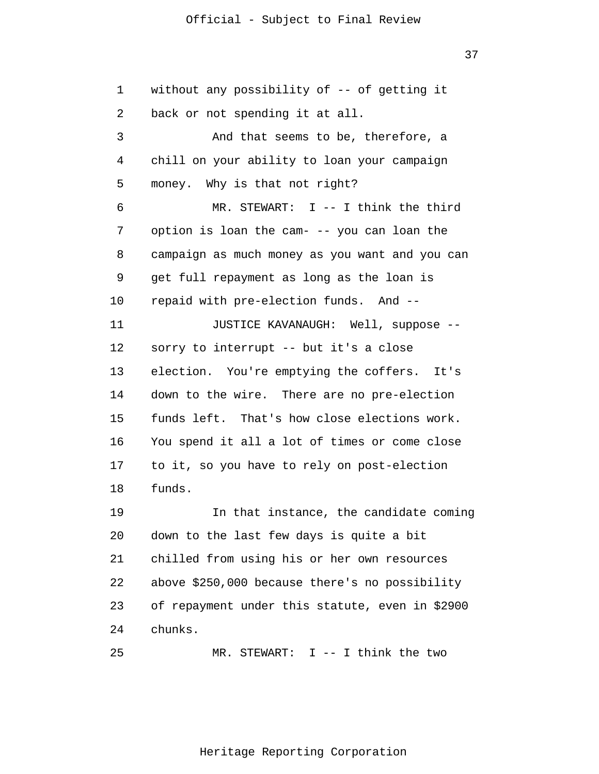37

1 2 3 4 5 6 7 8 9 10 11 12 13 14 15 16 17 18 19 20 21 22 23 24 25 without any possibility of -- of getting it back or not spending it at all. And that seems to be, therefore, a chill on your ability to loan your campaign money. Why is that not right? MR. STEWART: I -- I think the third option is loan the cam- -- you can loan the campaign as much money as you want and you can get full repayment as long as the loan is repaid with pre-election funds. And -- JUSTICE KAVANAUGH: Well, suppose - sorry to interrupt -- but it's a close election. You're emptying the coffers. It's down to the wire. There are no pre-election funds left. That's how close elections work. You spend it all a lot of times or come close to it, so you have to rely on post-election funds. In that instance, the candidate coming down to the last few days is quite a bit chilled from using his or her own resources above \$250,000 because there's no possibility of repayment under this statute, even in \$2900 chunks. MR. STEWART: I -- I think the two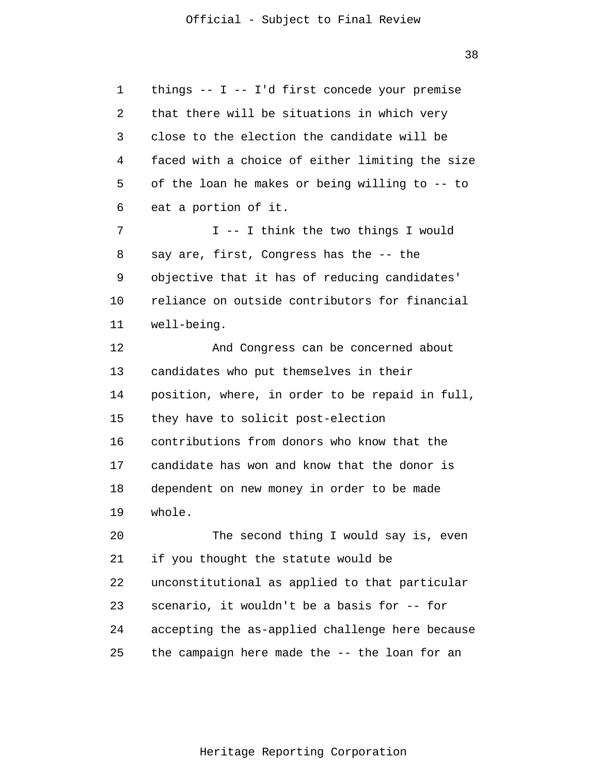1 2 3 4 5 6 7 8 9 10 11 12 13 14 15 16 17 18 19 20 21 22 23 24 25 things -- I -- I'd first concede your premise that there will be situations in which very close to the election the candidate will be faced with a choice of either limiting the size of the loan he makes or being willing to -- to eat a portion of it. I -- I think the two things I would say are, first, Congress has the -- the objective that it has of reducing candidates' reliance on outside contributors for financial well-being. And Congress can be concerned about candidates who put themselves in their position, where, in order to be repaid in full, they have to solicit post-election contributions from donors who know that the candidate has won and know that the donor is dependent on new money in order to be made whole. The second thing I would say is, even if you thought the statute would be unconstitutional as applied to that particular scenario, it wouldn't be a basis for -- for accepting the as-applied challenge here because the campaign here made the -- the loan for an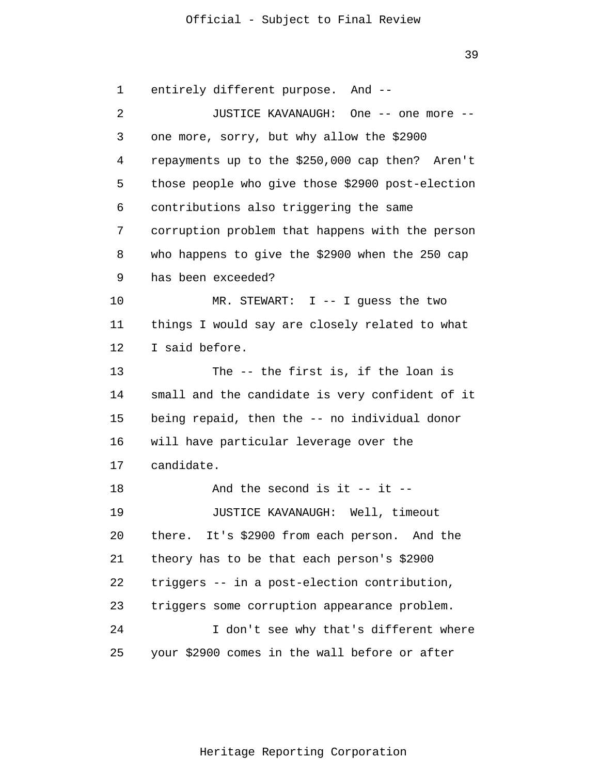39

1 2 3 4 5 6 7 8 9 10 11 12 13 14 15 16 17 18 19 20 21 22 23 24 25 entirely different purpose. And -- JUSTICE KAVANAUGH: One -- one more - one more, sorry, but why allow the \$2900 repayments up to the \$250,000 cap then? Aren't those people who give those \$2900 post-election contributions also triggering the same corruption problem that happens with the person who happens to give the \$2900 when the 250 cap has been exceeded? MR. STEWART: I -- I guess the two things I would say are closely related to what I said before. The -- the first is, if the loan is small and the candidate is very confident of it being repaid, then the -- no individual donor will have particular leverage over the candidate. And the second is it  $-$  it  $-$ JUSTICE KAVANAUGH: Well, timeout there. It's \$2900 from each person. And the theory has to be that each person's \$2900 triggers -- in a post-election contribution, triggers some corruption appearance problem. I don't see why that's different where your \$2900 comes in the wall before or after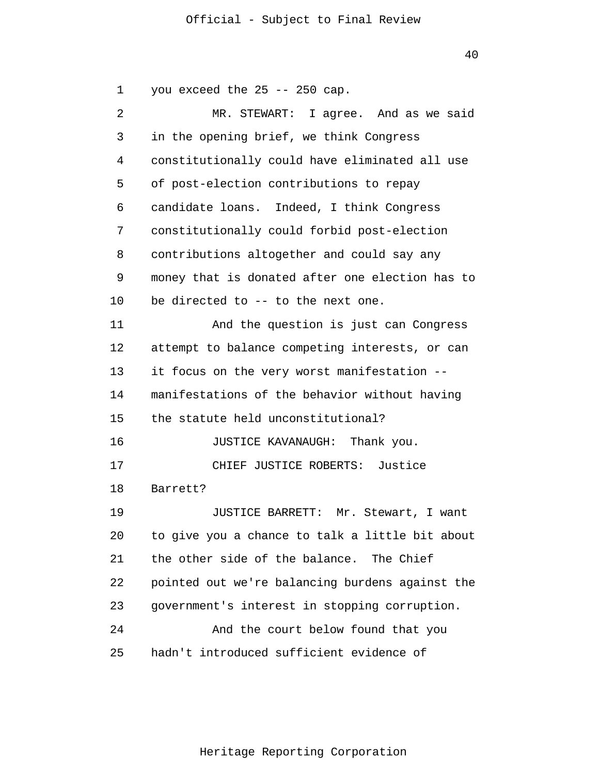40

1 2 3 4 5 6 7 8 9 10 11 12 13 14 15 16 17 18 19 20 21 22 23 24 25 you exceed the 25 -- 250 cap. MR. STEWART: I agree. And as we said in the opening brief, we think Congress constitutionally could have eliminated all use of post-election contributions to repay candidate loans. Indeed, I think Congress constitutionally could forbid post-election contributions altogether and could say any money that is donated after one election has to be directed to -- to the next one. And the question is just can Congress attempt to balance competing interests, or can it focus on the very worst manifestation - manifestations of the behavior without having the statute held unconstitutional? JUSTICE KAVANAUGH: Thank you. CHIEF JUSTICE ROBERTS: Justice Barrett? JUSTICE BARRETT: Mr. Stewart, I want to give you a chance to talk a little bit about the other side of the balance. The Chief pointed out we're balancing burdens against the government's interest in stopping corruption. And the court below found that you hadn't introduced sufficient evidence of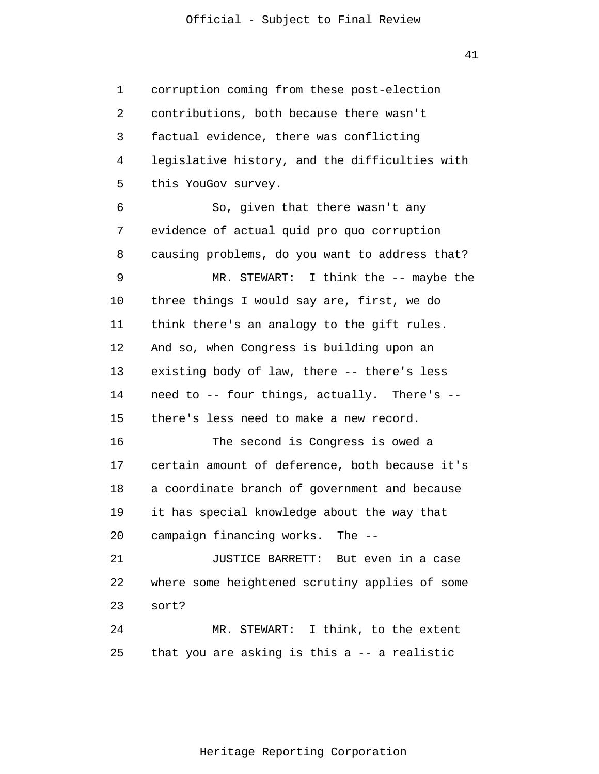41

1 2 3 4 5 6 7 8 9 10 11 12 13 14 15 16 17 18 19 20 21 22 23 24 25 corruption coming from these post-election contributions, both because there wasn't factual evidence, there was conflicting legislative history, and the difficulties with this YouGov survey. So, given that there wasn't any evidence of actual quid pro quo corruption causing problems, do you want to address that? MR. STEWART: I think the -- maybe the three things I would say are, first, we do think there's an analogy to the gift rules. And so, when Congress is building upon an existing body of law, there -- there's less need to -- four things, actually. There's - there's less need to make a new record. The second is Congress is owed a certain amount of deference, both because it's a coordinate branch of government and because it has special knowledge about the way that campaign financing works. The -- JUSTICE BARRETT: But even in a case where some heightened scrutiny applies of some sort? MR. STEWART: I think, to the extent that you are asking is this a -- a realistic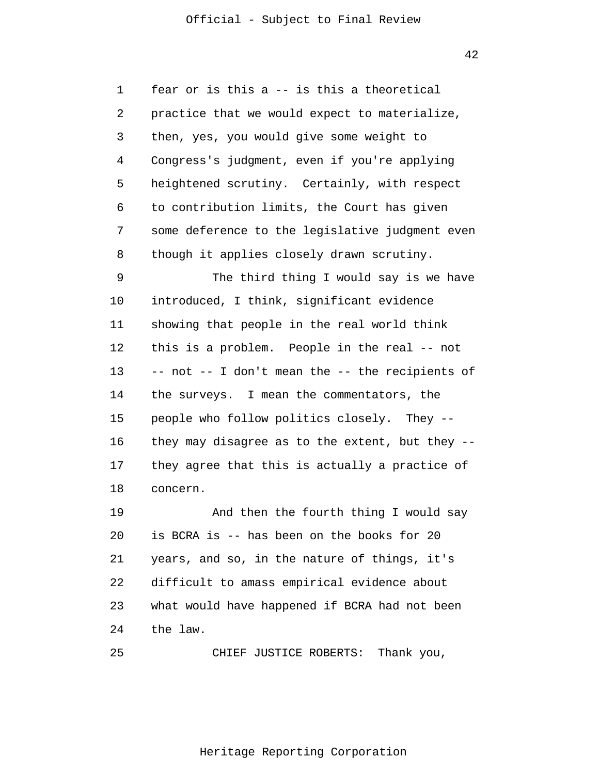1 2 3 4 5 6 7 8 9 10 11 12 13 14 15 16 17 18 19 20 21 22 23 24 25 fear or is this a -- is this a theoretical practice that we would expect to materialize, then, yes, you would give some weight to Congress's judgment, even if you're applying heightened scrutiny. Certainly, with respect to contribution limits, the Court has given some deference to the legislative judgment even though it applies closely drawn scrutiny. The third thing I would say is we have introduced, I think, significant evidence showing that people in the real world think this is a problem. People in the real -- not -- not -- I don't mean the -- the recipients of the surveys. I mean the commentators, the people who follow politics closely. They - they may disagree as to the extent, but they - they agree that this is actually a practice of concern. And then the fourth thing I would say is BCRA is -- has been on the books for 20 years, and so, in the nature of things, it's difficult to amass empirical evidence about what would have happened if BCRA had not been the law. CHIEF JUSTICE ROBERTS: Thank you,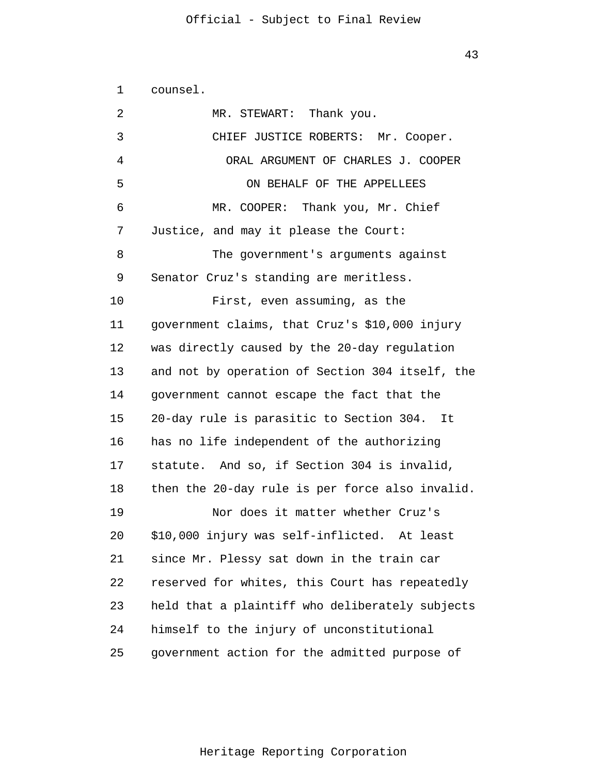| 1  | counsel.                                        |
|----|-------------------------------------------------|
| 2  | MR. STEWART: Thank you.                         |
| 3  | CHIEF JUSTICE ROBERTS: Mr. Cooper.              |
| 4  | ORAL ARGUMENT OF CHARLES J. COOPER              |
| 5  | ON BEHALF OF THE APPELLEES                      |
| 6  | MR. COOPER: Thank you, Mr. Chief                |
| 7  | Justice, and may it please the Court:           |
| 8  | The government's arguments against              |
| 9  | Senator Cruz's standing are meritless.          |
| 10 | First, even assuming, as the                    |
| 11 | government claims, that Cruz's \$10,000 injury  |
| 12 | was directly caused by the 20-day regulation    |
| 13 | and not by operation of Section 304 itself, the |
| 14 | government cannot escape the fact that the      |
| 15 | 20-day rule is parasitic to Section 304. It     |
| 16 | has no life independent of the authorizing      |
| 17 | statute. And so, if Section 304 is invalid,     |
| 18 | then the 20-day rule is per force also invalid. |
| 19 | Nor does it matter whether Cruz's               |
| 20 | \$10,000 injury was self-inflicted. At least    |
| 21 | since Mr. Plessy sat down in the train car      |
| 22 | reserved for whites, this Court has repeatedly  |
| 23 | held that a plaintiff who deliberately subjects |
| 24 | himself to the injury of unconstitutional       |
| 25 | government action for the admitted purpose of   |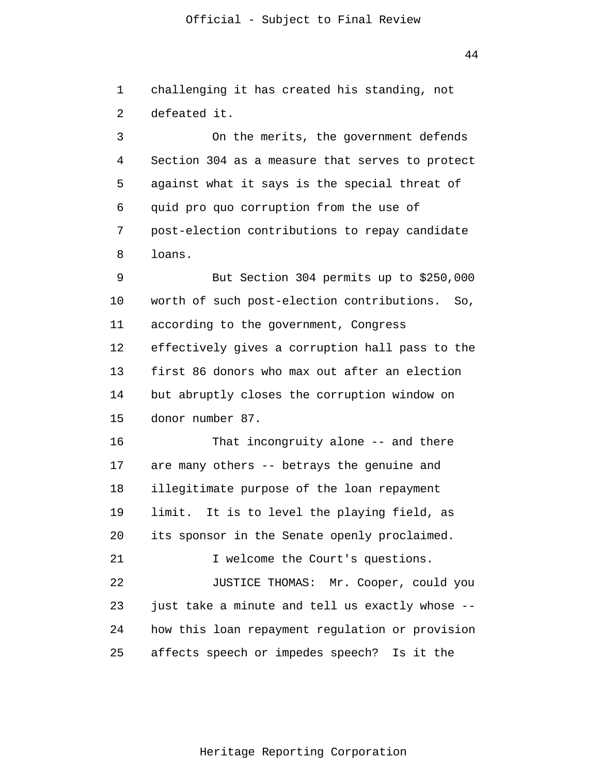44

1 2 challenging it has created his standing, not defeated it.

3 4 5 6 7 8 On the merits, the government defends Section 304 as a measure that serves to protect against what it says is the special threat of quid pro quo corruption from the use of post-election contributions to repay candidate loans.

9 10 11 12 13 14 15 But Section 304 permits up to \$250,000 worth of such post-election contributions. So, according to the government, Congress effectively gives a corruption hall pass to the first 86 donors who max out after an election but abruptly closes the corruption window on donor number 87.

16 17 18 19 20 21 22 That incongruity alone -- and there are many others -- betrays the genuine and illegitimate purpose of the loan repayment limit. It is to level the playing field, as its sponsor in the Senate openly proclaimed. I welcome the Court's questions. JUSTICE THOMAS: Mr. Cooper, could you

23 24 25 just take a minute and tell us exactly whose - how this loan repayment regulation or provision affects speech or impedes speech? Is it the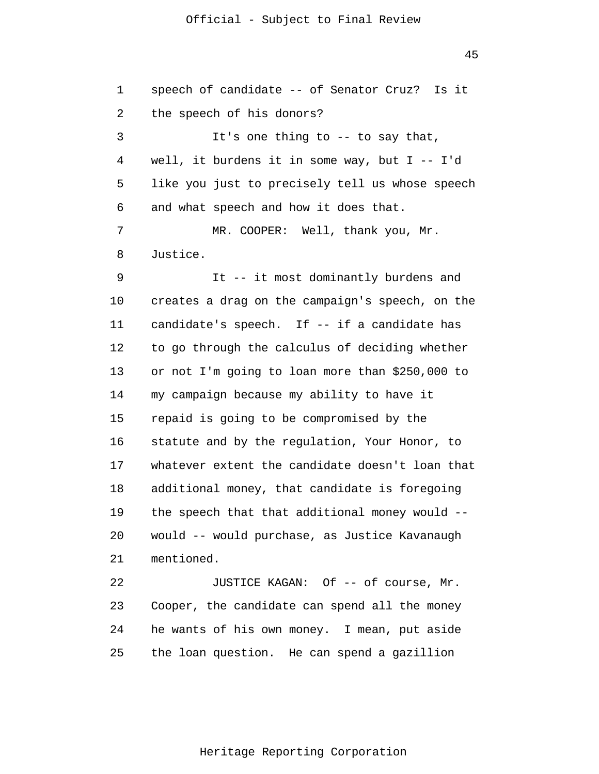45

1 2 3 4 5 6 7 8 9 10 11 12 13 14 15 16 17 18 19 20 21 22 23 24 25 speech of candidate -- of Senator Cruz? Is it the speech of his donors? It's one thing to -- to say that, well, it burdens it in some way, but I -- I'd like you just to precisely tell us whose speech and what speech and how it does that. MR. COOPER: Well, thank you, Mr. Justice. It -- it most dominantly burdens and creates a drag on the campaign's speech, on the candidate's speech. If -- if a candidate has to go through the calculus of deciding whether or not I'm going to loan more than \$250,000 to my campaign because my ability to have it repaid is going to be compromised by the statute and by the regulation, Your Honor, to whatever extent the candidate doesn't loan that additional money, that candidate is foregoing the speech that that additional money would - would -- would purchase, as Justice Kavanaugh mentioned. JUSTICE KAGAN: Of -- of course, Mr. Cooper, the candidate can spend all the money he wants of his own money. I mean, put aside the loan question. He can spend a gazillion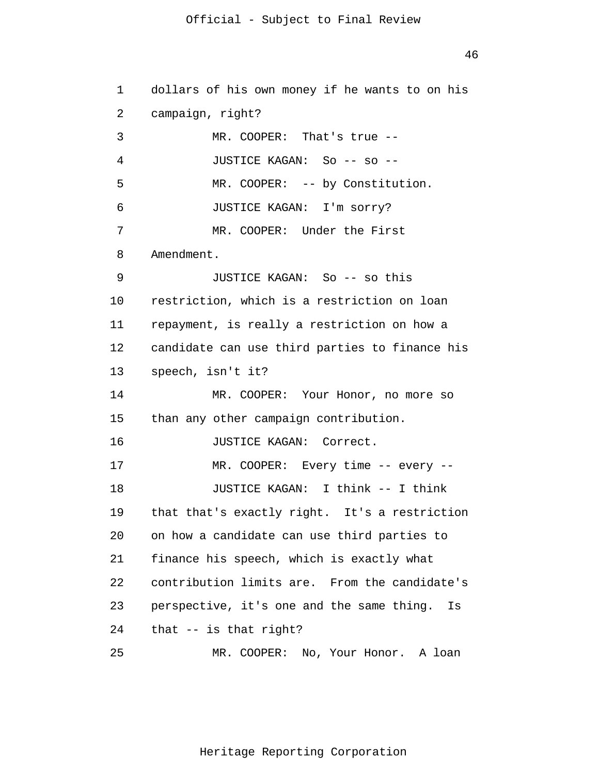1 2 3 4 5 6 7 8 9 10 11 12 13 14 15 16 17 18 19 20 21 22 23 24 25 dollars of his own money if he wants to on his campaign, right? MR. COOPER: That's true -- JUSTICE KAGAN: So -- so -- MR. COOPER: -- by Constitution. JUSTICE KAGAN: I'm sorry? MR. COOPER: Under the First Amendment. JUSTICE KAGAN: So -- so this restriction, which is a restriction on loan repayment, is really a restriction on how a candidate can use third parties to finance his speech, isn't it? MR. COOPER: Your Honor, no more so than any other campaign contribution. JUSTICE KAGAN: Correct. MR. COOPER: Every time -- every -- JUSTICE KAGAN: I think -- I think that that's exactly right. It's a restriction on how a candidate can use third parties to finance his speech, which is exactly what contribution limits are. From the candidate's perspective, it's one and the same thing. Is that -- is that right? MR. COOPER: No, Your Honor. A loan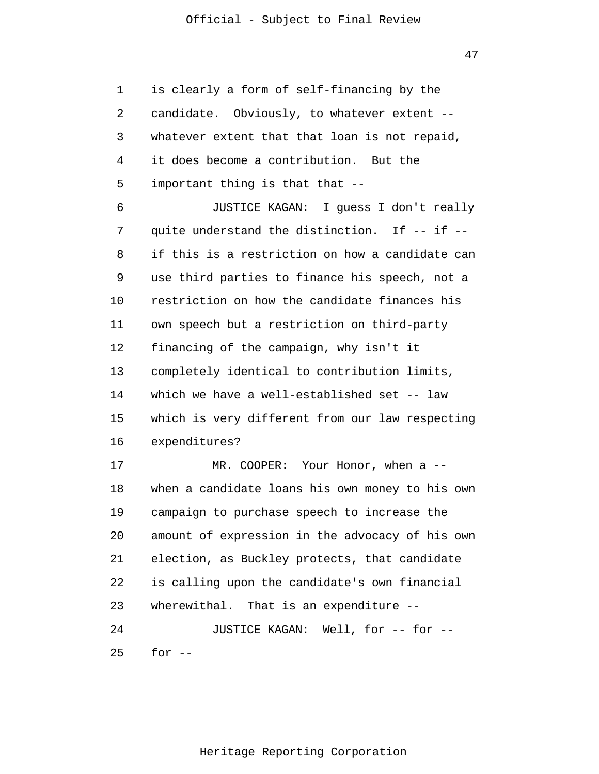1 2 3 4 5 6 7 8 9 10 11 12 13 14 15 16 17 18 19 20 21 22 23 24 25 is clearly a form of self-financing by the candidate. Obviously, to whatever extent - whatever extent that that loan is not repaid, it does become a contribution. But the important thing is that that --JUSTICE KAGAN: I guess I don't really quite understand the distinction. If -- if - if this is a restriction on how a candidate can use third parties to finance his speech, not a restriction on how the candidate finances his own speech but a restriction on third-party financing of the campaign, why isn't it completely identical to contribution limits, which we have a well-established set -- law which is very different from our law respecting expenditures? MR. COOPER: Your Honor, when a -when a candidate loans his own money to his own campaign to purchase speech to increase the amount of expression in the advocacy of his own election, as Buckley protects, that candidate is calling upon the candidate's own financial wherewithal. That is an expenditure --JUSTICE KAGAN: Well, for -- for - for  $--$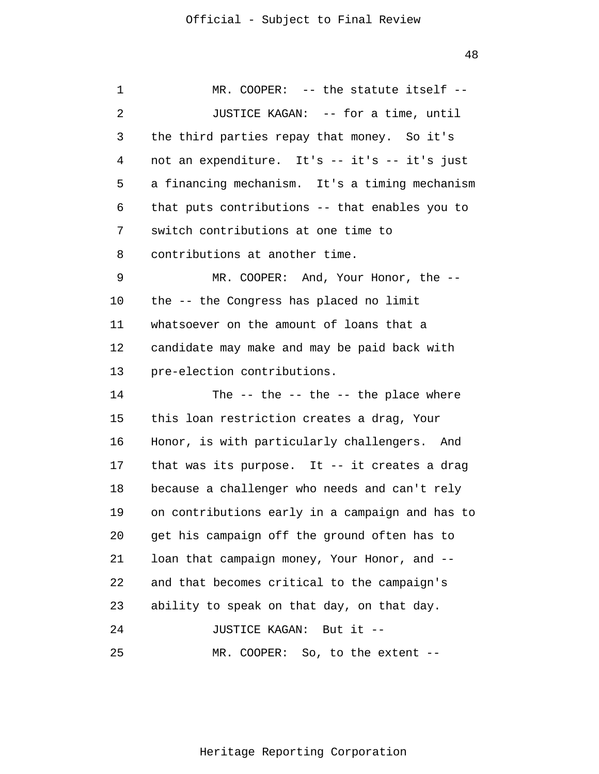| 1  | MR. COOPER: -- the statute itself --            |
|----|-------------------------------------------------|
| 2  | JUSTICE KAGAN: -- for a time, until             |
| 3  | the third parties repay that money. So it's     |
| 4  | not an expenditure. It's -- it's -- it's just   |
| 5  | a financing mechanism. It's a timing mechanism  |
| 6  | that puts contributions -- that enables you to  |
| 7  | switch contributions at one time to             |
| 8  | contributions at another time.                  |
| 9  | MR. COOPER: And, Your Honor, the --             |
| 10 | the -- the Congress has placed no limit         |
| 11 | whatsoever on the amount of loans that a        |
| 12 | candidate may make and may be paid back with    |
| 13 | pre-election contributions.                     |
| 14 | The $-$ the $-$ the $-$ the place where         |
| 15 | this loan restriction creates a drag, Your      |
| 16 | Honor, is with particularly challengers. And    |
| 17 | that was its purpose. It -- it creates a drag   |
| 18 | because a challenger who needs and can't rely   |
| 19 | on contributions early in a campaign and has to |
| 20 | get his campaign off the ground often has to    |
| 21 | loan that campaign money, Your Honor, and --    |
| 22 | and that becomes critical to the campaign's     |
| 23 | ability to speak on that day, on that day.      |
| 24 | JUSTICE KAGAN: But it --                        |
| 25 | MR. COOPER: So, to the extent --                |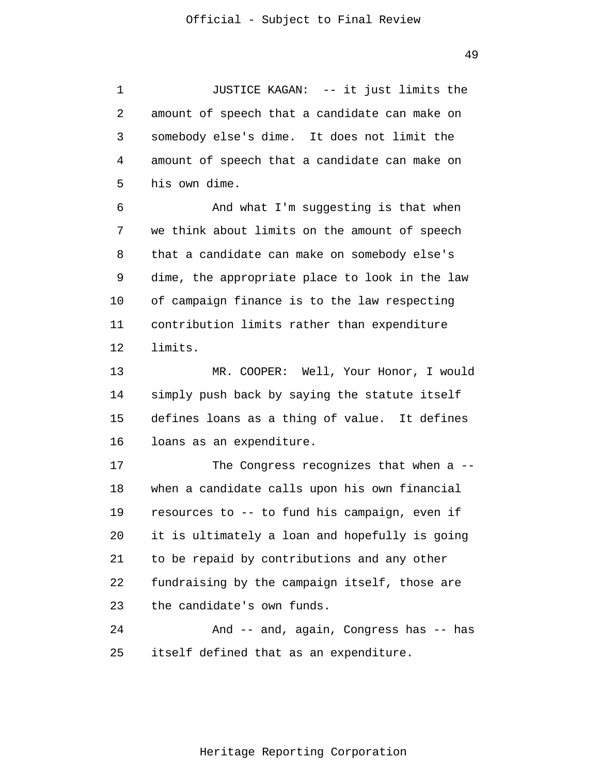1 2 3 4 5 JUSTICE KAGAN: -- it just limits the amount of speech that a candidate can make on somebody else's dime. It does not limit the amount of speech that a candidate can make on his own dime.

6 7 8 9 10 11 12 And what I'm suggesting is that when we think about limits on the amount of speech that a candidate can make on somebody else's dime, the appropriate place to look in the law of campaign finance is to the law respecting contribution limits rather than expenditure limits.

13 14 15 16 MR. COOPER: Well, Your Honor, I would simply push back by saying the statute itself defines loans as a thing of value. It defines loans as an expenditure.

17 18 19 20 21 22 23 The Congress recognizes that when a - when a candidate calls upon his own financial resources to -- to fund his campaign, even if it is ultimately a loan and hopefully is going to be repaid by contributions and any other fundraising by the campaign itself, those are the candidate's own funds.

24 25 And -- and, again, Congress has -- has itself defined that as an expenditure.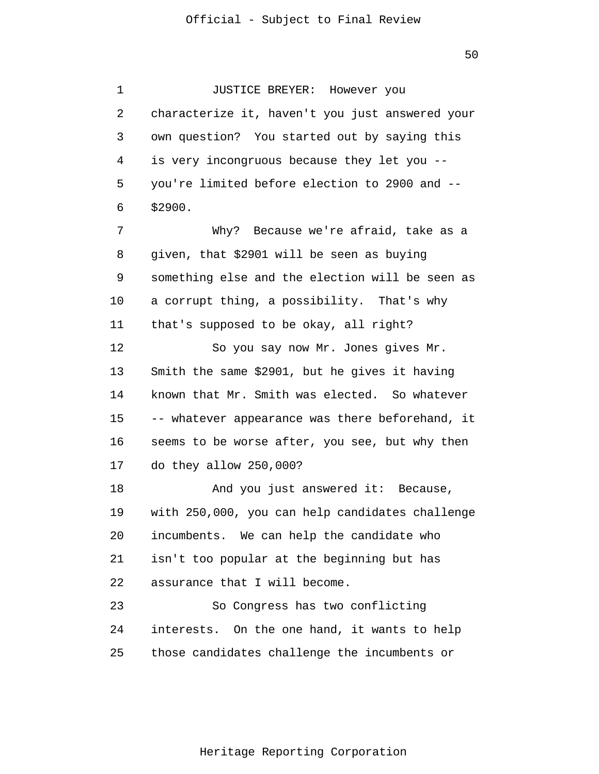50

1 2 3 4 5 6 7 8 9 10 11 12 13 14 15 16 17 18 19 20 21 22 23 24 25 JUSTICE BREYER: However you characterize it, haven't you just answered your own question? You started out by saying this is very incongruous because they let you - you're limited before election to 2900 and -- \$2900. Why? Because we're afraid, take as a given, that \$2901 will be seen as buying something else and the election will be seen as a corrupt thing, a possibility. That's why that's supposed to be okay, all right? So you say now Mr. Jones gives Mr. Smith the same \$2901, but he gives it having known that Mr. Smith was elected. So whatever -- whatever appearance was there beforehand, it seems to be worse after, you see, but why then do they allow 250,000? And you just answered it: Because, with 250,000, you can help candidates challenge incumbents. We can help the candidate who isn't too popular at the beginning but has assurance that I will become. So Congress has two conflicting interests. On the one hand, it wants to help those candidates challenge the incumbents or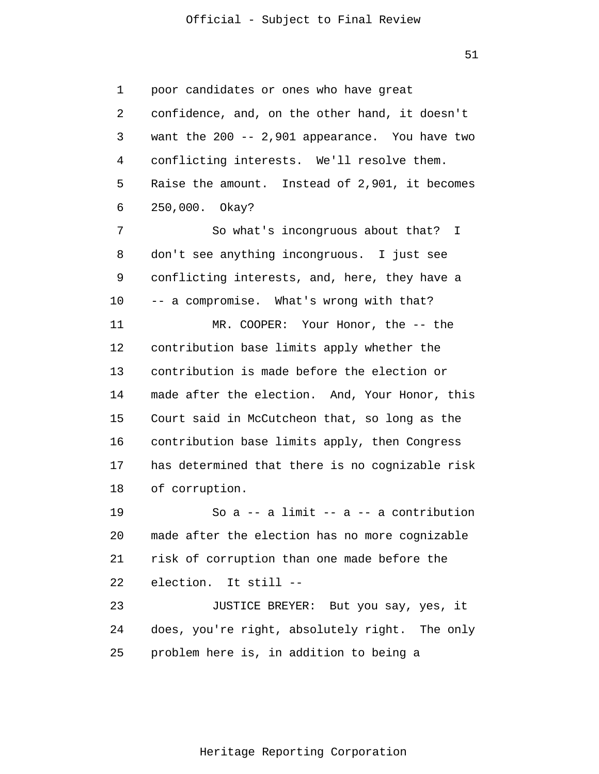51

1 2 3 4 5 6 7 8 9 10 11 12 13 14 15 16 17 18 19 20 21 22 23 24 25 poor candidates or ones who have great confidence, and, on the other hand, it doesn't want the 200 -- 2,901 appearance. You have two conflicting interests. We'll resolve them. Raise the amount. Instead of 2,901, it becomes 250,000. Okay? So what's incongruous about that? I don't see anything incongruous. I just see conflicting interests, and, here, they have a -- a compromise. What's wrong with that? MR. COOPER: Your Honor, the -- the contribution base limits apply whether the contribution is made before the election or made after the election. And, Your Honor, this Court said in McCutcheon that, so long as the contribution base limits apply, then Congress has determined that there is no cognizable risk of corruption. So  $a$  -- a limit --  $a$  -- a contribution made after the election has no more cognizable risk of corruption than one made before the election. It still -- JUSTICE BREYER: But you say, yes, it does, you're right, absolutely right. The only problem here is, in addition to being a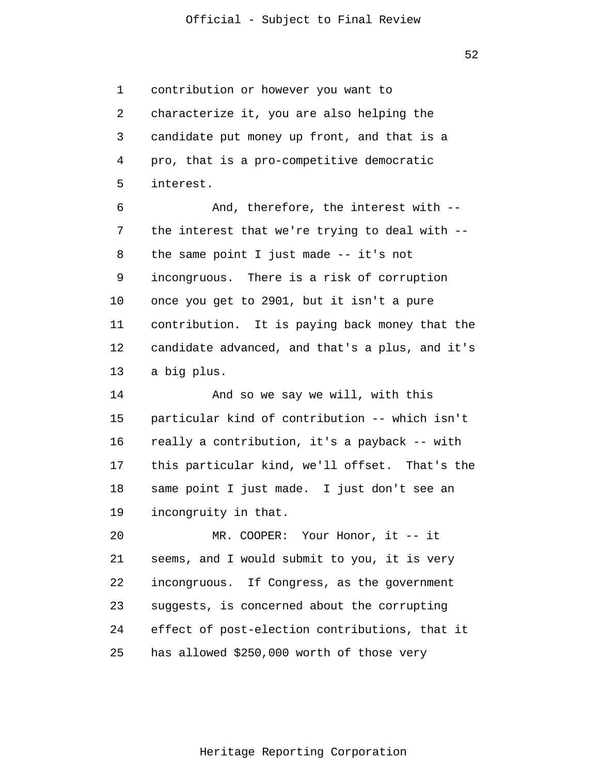52

1 2 3 4 5 6 7 8 9 10 11 12 13 14 contribution or however you want to characterize it, you are also helping the candidate put money up front, and that is a pro, that is a pro-competitive democratic interest. And, therefore, the interest with - the interest that we're trying to deal with - the same point I just made -- it's not incongruous. There is a risk of corruption once you get to 2901, but it isn't a pure contribution. It is paying back money that the candidate advanced, and that's a plus, and it's a big plus. And so we say we will, with this

15 16 17 18 19 particular kind of contribution -- which isn't really a contribution, it's a payback -- with this particular kind, we'll offset. That's the same point I just made. I just don't see an incongruity in that.

20 21 22 23 24 25 MR. COOPER: Your Honor, it -- it seems, and I would submit to you, it is very incongruous. If Congress, as the government suggests, is concerned about the corrupting effect of post-election contributions, that it has allowed \$250,000 worth of those very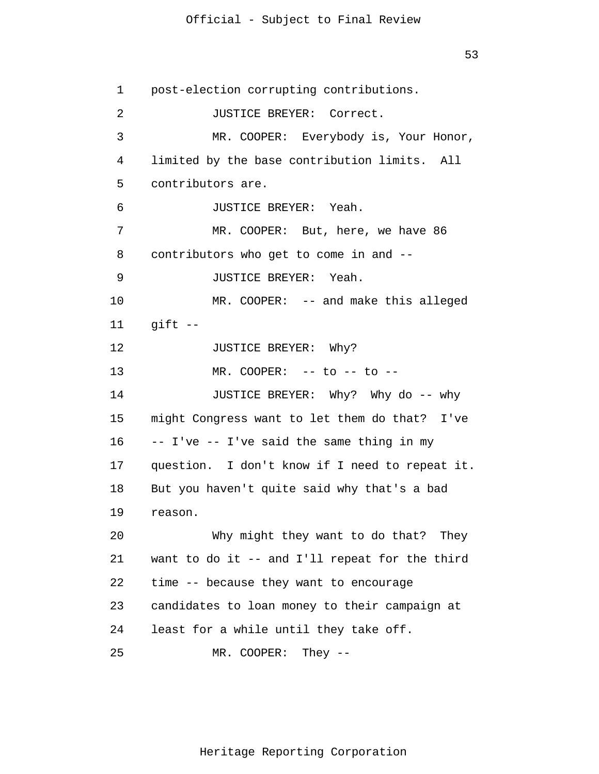53

1 2 3 4 5 6 7 8 9 10 11 12 13 14 15 16 17 18 19 20 21 22 23 24 25 post-election corrupting contributions. JUSTICE BREYER: Correct. MR. COOPER: Everybody is, Your Honor, limited by the base contribution limits. All contributors are. JUSTICE BREYER: Yeah. MR. COOPER: But, here, we have 86 contributors who get to come in and -- JUSTICE BREYER: Yeah. MR. COOPER: -- and make this alleged  $q$ ift  $-$ JUSTICE BREYER: Why?  $MR. COOPER: -- to -- to --$ JUSTICE BREYER: Why? Why do -- why might Congress want to let them do that? I've -- I've -- I've said the same thing in my question. I don't know if I need to repeat it. But you haven't quite said why that's a bad reason. Why might they want to do that? They want to do it -- and I'll repeat for the third time -- because they want to encourage candidates to loan money to their campaign at least for a while until they take off. MR. COOPER: They --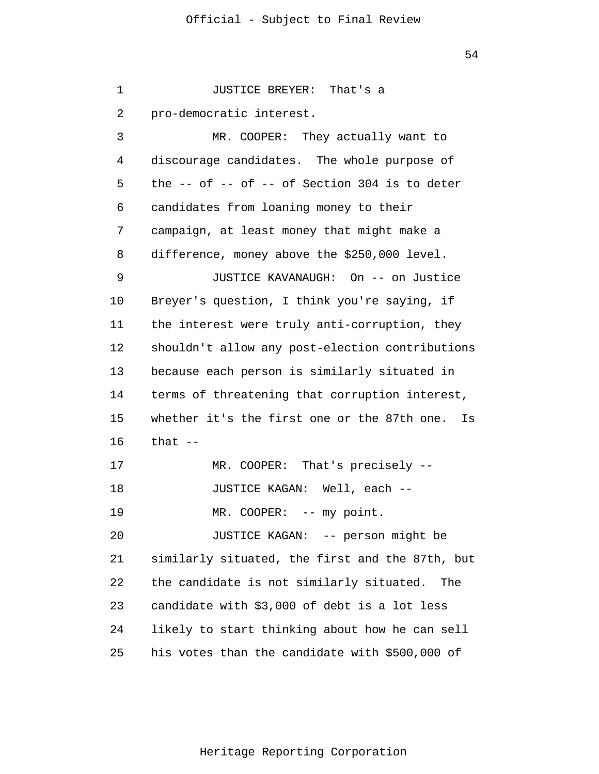54

1 2 3 4 5 6 7 8 9 10 11 12 13 14 15 16 17 18 19 20 21 22 23 24 25 JUSTICE BREYER: That's a pro-democratic interest. MR. COOPER: They actually want to discourage candidates. The whole purpose of the  $--$  of  $--$  of  $--$  of Section 304 is to deter candidates from loaning money to their campaign, at least money that might make a difference, money above the \$250,000 level. JUSTICE KAVANAUGH: On -- on Justice Breyer's question, I think you're saying, if the interest were truly anti-corruption, they shouldn't allow any post-election contributions because each person is similarly situated in terms of threatening that corruption interest, whether it's the first one or the 87th one. Is that  $--$ MR. COOPER: That's precisely -- JUSTICE KAGAN: Well, each -- MR. COOPER: -- my point. JUSTICE KAGAN: -- person might be similarly situated, the first and the 87th, but the candidate is not similarly situated. The candidate with \$3,000 of debt is a lot less likely to start thinking about how he can sell his votes than the candidate with \$500,000 of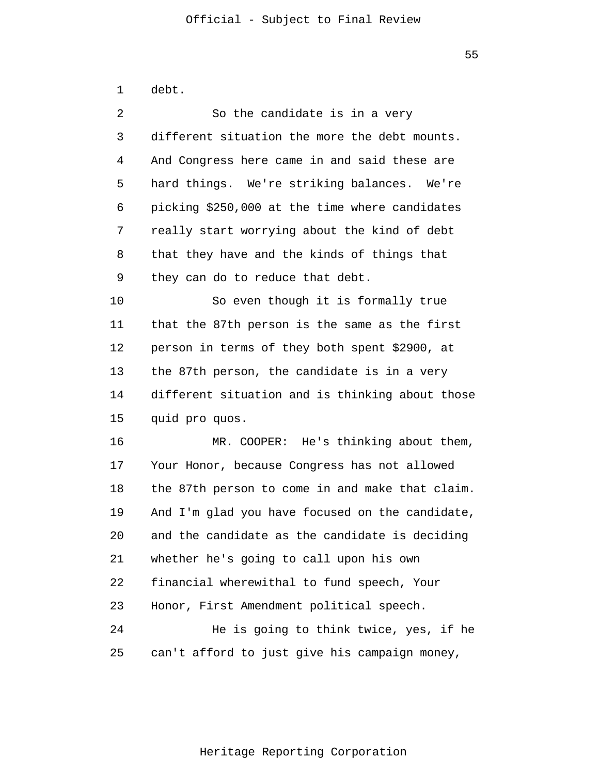1 2 3 4 5 6 7 8 9 10 11 12 13 14 15 16 17 18 19 20 21 22 23 24 25 debt. So the candidate is in a very different situation the more the debt mounts. And Congress here came in and said these are hard things. We're striking balances. We're picking \$250,000 at the time where candidates really start worrying about the kind of debt that they have and the kinds of things that they can do to reduce that debt. So even though it is formally true that the 87th person is the same as the first person in terms of they both spent \$2900, at the 87th person, the candidate is in a very different situation and is thinking about those quid pro quos. MR. COOPER: He's thinking about them, Your Honor, because Congress has not allowed the 87th person to come in and make that claim. And I'm glad you have focused on the candidate, and the candidate as the candidate is deciding whether he's going to call upon his own financial wherewithal to fund speech, Your Honor, First Amendment political speech. He is going to think twice, yes, if he can't afford to just give his campaign money,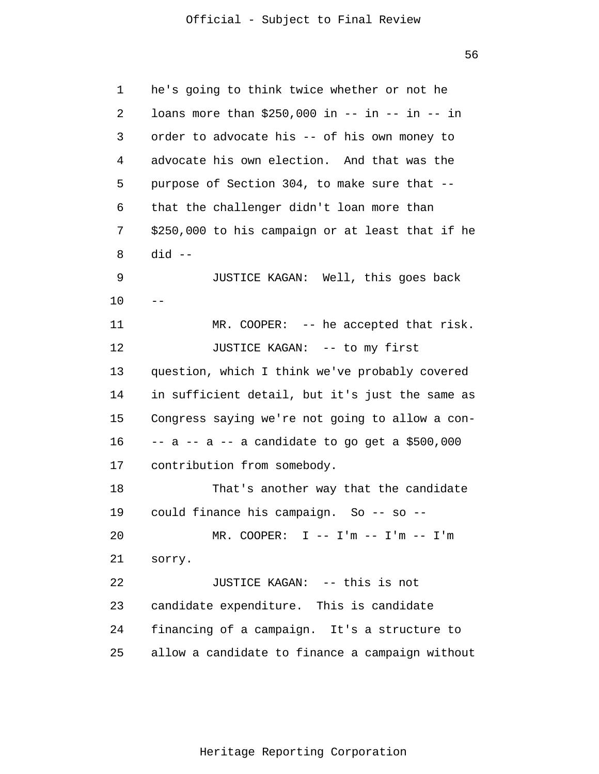56

| 1  | he's going to think twice whether or not he       |
|----|---------------------------------------------------|
| 2  | loans more than \$250,000 in -- in -- in -- in    |
| 3  | order to advocate his -- of his own money to      |
| 4  | advocate his own election. And that was the       |
| 5  | purpose of Section 304, to make sure that --      |
| 6  | that the challenger didn't loan more than         |
| 7  | \$250,000 to his campaign or at least that if he  |
| 8  | did --                                            |
| 9  | JUSTICE KAGAN: Well, this goes back               |
| 10 |                                                   |
| 11 | $MR. COOPER: -- he accepted that risk.$           |
| 12 | JUSTICE KAGAN: -- to my first                     |
| 13 | question, which I think we've probably covered    |
| 14 | in sufficient detail, but it's just the same as   |
| 15 | Congress saying we're not going to allow a con-   |
| 16 | $-$ a $-$ a $-$ a candidate to go get a \$500,000 |
| 17 | contribution from somebody.                       |
| 18 | That's another way that the candidate             |
| 19 | could finance his campaign. So -- so              |
| 20 | MR. COOPER: $I$ -- $I'm$ -- $I'm$ -- $I'm$        |
| 21 | sorry.                                            |
| 22 | JUSTICE KAGAN: -- this is not                     |
| 23 | candidate expenditure. This is candidate          |
| 24 | financing of a campaign. It's a structure to      |
| 25 | allow a candidate to finance a campaign without   |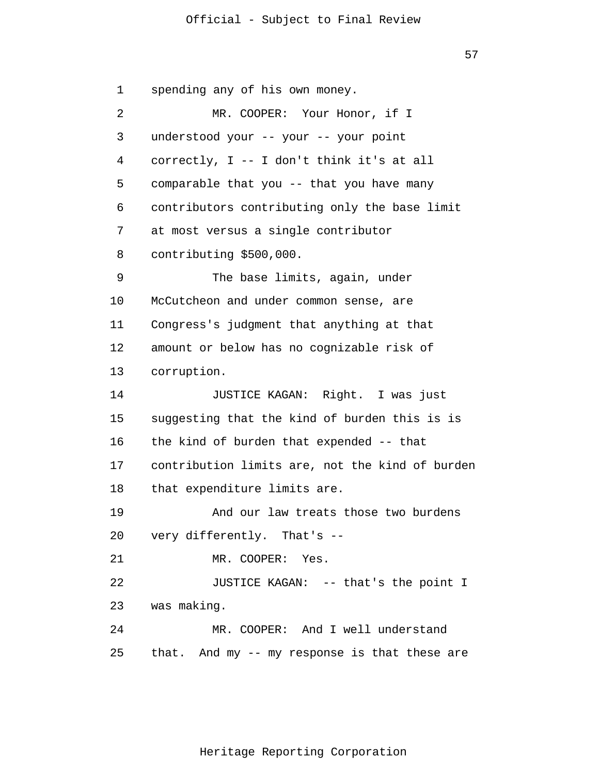57

1 2 3 4 5 6 7 8 9 10 11 12 13 14 15 16 17 18 19 20 21 22 23 24 25 spending any of his own money. MR. COOPER: Your Honor, if I understood your -- your -- your point correctly, I -- I don't think it's at all comparable that you -- that you have many contributors contributing only the base limit at most versus a single contributor contributing \$500,000. The base limits, again, under McCutcheon and under common sense, are Congress's judgment that anything at that amount or below has no cognizable risk of corruption. JUSTICE KAGAN: Right. I was just suggesting that the kind of burden this is is the kind of burden that expended -- that contribution limits are, not the kind of burden that expenditure limits are. And our law treats those two burdens very differently. That's -- MR. COOPER: Yes. JUSTICE KAGAN: -- that's the point I was making. MR. COOPER: And I well understand that. And my -- my response is that these are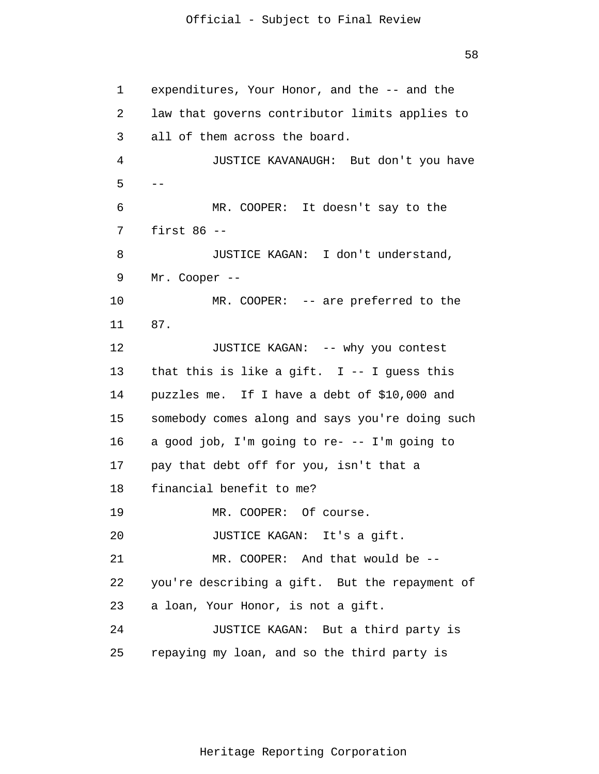58

```
1 
 2 
 3 
 4 
 5 
 6 
 7 
 8 
 9 
10 
11 
12 
13 
14 
15 
16 
17 
18 
19 
20 
21 
22 
23 
24 
25 
      - - expenditures, Your Honor, and the -- and the 
      law that governs contributor limits applies to 
      all of them across the board.
                JUSTICE KAVANAUGH: But don't you have
                MR. COOPER: It doesn't say to the
      first 86 - -JUSTICE KAGAN: I don't understand,
       Mr. Cooper --
               MR. COOPER: -- are preferred to the
      87. 
               JUSTICE KAGAN: -- why you contest 
      that this is like a gift. I - - I guess this
      puzzles me. If I have a debt of $10,000 and 
      somebody comes along and says you're doing such 
      a good job, I'm going to re- -- I'm going to 
      pay that debt off for you, isn't that a 
      financial benefit to me? 
               MR. COOPER: Of course. 
               JUSTICE KAGAN: It's a gift. 
               MR. COOPER: And that would be --
      you're describing a gift. But the repayment of 
      a loan, Your Honor, is not a gift. 
               JUSTICE KAGAN: But a third party is 
      repaying my loan, and so the third party is
```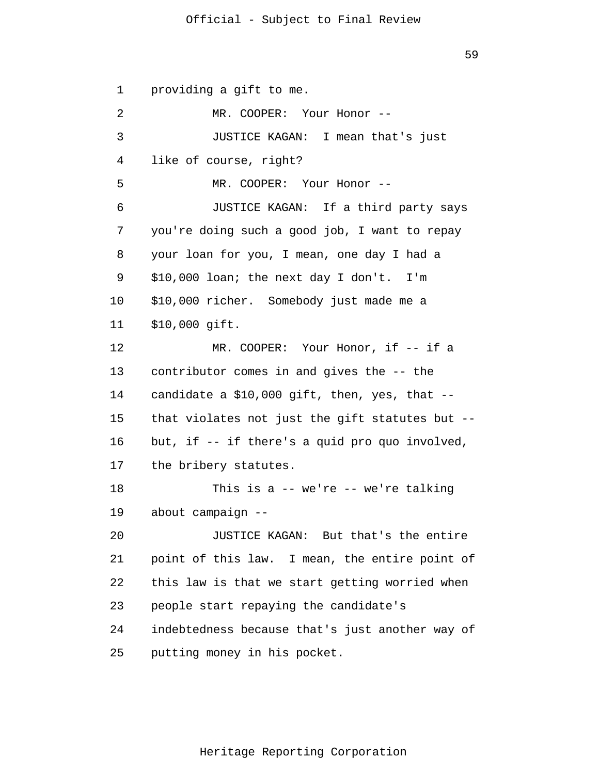59

1 2 3 4 5 6 7 8 9 10 11 12 13 14 15 16 17 18 19 20 21 22 23 24 25 providing a gift to me. MR. COOPER: Your Honor -- JUSTICE KAGAN: I mean that's just like of course, right? MR. COOPER: Your Honor -- JUSTICE KAGAN: If a third party says you're doing such a good job, I want to repay your loan for you, I mean, one day I had a \$10,000 loan; the next day I don't. I'm \$10,000 richer. Somebody just made me a \$10,000 gift. MR. COOPER: Your Honor, if -- if a contributor comes in and gives the -- the candidate a \$10,000 gift, then, yes, that - that violates not just the gift statutes but - but, if -- if there's a quid pro quo involved, the bribery statutes. This is a -- we're -- we're talking about campaign -- JUSTICE KAGAN: But that's the entire point of this law. I mean, the entire point of this law is that we start getting worried when people start repaying the candidate's indebtedness because that's just another way of putting money in his pocket.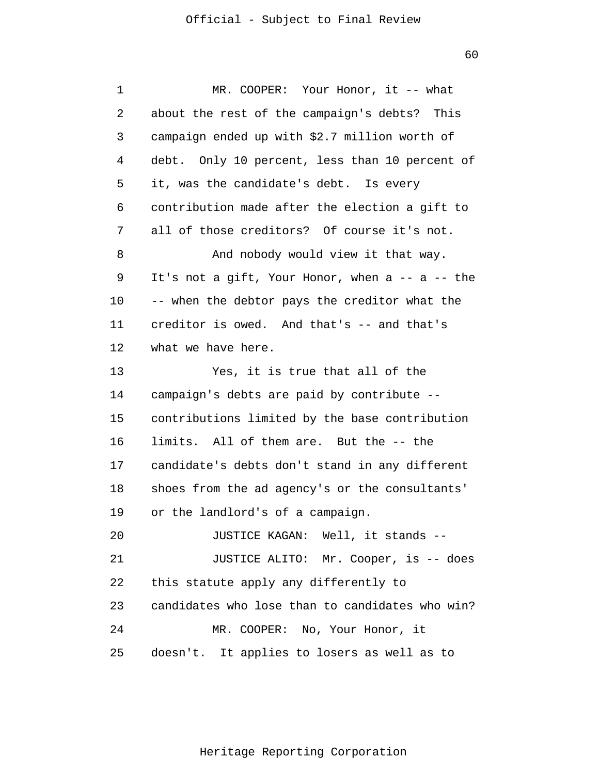60

1 2 3 4 5 6 7 8 9 10 11 12 13 14 15 16 17 18 19 20 21 22 23 24 25 MR. COOPER: Your Honor, it -- what about the rest of the campaign's debts? This campaign ended up with \$2.7 million worth of debt. Only 10 percent, less than 10 percent of it, was the candidate's debt. Is every contribution made after the election a gift to all of those creditors? Of course it's not. And nobody would view it that way. It's not a gift, Your Honor, when a -- a -- the -- when the debtor pays the creditor what the creditor is owed. And that's -- and that's what we have here. Yes, it is true that all of the campaign's debts are paid by contribute - contributions limited by the base contribution limits. All of them are. But the -- the candidate's debts don't stand in any different shoes from the ad agency's or the consultants' or the landlord's of a campaign. JUSTICE KAGAN: Well, it stands -- JUSTICE ALITO: Mr. Cooper, is -- does this statute apply any differently to candidates who lose than to candidates who win? MR. COOPER: No, Your Honor, it doesn't. It applies to losers as well as to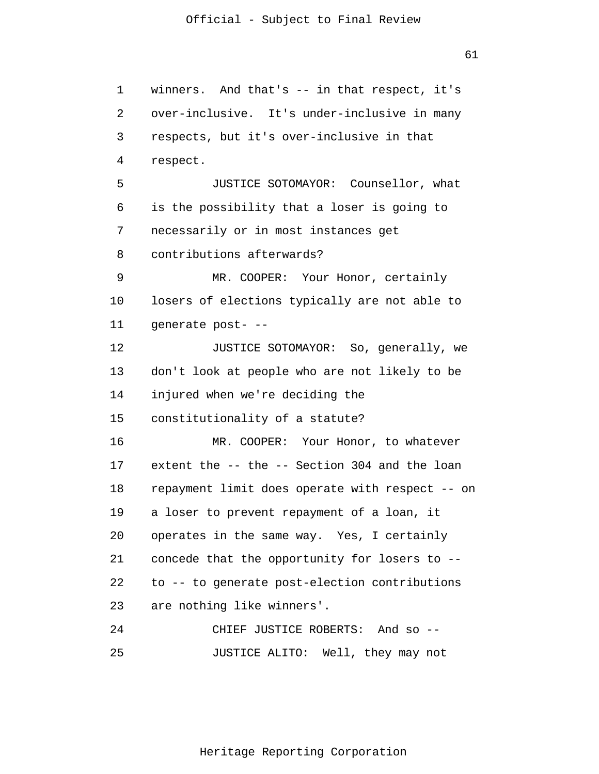1 2 3 4 5 6 7 8 9 10 11 12 13 14 15 16 17 18 19 20 21 22 23 24 25 winners. And that's -- in that respect, it's over-inclusive. It's under-inclusive in many respects, but it's over-inclusive in that respect. JUSTICE SOTOMAYOR: Counsellor, what is the possibility that a loser is going to necessarily or in most instances get contributions afterwards? MR. COOPER: Your Honor, certainly losers of elections typically are not able to generate post- -- JUSTICE SOTOMAYOR: So, generally, we don't look at people who are not likely to be injured when we're deciding the constitutionality of a statute? MR. COOPER: Your Honor, to whatever extent the -- the -- Section 304 and the loan repayment limit does operate with respect -- on a loser to prevent repayment of a loan, it operates in the same way. Yes, I certainly concede that the opportunity for losers to - to -- to generate post-election contributions are nothing like winners'. CHIEF JUSTICE ROBERTS: And so -- JUSTICE ALITO: Well, they may not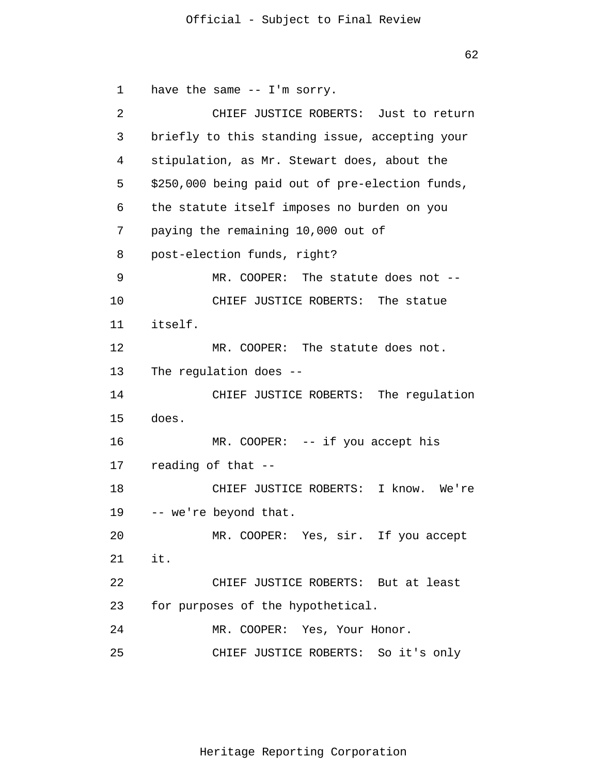```
62
```
1 2 3 4 5 6 7 8 9 10 11 12 13 14 15 16 17 18 19 20 21 22 23 24 25 have the same -- I'm sorry. CHIEF JUSTICE ROBERTS: Just to return briefly to this standing issue, accepting your stipulation, as Mr. Stewart does, about the \$250,000 being paid out of pre-election funds, the statute itself imposes no burden on you paying the remaining 10,000 out of post-election funds, right? MR. COOPER: The statute does not -- CHIEF JUSTICE ROBERTS: The statue itself. MR. COOPER: The statute does not. The regulation does -- CHIEF JUSTICE ROBERTS: The regulation does. MR. COOPER: -- if you accept his reading of that -- CHIEF JUSTICE ROBERTS: I know. We're -- we're beyond that. MR. COOPER: Yes, sir. If you accept it. CHIEF JUSTICE ROBERTS: But at least for purposes of the hypothetical. MR. COOPER: Yes, Your Honor. CHIEF JUSTICE ROBERTS: So it's only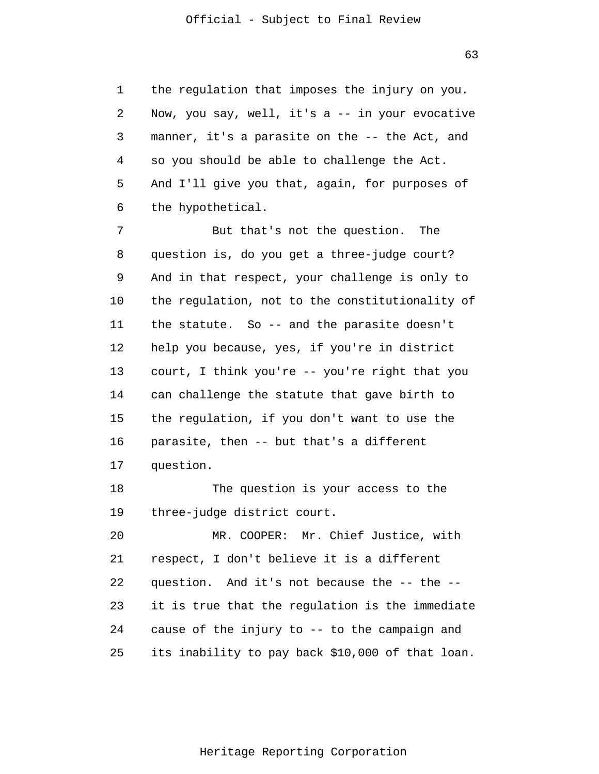1 2 3 4 5 6 the regulation that imposes the injury on you. Now, you say, well, it's a -- in your evocative manner, it's a parasite on the -- the Act, and so you should be able to challenge the Act. And I'll give you that, again, for purposes of the hypothetical.

7 8 9 10 11 12 13 14 15 16 17 But that's not the question. The question is, do you get a three-judge court? And in that respect, your challenge is only to the regulation, not to the constitutionality of the statute. So -- and the parasite doesn't help you because, yes, if you're in district court, I think you're -- you're right that you can challenge the statute that gave birth to the regulation, if you don't want to use the parasite, then -- but that's a different question.

18 19 The question is your access to the three-judge district court.

20 21 22 23 24 25 MR. COOPER: Mr. Chief Justice, with respect, I don't believe it is a different question. And it's not because the -- the - it is true that the regulation is the immediate cause of the injury to -- to the campaign and its inability to pay back \$10,000 of that loan.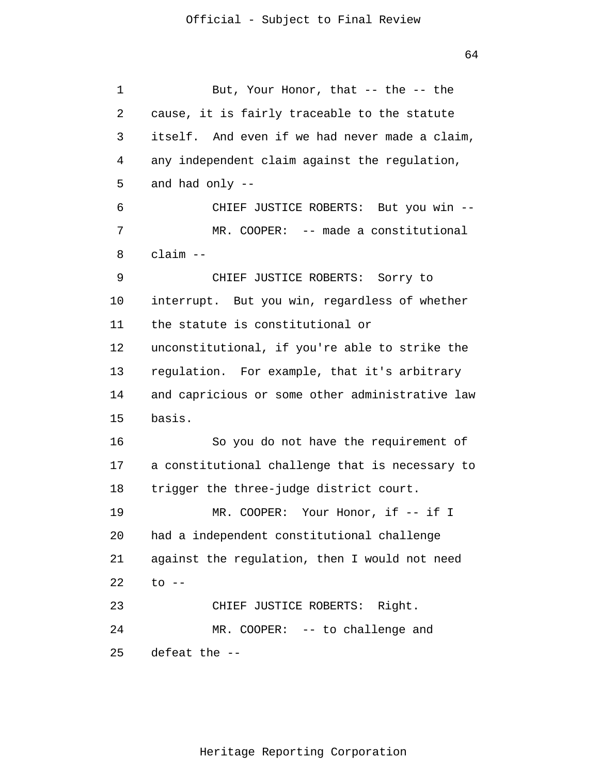1 2 3 4 5 6 7 8 9 10 11 12 13 14 15 16 17 18 19 20 21 22 23 24 25 But, Your Honor, that -- the -- the cause, it is fairly traceable to the statute itself. And even if we had never made a claim, any independent claim against the regulation, and had only -- CHIEF JUSTICE ROBERTS: But you win -- MR. COOPER: -- made a constitutional claim -- CHIEF JUSTICE ROBERTS: Sorry to interrupt. But you win, regardless of whether the statute is constitutional or unconstitutional, if you're able to strike the regulation. For example, that it's arbitrary and capricious or some other administrative law basis. So you do not have the requirement of a constitutional challenge that is necessary to trigger the three-judge district court. MR. COOPER: Your Honor, if -- if I had a independent constitutional challenge against the regulation, then I would not need to  $--$ CHIEF JUSTICE ROBERTS: Right. MR. COOPER: -- to challenge and defeat the --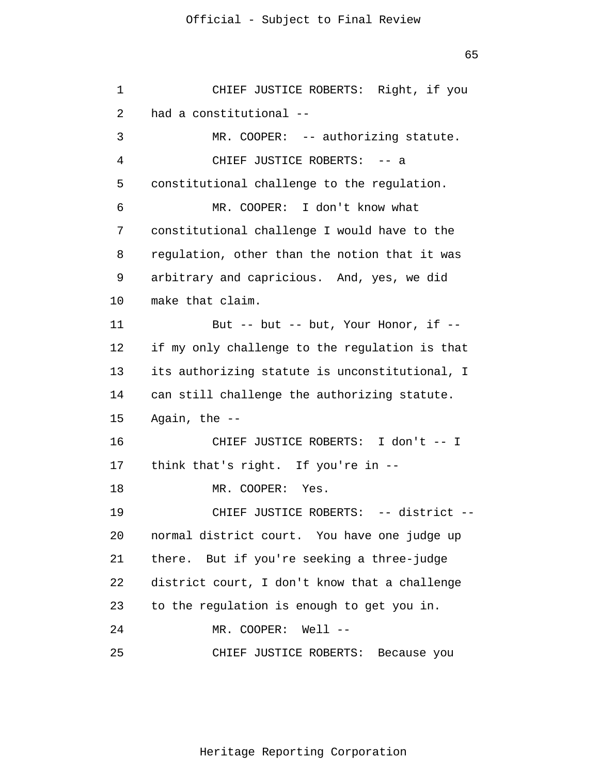65

```
1 
 2 
 3 
 4 
 5 
 6 
 7 
 8 
 9 
10 
11 
12 
13 
14 
15 
16 
17 
18 
19 
20 
21 
22 
23 
24 
25 
               CHIEF JUSTICE ROBERTS: Right, if you
       had a constitutional --
               MR. COOPER: -- authorizing statute.
               CHIEF JUSTICE ROBERTS: -- a
      constitutional challenge to the regulation.
                MR. COOPER: I don't know what 
      constitutional challenge I would have to the 
      regulation, other than the notion that it was
       arbitrary and capricious. And, yes, we did 
      make that claim. 
               But -- but -- but, Your Honor, if --
      if my only challenge to the regulation is that 
      its authorizing statute is unconstitutional, I 
      can still challenge the authorizing statute. 
      Again, the --
               CHIEF JUSTICE ROBERTS: I don't -- I 
      think that's right. If you're in --
               MR. COOPER: Yes. 
               CHIEF JUSTICE ROBERTS: -- district --
      normal district court. You have one judge up 
      there. But if you're seeking a three-judge 
      district court, I don't know that a challenge 
      to the regulation is enough to get you in. 
               MR. COOPER: Well --
               CHIEF JUSTICE ROBERTS: Because you
```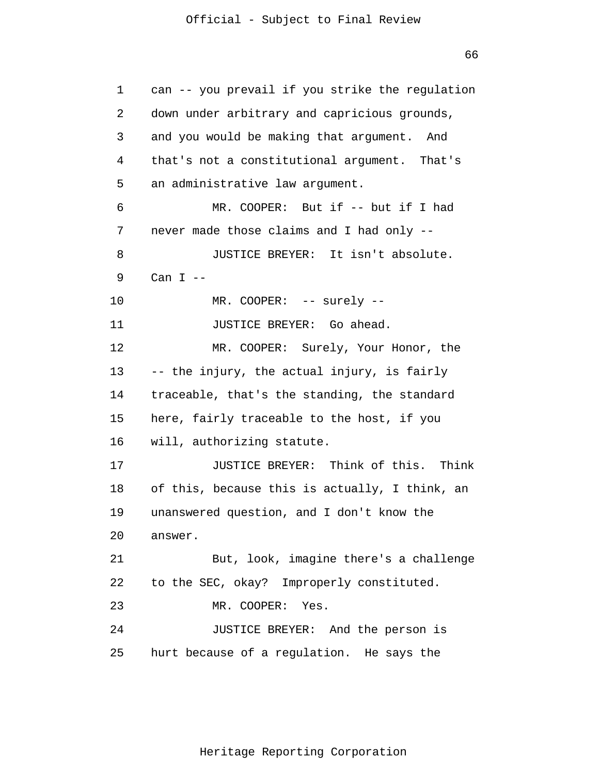66

1 2 3 4 5 6 7 8 9 10 11 12 13 14 15 16 17 18 19 20 21 22 23 24 25 can -- you prevail if you strike the regulation down under arbitrary and capricious grounds, and you would be making that argument. And that's not a constitutional argument. That's an administrative law argument. MR. COOPER: But if -- but if I had never made those claims and I had only -- JUSTICE BREYER: It isn't absolute. Can  $I$  --MR. COOPER: -- surely --JUSTICE BREYER: Go ahead. MR. COOPER: Surely, Your Honor, the -- the injury, the actual injury, is fairly traceable, that's the standing, the standard here, fairly traceable to the host, if you will, authorizing statute. JUSTICE BREYER: Think of this. Think of this, because this is actually, I think, an unanswered question, and I don't know the answer. But, look, imagine there's a challenge to the SEC, okay? Improperly constituted. MR. COOPER: Yes. JUSTICE BREYER: And the person is hurt because of a regulation. He says the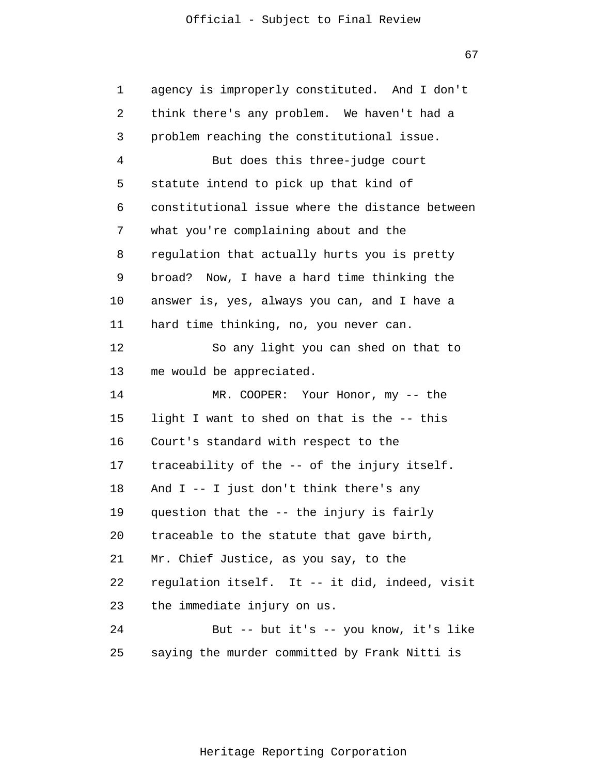67

| 1  | agency is improperly constituted. And I don't   |
|----|-------------------------------------------------|
| 2  | think there's any problem. We haven't had a     |
| 3  | problem reaching the constitutional issue.      |
| 4  | But does this three-judge court                 |
| 5  | statute intend to pick up that kind of          |
| 6  | constitutional issue where the distance between |
| 7  | what you're complaining about and the           |
| 8  | regulation that actually hurts you is pretty    |
| 9  | broad? Now, I have a hard time thinking the     |
| 10 | answer is, yes, always you can, and I have a    |
| 11 | hard time thinking, no, you never can.          |
| 12 | So any light you can shed on that to            |
| 13 | me would be appreciated.                        |
| 14 | MR. COOPER: Your Honor, my -- the               |
| 15 | light I want to shed on that is the -- this     |
| 16 | Court's standard with respect to the            |
| 17 | traceability of the -- of the injury itself.    |
| 18 | And $I$ -- I just don't think there's any       |
| 19 | question that the -- the injury is fairly       |
| 20 | traceable to the statute that gave birth,       |
| 21 | Mr. Chief Justice, as you say, to the           |
| 22 | regulation itself. It -- it did, indeed, visit  |
| 23 | the immediate injury on us.                     |
| 24 | But -- but it's -- you know, it's like          |
| 25 | saying the murder committed by Frank Nitti is   |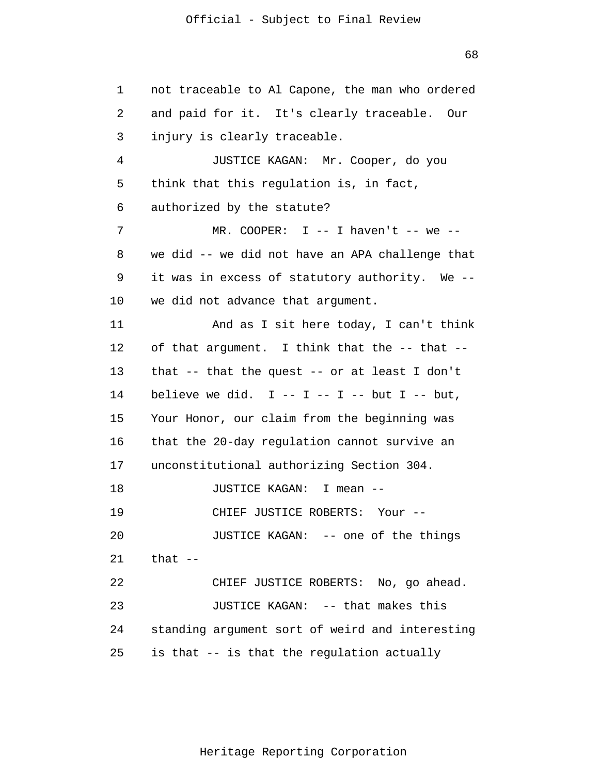1 2 3 4 5 6 7 8 9 10 11 12 13 14 15 16 17 18 19 20 21 22 23 24 25 not traceable to Al Capone, the man who ordered and paid for it. It's clearly traceable. Our injury is clearly traceable. JUSTICE KAGAN: Mr. Cooper, do you think that this regulation is, in fact, authorized by the statute? MR. COOPER:  $I$  -- I haven't -- we -we did -- we did not have an APA challenge that it was in excess of statutory authority. We - we did not advance that argument. And as I sit here today, I can't think of that argument. I think that the -- that - that -- that the quest -- or at least I don't believe we did.  $I - - I - - I - -$  but  $I - -$  but, Your Honor, our claim from the beginning was that the 20-day regulation cannot survive an unconstitutional authorizing Section 304. JUSTICE KAGAN: I mean -- CHIEF JUSTICE ROBERTS: Your -- JUSTICE KAGAN: -- one of the things that  $--$ CHIEF JUSTICE ROBERTS: No, go ahead. JUSTICE KAGAN: -- that makes this standing argument sort of weird and interesting is that -- is that the regulation actually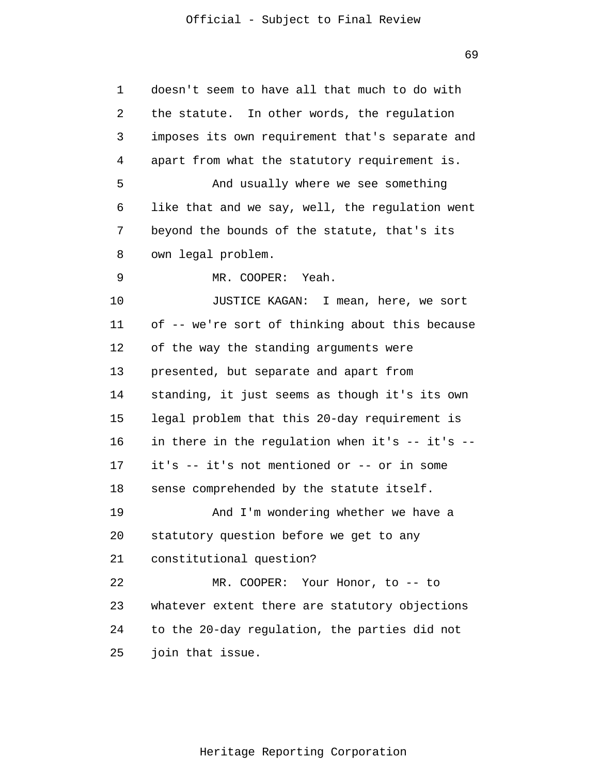| 1  | doesn't seem to have all that much to do with   |
|----|-------------------------------------------------|
| 2  | the statute. In other words, the regulation     |
| 3  | imposes its own requirement that's separate and |
| 4  | apart from what the statutory requirement is.   |
| 5  | And usually where we see something              |
| 6  | like that and we say, well, the regulation went |
| 7  | beyond the bounds of the statute, that's its    |
| 8  | own legal problem.                              |
| 9  | MR. COOPER: Yeah.                               |
| 10 | JUSTICE KAGAN: I mean, here, we sort            |
| 11 | of -- we're sort of thinking about this because |
| 12 | of the way the standing arguments were          |
| 13 | presented, but separate and apart from          |
| 14 | standing, it just seems as though it's its own  |
| 15 | legal problem that this 20-day requirement is   |
| 16 | in there in the regulation when it's -- it's -- |
| 17 | it's -- it's not mentioned or -- or in some     |
| 18 | sense comprehended by the statute itself.       |
| 19 | And I'm wondering whether we have a             |
| 20 | statutory question before we get to any         |
| 21 | constitutional question?                        |
| 22 | MR. COOPER: Your Honor, to -- to                |
| 23 | whatever extent there are statutory objections  |
| 24 | to the 20-day regulation, the parties did not   |
| 25 | join that issue.                                |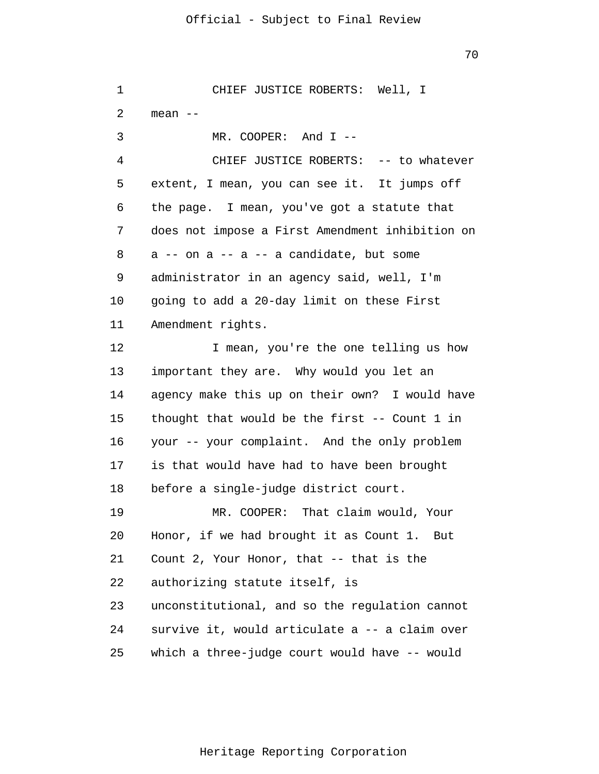70

1 2 3 4 5 6 7 8 9 10 11 12 13 14 15 16 17 18 19 20 21 22 23 24 25 CHIEF JUSTICE ROBERTS: Well, I mean -- MR. COOPER: And T --CHIEF JUSTICE ROBERTS: -- to whatever extent, I mean, you can see it. It jumps off the page. I mean, you've got a statute that does not impose a First Amendment inhibition on  $a$  -- on  $a$  --  $a$  -- a candidate, but some administrator in an agency said, well, I'm going to add a 20-day limit on these First Amendment rights. I mean, you're the one telling us how important they are. Why would you let an agency make this up on their own? I would have thought that would be the first -- Count 1 in your -- your complaint. And the only problem is that would have had to have been brought before a single-judge district court. MR. COOPER: That claim would, Your Honor, if we had brought it as Count 1. But Count 2, Your Honor, that -- that is the authorizing statute itself, is unconstitutional, and so the regulation cannot survive it, would articulate a -- a claim over which a three-judge court would have -- would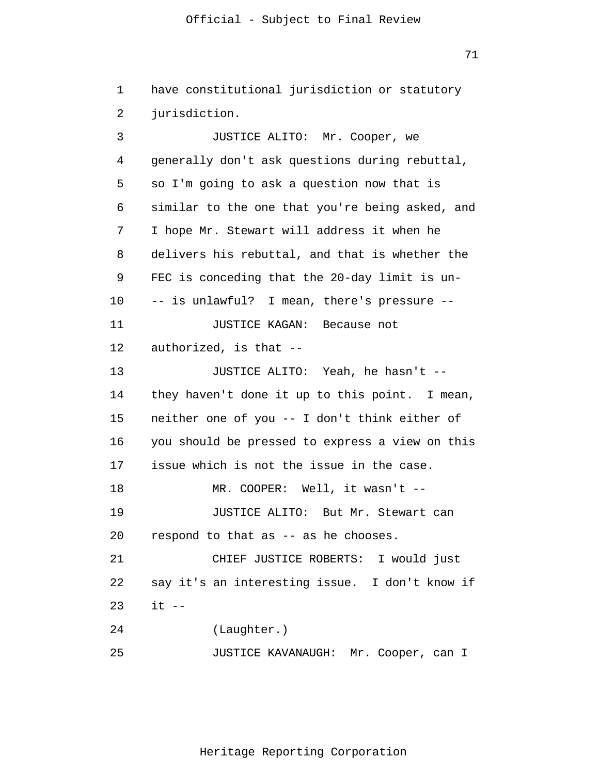71

1 2 3 4 5 6 7 8 9 10 11 12 13 14 15 16 17 18 19 20 21 22 23 24 25 have constitutional jurisdiction or statutory jurisdiction. JUSTICE ALITO: Mr. Cooper, we generally don't ask questions during rebuttal, so I'm going to ask a question now that is similar to the one that you're being asked, and I hope Mr. Stewart will address it when he delivers his rebuttal, and that is whether the FEC is conceding that the 20-day limit is un- -- is unlawful? I mean, there's pressure -- JUSTICE KAGAN: Because not authorized, is that -- JUSTICE ALITO: Yeah, he hasn't - they haven't done it up to this point. I mean, neither one of you -- I don't think either of you should be pressed to express a view on this issue which is not the issue in the case. MR. COOPER: Well, it wasn't --JUSTICE ALITO: But Mr. Stewart can respond to that as -- as he chooses. CHIEF JUSTICE ROBERTS: I would just say it's an interesting issue. I don't know if  $it$   $--$ (Laughter.) JUSTICE KAVANAUGH: Mr. Cooper, can I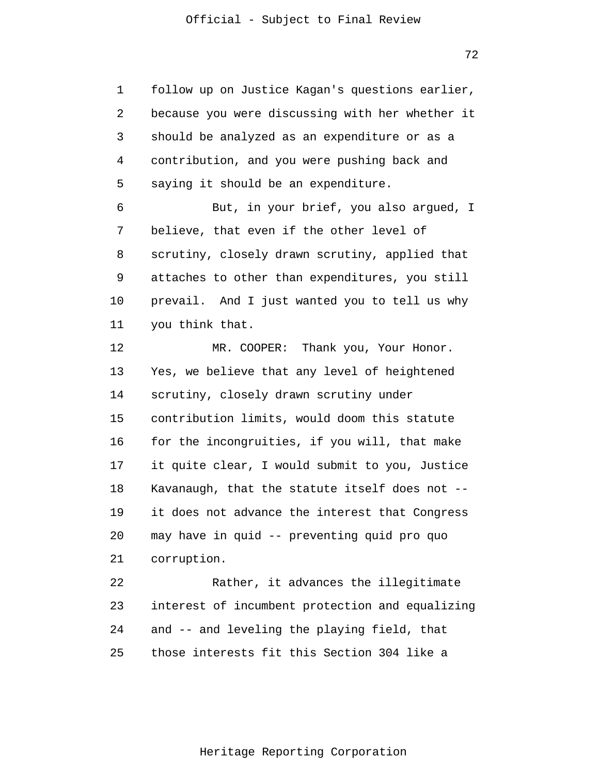1 2 3 4 5 6 7 8 9 10 11 12 13 14 15 16 17 18 19 20 21 22 23 24 25 follow up on Justice Kagan's questions earlier, because you were discussing with her whether it should be analyzed as an expenditure or as a contribution, and you were pushing back and saying it should be an expenditure. But, in your brief, you also argued, I believe, that even if the other level of scrutiny, closely drawn scrutiny, applied that attaches to other than expenditures, you still prevail. And I just wanted you to tell us why you think that. MR. COOPER: Thank you, Your Honor. Yes, we believe that any level of heightened scrutiny, closely drawn scrutiny under contribution limits, would doom this statute for the incongruities, if you will, that make it quite clear, I would submit to you, Justice Kavanaugh, that the statute itself does not - it does not advance the interest that Congress may have in quid -- preventing quid pro quo corruption. Rather, it advances the illegitimate interest of incumbent protection and equalizing and -- and leveling the playing field, that those interests fit this Section 304 like a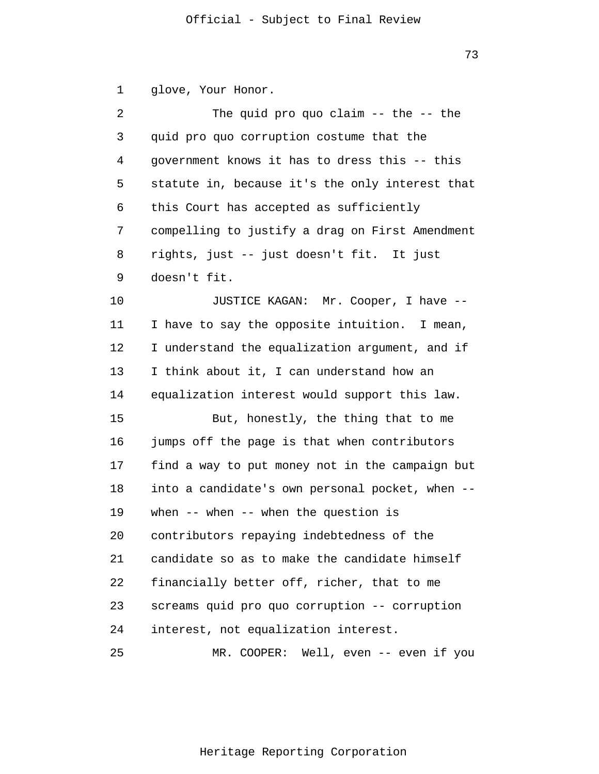1 glove, Your Honor.

| 2  | The quid pro quo claim $--$ the $--$ the        |
|----|-------------------------------------------------|
| 3  | quid pro quo corruption costume that the        |
| 4  | government knows it has to dress this -- this   |
| 5  | statute in, because it's the only interest that |
| 6  | this Court has accepted as sufficiently         |
| 7  | compelling to justify a drag on First Amendment |
| 8  | rights, just -- just doesn't fit. It just       |
| 9  | doesn't fit.                                    |
| 10 | JUSTICE KAGAN: Mr. Cooper, I have --            |
| 11 | I have to say the opposite intuition. I mean,   |
| 12 | I understand the equalization argument, and if  |
| 13 | I think about it, I can understand how an       |
| 14 | equalization interest would support this law.   |
| 15 | But, honestly, the thing that to me             |
| 16 | jumps off the page is that when contributors    |
| 17 | find a way to put money not in the campaign but |
| 18 | into a candidate's own personal pocket, when -- |
| 19 | when $--$ when $--$ when the question is        |
| 20 | contributors repaying indebtedness of the       |
| 21 | candidate so as to make the candidate himself   |
| 22 | financially better off, richer, that to me      |
| 23 | screams quid pro quo corruption -- corruption   |
| 24 | interest, not equalization interest.            |
| 25 | MR. COOPER: Well, even -- even if you           |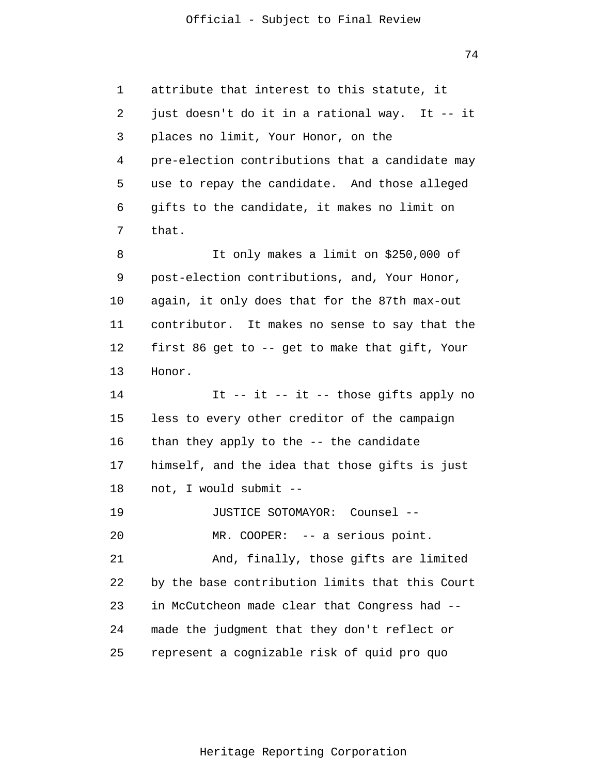1 2 3 4 5 6 7 8 9 10 11 12 13 14 15 16 17 18 19 20 21 22 23 24 25 attribute that interest to this statute, it just doesn't do it in a rational way. It -- it places no limit, Your Honor, on the pre-election contributions that a candidate may use to repay the candidate. And those alleged gifts to the candidate, it makes no limit on that. It only makes a limit on \$250,000 of post-election contributions, and, Your Honor, again, it only does that for the 87th max-out contributor. It makes no sense to say that the first 86 get to -- get to make that gift, Your Honor. It -- it -- it -- those gifts apply no less to every other creditor of the campaign than they apply to the -- the candidate himself, and the idea that those gifts is just not, I would submit -- JUSTICE SOTOMAYOR: Counsel -- MR. COOPER: -- a serious point. And, finally, those gifts are limited by the base contribution limits that this Court in McCutcheon made clear that Congress had - made the judgment that they don't reflect or represent a cognizable risk of quid pro quo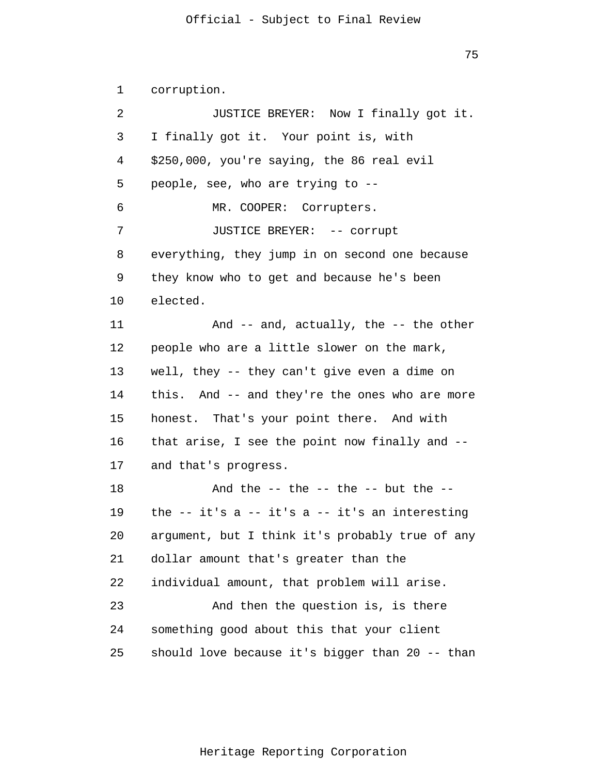75

1 2 3 4 5 6 7 8 9 10 11 12 13 14 15 16 17 18 19 20 21 22 23 24 25 corruption. JUSTICE BREYER: Now I finally got it. I finally got it. Your point is, with \$250,000, you're saying, the 86 real evil people, see, who are trying to -- MR. COOPER: Corrupters. JUSTICE BREYER: -- corrupt everything, they jump in on second one because they know who to get and because he's been elected. And -- and, actually, the -- the other people who are a little slower on the mark, well, they -- they can't give even a dime on this. And -- and they're the ones who are more honest. That's your point there. And with that arise, I see the point now finally and - and that's progress. And the  $--$  the  $--$  the  $--$  but the  $-$ the  $-$  it's a  $-$  it's a  $-$  it's an interesting argument, but I think it's probably true of any dollar amount that's greater than the individual amount, that problem will arise. And then the question is, is there something good about this that your client should love because it's bigger than 20 -- than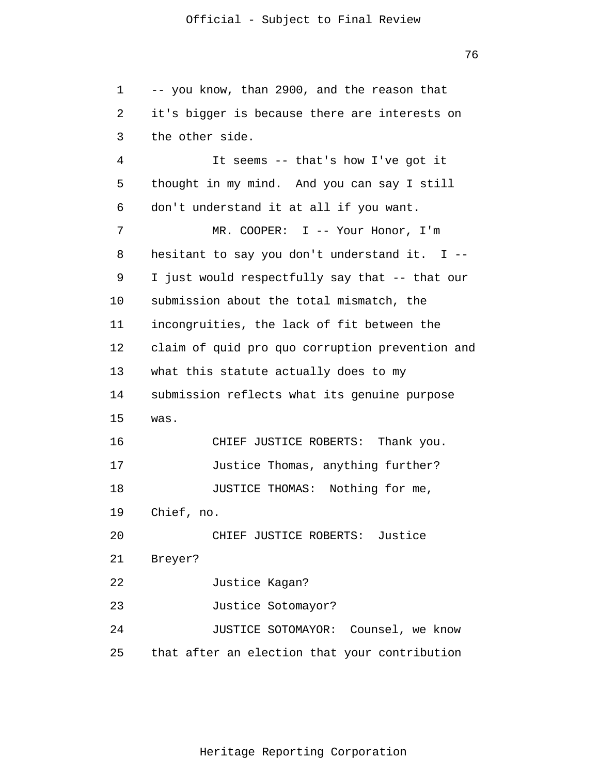1 2 3 4 5 6 7 8 9 10 11 12 13 14 15 16 17 18 19 20 21 22 23 24 25 -- you know, than 2900, and the reason that it's bigger is because there are interests on the other side. It seems -- that's how I've got it thought in my mind. And you can say I still don't understand it at all if you want. MR. COOPER: I -- Your Honor, I'm hesitant to say you don't understand it. I -- I just would respectfully say that -- that our submission about the total mismatch, the incongruities, the lack of fit between the claim of quid pro quo corruption prevention and what this statute actually does to my submission reflects what its genuine purpose was. CHIEF JUSTICE ROBERTS: Thank you. Justice Thomas, anything further? JUSTICE THOMAS: Nothing for me, Chief, no. CHIEF JUSTICE ROBERTS: Justice Breyer? Justice Kagan? Justice Sotomayor? JUSTICE SOTOMAYOR: Counsel, we know that after an election that your contribution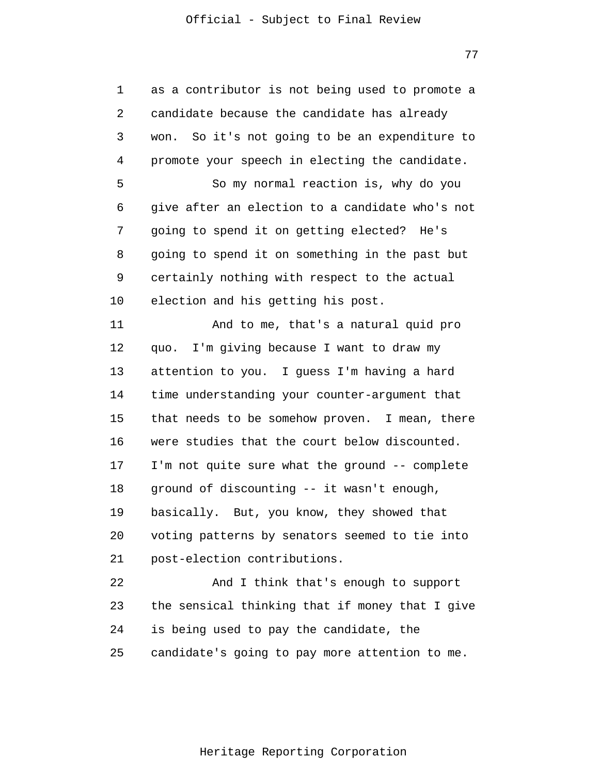77

| 1  | as a contributor is not being used to promote a |
|----|-------------------------------------------------|
| 2  | candidate because the candidate has already     |
| 3  | won. So it's not going to be an expenditure to  |
| 4  | promote your speech in electing the candidate.  |
| 5  | So my normal reaction is, why do you            |
| 6  | give after an election to a candidate who's not |
| 7  | going to spend it on getting elected? He's      |
| 8  | going to spend it on something in the past but  |
| 9  | certainly nothing with respect to the actual    |
| 10 | election and his getting his post.              |
| 11 | And to me, that's a natural quid pro            |
| 12 | quo. I'm giving because I want to draw my       |
| 13 | attention to you. I guess I'm having a hard     |
| 14 | time understanding your counter-argument that   |
| 15 | that needs to be somehow proven. I mean, there  |
| 16 | were studies that the court below discounted.   |
| 17 | I'm not quite sure what the ground -- complete  |
| 18 | ground of discounting -- it wasn't enough,      |
| 19 | basically. But, you know, they showed that      |
| 20 | voting patterns by senators seemed to tie into  |
| 21 | post-election contributions.                    |
| 22 | And I think that's enough to support            |
| 23 | the sensical thinking that if money that I give |
| 24 | is being used to pay the candidate, the         |
| 25 | candidate's going to pay more attention to me.  |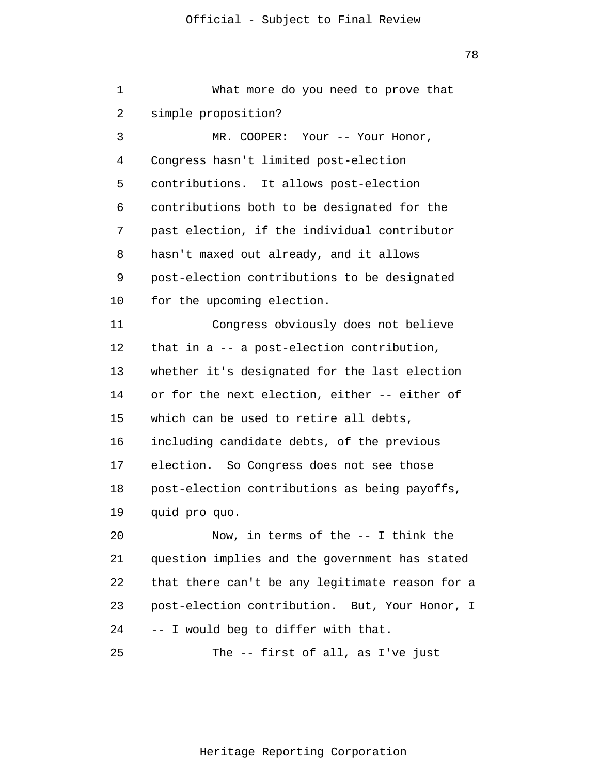1 2 3 4 5 6 7 8 9 10 11 12 13 14 15 16 17 18 19 20 21 22 23 24 25 What more do you need to prove that simple proposition? MR. COOPER: Your -- Your Honor, Congress hasn't limited post-election contributions. It allows post-election contributions both to be designated for the past election, if the individual contributor hasn't maxed out already, and it allows post-election contributions to be designated for the upcoming election. Congress obviously does not believe that in a -- a post-election contribution, whether it's designated for the last election or for the next election, either -- either of which can be used to retire all debts, including candidate debts, of the previous election. So Congress does not see those post-election contributions as being payoffs, quid pro quo. Now, in terms of the -- I think the question implies and the government has stated that there can't be any legitimate reason for a post-election contribution. But, Your Honor, I -- I would beg to differ with that. The -- first of all, as I've just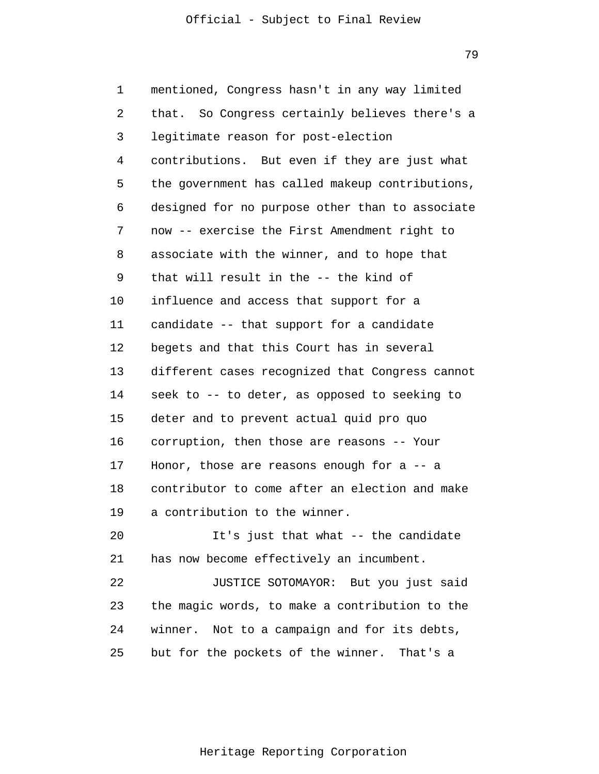79

1 2 3 4 5 6 7 8 9 10 11 12 13 14 15 16 17 18 19 20 21 22 23 24 25 mentioned, Congress hasn't in any way limited that. So Congress certainly believes there's a legitimate reason for post-election contributions. But even if they are just what the government has called makeup contributions, designed for no purpose other than to associate now -- exercise the First Amendment right to associate with the winner, and to hope that that will result in the -- the kind of influence and access that support for a candidate -- that support for a candidate begets and that this Court has in several different cases recognized that Congress cannot seek to -- to deter, as opposed to seeking to deter and to prevent actual quid pro quo corruption, then those are reasons -- Your Honor, those are reasons enough for a -- a contributor to come after an election and make a contribution to the winner. It's just that what -- the candidate has now become effectively an incumbent. JUSTICE SOTOMAYOR: But you just said the magic words, to make a contribution to the winner. Not to a campaign and for its debts, but for the pockets of the winner. That's a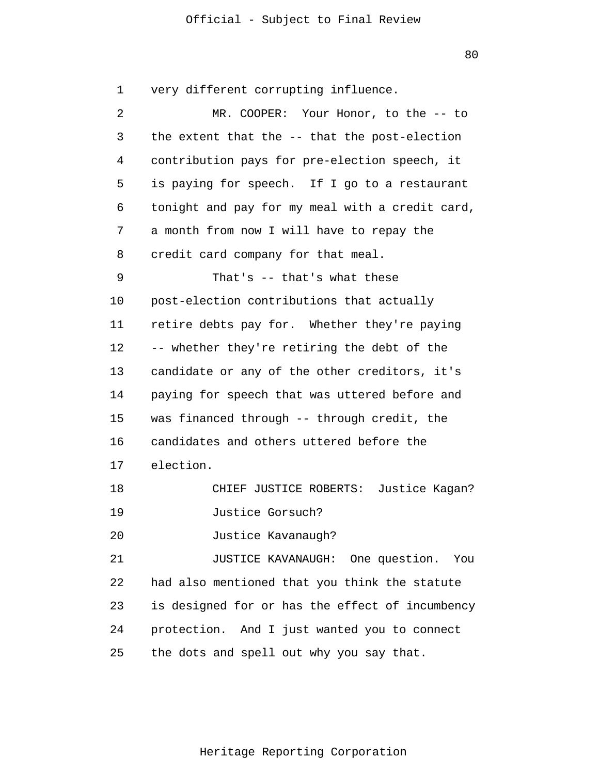1 2 3 4 5 6 7 8 9 10 11 12 13 14 15 16 17 18 19 20 21 22 23 24 25 very different corrupting influence. MR. COOPER: Your Honor, to the -- to the extent that the -- that the post-election contribution pays for pre-election speech, it is paying for speech. If I go to a restaurant tonight and pay for my meal with a credit card, a month from now I will have to repay the credit card company for that meal. That's -- that's what these post-election contributions that actually retire debts pay for. Whether they're paying -- whether they're retiring the debt of the candidate or any of the other creditors, it's paying for speech that was uttered before and was financed through -- through credit, the candidates and others uttered before the election. CHIEF JUSTICE ROBERTS: Justice Kagan? Justice Gorsuch? Justice Kavanaugh? JUSTICE KAVANAUGH: One question. You had also mentioned that you think the statute is designed for or has the effect of incumbency protection. And I just wanted you to connect the dots and spell out why you say that.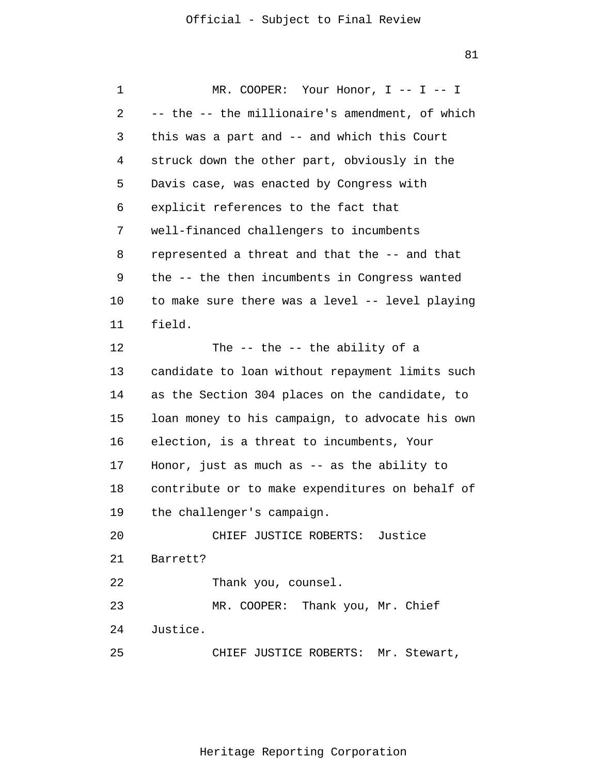1 2 3 4 5 6 7 8 9 10 11 12 13 14 15 16 17 18 19 20 21 22 23 24 25 MR. COOPER: Your Honor, I -- I -- I -- the -- the millionaire's amendment, of which this was a part and -- and which this Court struck down the other part, obviously in the Davis case, was enacted by Congress with explicit references to the fact that well-financed challengers to incumbents represented a threat and that the -- and that the -- the then incumbents in Congress wanted to make sure there was a level -- level playing field. The -- the -- the ability of a candidate to loan without repayment limits such as the Section 304 places on the candidate, to loan money to his campaign, to advocate his own election, is a threat to incumbents, Your Honor, just as much as -- as the ability to contribute or to make expenditures on behalf of the challenger's campaign. CHIEF JUSTICE ROBERTS: Justice Barrett? Thank you, counsel. MR. COOPER: Thank you, Mr. Chief Justice. CHIEF JUSTICE ROBERTS: Mr. Stewart,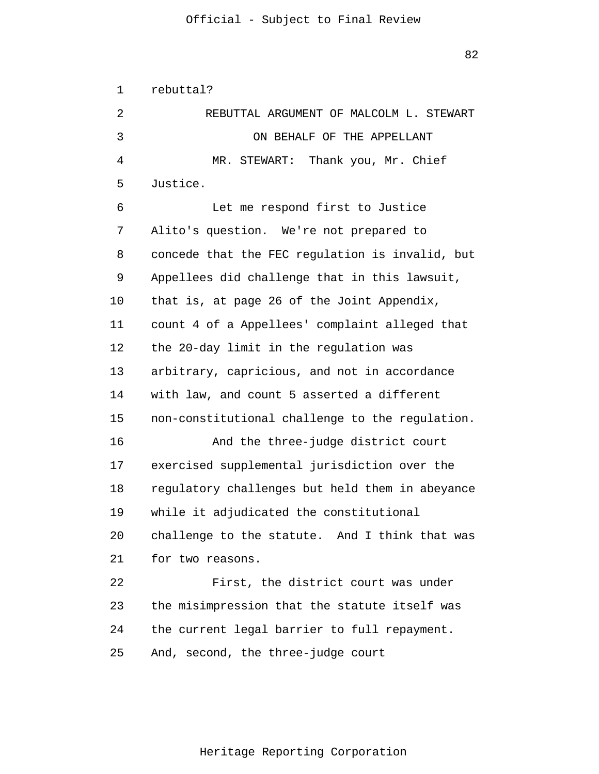1 2 3 4 5 6 7 8 9 10 11 12 13 14 15 16 17 18 19 20 21 22 23 24 25 rebuttal? REBUTTAL ARGUMENT OF MALCOLM L. STEWART ON BEHALF OF THE APPELLANT MR. STEWART: Thank you, Mr. Chief Justice. Let me respond first to Justice Alito's question. We're not prepared to concede that the FEC regulation is invalid, but Appellees did challenge that in this lawsuit, that is, at page 26 of the Joint Appendix, count 4 of a Appellees' complaint alleged that the 20-day limit in the regulation was arbitrary, capricious, and not in accordance with law, and count 5 asserted a different non-constitutional challenge to the regulation. And the three-judge district court exercised supplemental jurisdiction over the regulatory challenges but held them in abeyance while it adjudicated the constitutional challenge to the statute. And I think that was for two reasons. First, the district court was under the misimpression that the statute itself was the current legal barrier to full repayment. And, second, the three-judge court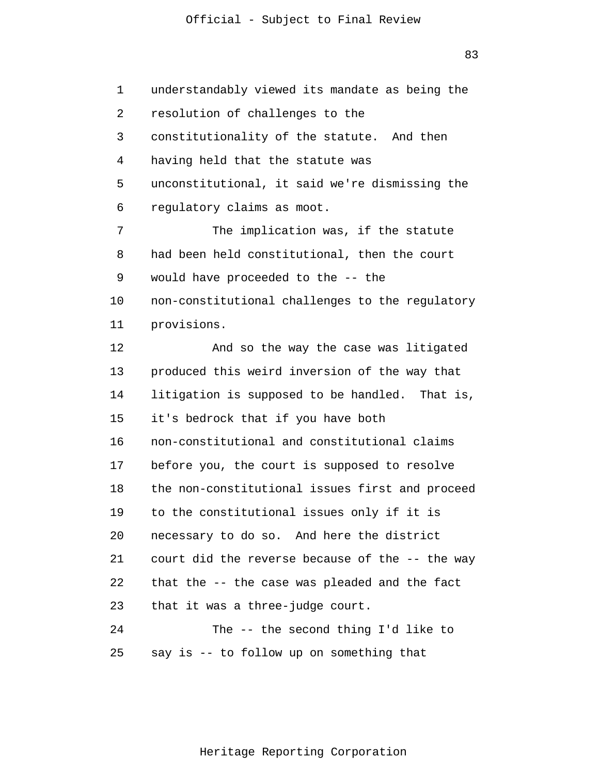83

1 2 3 4 5 6 7 8 9 10 11 12 13 14 15 16 17 18 19 20 21 22 23 24 25 understandably viewed its mandate as being the resolution of challenges to the constitutionality of the statute. And then having held that the statute was unconstitutional, it said we're dismissing the regulatory claims as moot. The implication was, if the statute had been held constitutional, then the court would have proceeded to the -- the non-constitutional challenges to the regulatory provisions. And so the way the case was litigated produced this weird inversion of the way that litigation is supposed to be handled. That is, it's bedrock that if you have both non-constitutional and constitutional claims before you, the court is supposed to resolve the non-constitutional issues first and proceed to the constitutional issues only if it is necessary to do so. And here the district court did the reverse because of the -- the way that the -- the case was pleaded and the fact that it was a three-judge court. The -- the second thing I'd like to say is -- to follow up on something that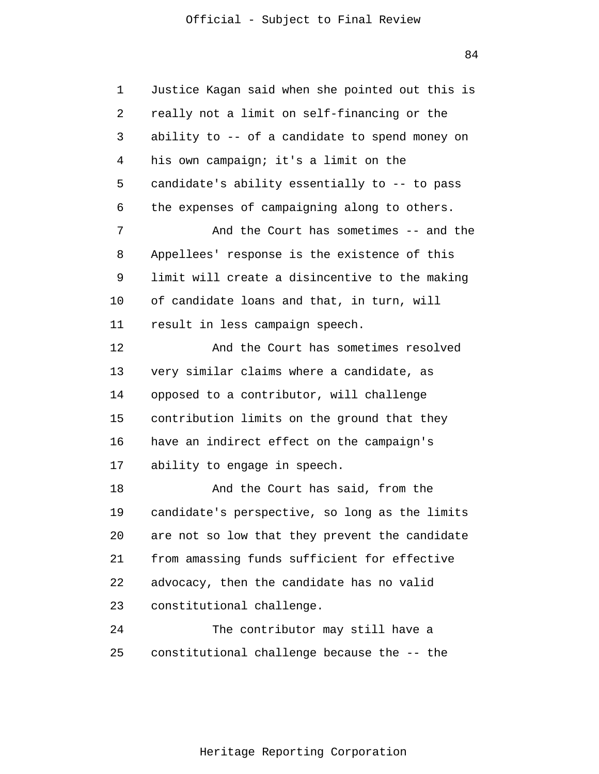1 2 3 4 5 6 7 8 9 10 11 12 13 14 15 16 17 18 19 20 21 22 23 24 25 Justice Kagan said when she pointed out this is really not a limit on self-financing or the ability to -- of a candidate to spend money on his own campaign; it's a limit on the candidate's ability essentially to -- to pass the expenses of campaigning along to others. And the Court has sometimes -- and the Appellees' response is the existence of this limit will create a disincentive to the making of candidate loans and that, in turn, will result in less campaign speech. And the Court has sometimes resolved very similar claims where a candidate, as opposed to a contributor, will challenge contribution limits on the ground that they have an indirect effect on the campaign's ability to engage in speech. And the Court has said, from the candidate's perspective, so long as the limits are not so low that they prevent the candidate from amassing funds sufficient for effective advocacy, then the candidate has no valid constitutional challenge. The contributor may still have a constitutional challenge because the -- the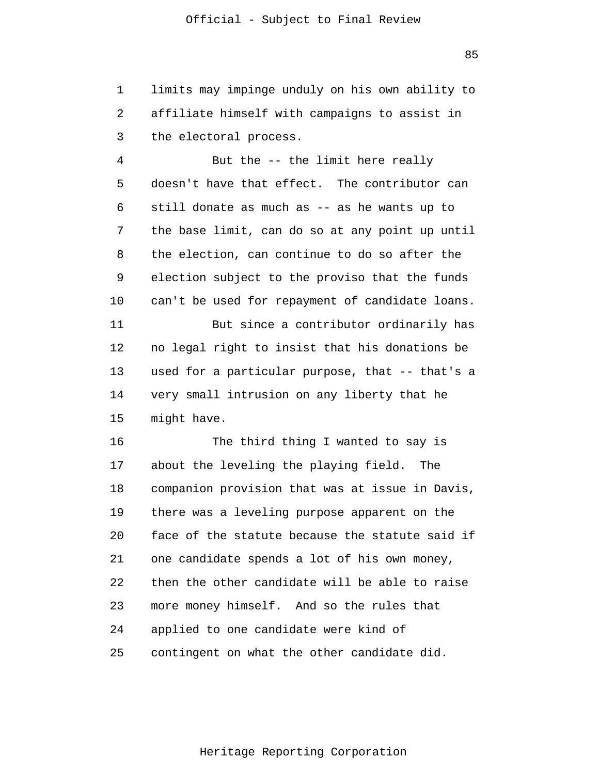1 2 3 limits may impinge unduly on his own ability to affiliate himself with campaigns to assist in the electoral process.

4 5 6 7 8 9 10 11 12 13 14 15 But the -- the limit here really doesn't have that effect. The contributor can still donate as much as -- as he wants up to the base limit, can do so at any point up until the election, can continue to do so after the election subject to the proviso that the funds can't be used for repayment of candidate loans. But since a contributor ordinarily has no legal right to insist that his donations be used for a particular purpose, that -- that's a very small intrusion on any liberty that he might have.

16 17 18 19 20 21 22 23 24 25 The third thing I wanted to say is about the leveling the playing field. The companion provision that was at issue in Davis, there was a leveling purpose apparent on the face of the statute because the statute said if one candidate spends a lot of his own money, then the other candidate will be able to raise more money himself. And so the rules that applied to one candidate were kind of contingent on what the other candidate did.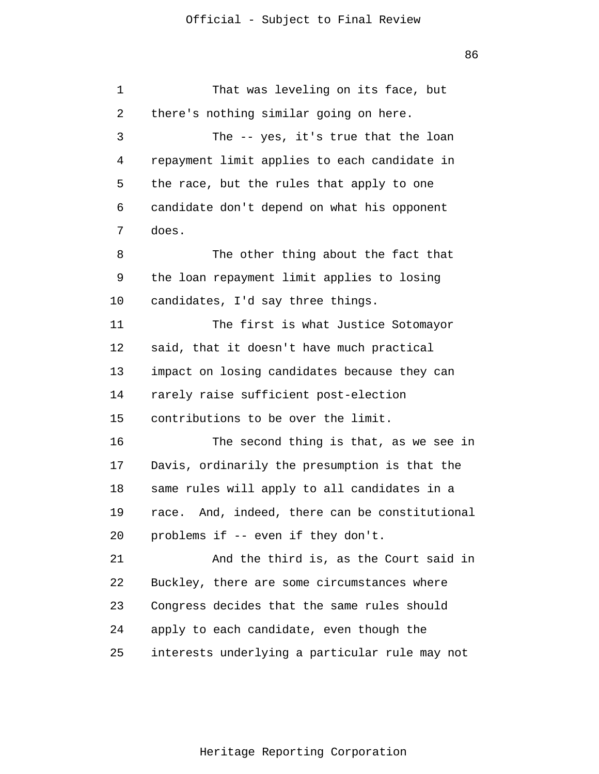1 2 3 4 5 6 7 8 9 10 11 12 13 14 15 16 17 18 19 20 21 22 23 24 25 That was leveling on its face, but there's nothing similar going on here. The -- yes, it's true that the loan repayment limit applies to each candidate in the race, but the rules that apply to one candidate don't depend on what his opponent does. The other thing about the fact that the loan repayment limit applies to losing candidates, I'd say three things. The first is what Justice Sotomayor said, that it doesn't have much practical impact on losing candidates because they can rarely raise sufficient post-election contributions to be over the limit. The second thing is that, as we see in Davis, ordinarily the presumption is that the same rules will apply to all candidates in a race. And, indeed, there can be constitutional problems if -- even if they don't. And the third is, as the Court said in Buckley, there are some circumstances where Congress decides that the same rules should apply to each candidate, even though the interests underlying a particular rule may not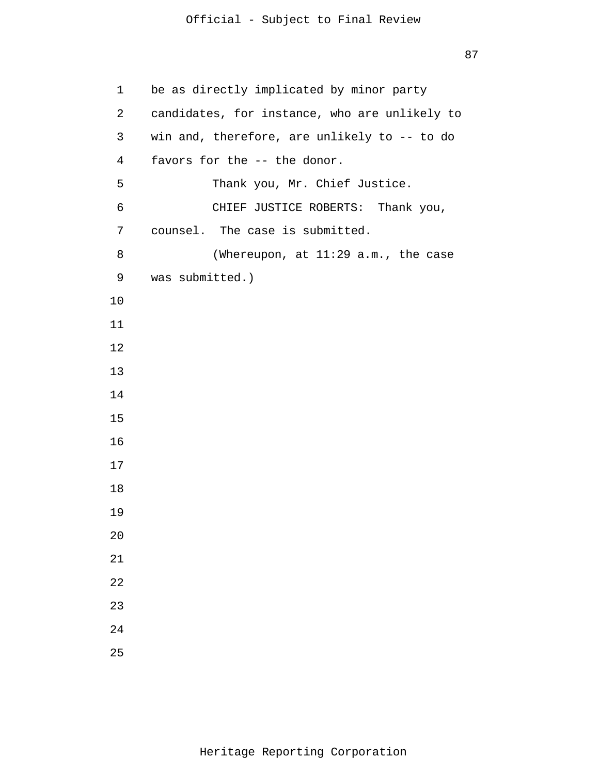```
1 
 2 
 3 
 4 
 5 
 6 
 7 
 8 
 9 
10
11
12
13
14
15
16
17
18
19
20
21
22
23
24
25
      be as directly implicated by minor party
       candidates, for instance, who are unlikely to 
      win and, therefore, are unlikely to -- to do
       favors for the -- the donor.
                Thank you, Mr. Chief Justice.
                CHIEF JUSTICE ROBERTS: Thank you,
       counsel. The case is submitted.
                 (Whereupon, at 11:29 a.m., the case
       was submitted.)
```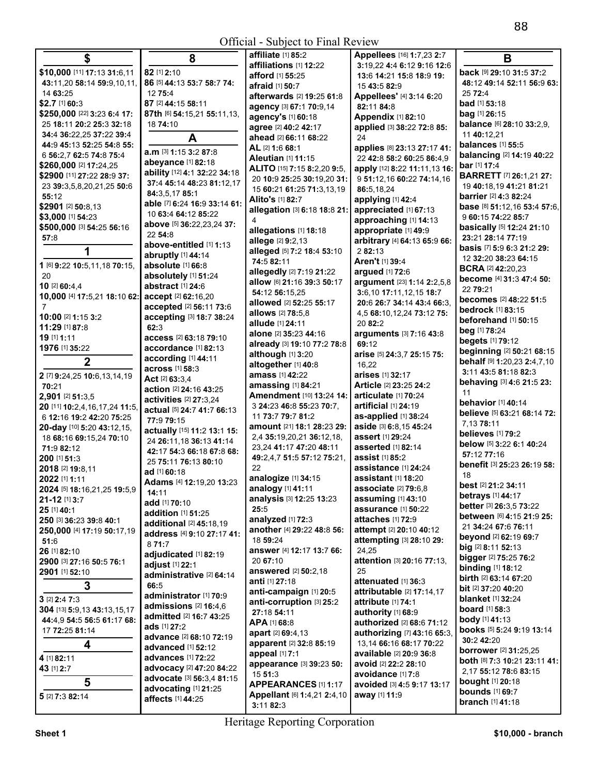| \$                                               | 8                            | affiliate [1] 85:2           | Appellees [16] 1:7,23 2:7          | B                                   |
|--------------------------------------------------|------------------------------|------------------------------|------------------------------------|-------------------------------------|
|                                                  | 82 [1] 2:10                  | affiliations [1] 12:22       | 3:19,22 4:4 6:12 9:16 12:6         | back [9] 29:10 31:5 37:2            |
| \$10,000 [11] 17:13 31:6,11                      |                              | afford [1] 55:25             | 13:6 14:21 15:8 18:9 19:           |                                     |
| 43:11,20 58:14 59:9,10,11,                       | 86 [5] 44:13 53:7 58:7 74:   | afraid [1] 50:7              | 15 43:5 82:9                       | 48:12 49:14 52:11 56:9 63:          |
| 14 63:25                                         | 12 75:4                      | afterwards [2] 19:25 61:8    | Appellees' [4] 3:14 6:20           | 25 72:4                             |
| $$2.7$ [1] 60:3                                  | 87 [2] 44:15 58:11           | agency [3] 67:1 70:9,14      | 82:11 84:8                         | bad [1] 53:18                       |
| \$250,000 [22] 3:23 6:4 17:                      | 87th [6] 54:15,21 55:11,13,  | agency's [1] 60:18           | <b>Appendix [1] 82:10</b>          | bag [1] 26:15                       |
| 25 18:11 20:2 25:3 32:18                         | 18 74:10                     | agree [2] 40:2 42:17         | applied [3] 38:22 72:8 85:         | balance [6] 28:10 33:2,9,           |
| 34:4 36:22,25 37:22 39:4                         | A                            | ahead [2] 66:11 68:22        | 24                                 | 11 40:12,21                         |
| 44:9 45:13 52:25 54:8 55:                        | a.m [3] 1:15 3:2 87:8        | AL [2] 1:6 68:1              | applies [8] 23:13 27:17 41:        | balances [1] 55:5                   |
| 6 56:2,7 62:5 74:8 75:4                          |                              | <b>Aleutian [1] 11:15</b>    | 22 42:8 58:2 60:25 86:4,9          | balancing [2] 14:19 40:22           |
| \$260,000 [2] 17:24,25                           | abeyance [1] 82:18           | ALITO [15] 7:15 8:2,20 9:5,  | apply [12] 8:22 11:11,13 16:       | bar [1] 17:4                        |
| \$2900 [11] 27:22 28:9 37:                       | ability [12] 4:1 32:22 34:18 | 20 10:9 25:25 30:19,20 31:   | 9 51:12,16 60:22 74:14,16          | <b>BARRETT</b> [7] 26:1,21 27:      |
| 23 39:3,5,8,20,21,25 50:6                        | 37:4 45:14 48:23 81:12,17    | 15 60:21 61:25 71:3,13,19    | 86:5,18,24                         | 19 40:18,19 41:21 81:21             |
| 55:12                                            | 84:3,5,1785:1                | Alito's [1] 82:7             | applying [1] 42:4                  | barrier [2] 4:3 82:24               |
| \$2901 [2] 50:8,13                               | able [7] 6:24 16:9 33:14 61: | allegation [3] 6:18 18:8 21: | appreciated [1] 67:13              | base [8] 51:12,16 53:4 57:6,        |
| \$3,000 [1] 54:23                                | 10 63:4 64:12 85:22          |                              | approaching [1] 14:13              | 9 60:15 74:22 85:7                  |
| \$500,000 [3] 54:25 56:16                        | above [5] 36:22,23,24 37:    | allegations [1] 18:18        | appropriate [1] 49:9               | basically [5] 12:24 21:10           |
| 57:8                                             | 22 54:8                      | allege [2] 9:2,13            | arbitrary [4] 64:13 65:9 66:       | 23:21 28:14 77:19                   |
| 1                                                | above-entitled [1] 1:13      | alleged [5] 7:2 18:4 53:10   | 2 82:13                            | basis [7] 5:9 6:3 21:2 29:          |
|                                                  | abruptly [1] 44:14           | 74:5 82:11                   | Aren't [1] 39:4                    | 12 32:20 38:23 64:15                |
| 1 [6] 9:22 10:5,11,18 70:15,                     | absolute [1] 66:8            | allegedly [2] 7:19 21:22     |                                    | <b>BCRA</b> [2] 42:20,23            |
| 20                                               | absolutely [1] 51:24         |                              | argued [1] 72:6                    | become [4] 31:3 47:4 50:            |
| 10 [2] 60:4,4                                    | abstract [1] 24:6            | allow [6] 21:16 39:3 50:17   | argument [23] 1:14 2:2,5,8         | 22 79:21                            |
| 10,000 [4] 17:5,21 18:10 62: accept [2] 62:16,20 |                              | 54:12 56:15.25               | 3:6,10 17:11,12,15 18:7            | becomes [2] 48:22 51:5              |
| 7                                                | accepted [2] 56:11 73:6      | allowed [2] 52:25 55:17      | 20:6 26:7 34:14 43:4 66:3.         | <b>bedrock</b> [1] 83:15            |
| 10:00 [2] 1:15 3:2                               | accepting [3] 18:7 38:24     | allows [2] 78:5.8            | 4,5 68:10,12,24 73:12 75:          | beforehand [1] 50:15                |
| 11:29 [1] 87:8                                   | 62:3                         | allude [1] 24:11             | 20 82:2                            | beg [1] 78:24                       |
| 19 [1] 1:11                                      | access [2] 63:18 79:10       | alone [2] 35:23 44:16        | arguments [3] 7:16 43:8            | begets [1] 79:12                    |
| 1976 [1] 35:22                                   | accordance [1] 82:13         | already [3] 19:10 77:2 78:8  | 69:12                              | beginning [2] 50:21 68:15           |
| $\overline{2}$                                   | according [1] 44:11          | although [1] 3:20            | arise [5] 24:3,7 25:15 75:         | behalf [9] 1:20,23 2:4,7,10         |
|                                                  | across [1] 58:3              | altogether [1] 40:8          | 16,22                              | 3:11 43:5 81:18 82:3                |
| 2 [7] 9:24,25 10:6,13,14,19                      | Act [2] 63:3.4               | amass [1] 42:22              | arises [1] 32:17                   |                                     |
| 70:21                                            | action [2] 24:16 43:25       | amassing [1] 84:21           | Article [2] 23:25 24:2             | behaving [3] 4:6 21:5 23:           |
| 2,901 [2] 51:3,5                                 | activities [2] 27:3,24       | Amendment [10] 13:24 14:     | articulate [1] 70:24               | 11<br><b>behavior</b> [1] 40:14     |
| 20 [11] 10:2,4,16,17,24 11:5,                    | actual [5] 24:7 41:7 66:13   | 3 24:23 46:8 55:23 70:7,     | artificial [1] 24:19               |                                     |
| 6 12:16 19:2 42:20 75:25                         | 77:9 79:15                   | 11 73:7 79:7 81:2            | as-applied [1] 38:24               | believe [5] 63:21 68:14 72:         |
| 20-day [10] 5:20 43:12,15,                       | actually [15] 11:2 13:1 15:  | amount [21] 18:1 28:23 29:   | aside [3] 6:8,15 45:24             | 7,1378:11                           |
| 18 68:16 69:15,24 70:10                          | 24 26:11,18 36:13 41:14      | 2,4 35:19,20,21 36:12,18,    | assert [1] 29:24                   | believes [1] 79:2                   |
| 71:9 82:12                                       | 42:17 54:3 66:18 67:8 68:    | 23,24 41:17 47:20 48:11      | asserted [1] 82:14                 | below [5] 3:22 6:1 40:24            |
| 200 [1] 51:3                                     | 25 75:11 76:13 80:10         | 49:2,4,7 51:5 57:12 75:21,   | assist [1] 85:2                    | 57:12 77:16                         |
| 2018 [2] 19:8,11                                 | ad [1] 60:18                 | 22                           | <b>assistance</b> [1] <b>24:24</b> | benefit [3] 25:23 26:19 58:         |
| 2022 [1] 1:11                                    | Adams [4] 12:19.20 13:23     | analogize [1] 34:15          | <b>assistant</b> [1] <b>18:20</b>  | 18                                  |
| 2024 [5] 18:16,21,25 19:5,9                      | 14:11                        | analogy [1] 41:11            | <b>associate</b> [2] 79:6,8        | best [2] 21:2 34:11                 |
| 21-12 [1] 3:7                                    | add [1] 70:10                | analysis [3] 12:25 13:23     | <b>assuming [1] 43:10</b>          | betrays [1] 44:17                   |
| 25 [1] 40:1                                      | addition [1] 51:25           | 25:5                         | assurance [1] 50:22                | better [3] 26:3,5 73:22             |
| 250 [3] 36:23 39:8 40:1                          | additional [2] 45:18,19      | analyzed [1] 72:3            | attaches [1] 72:9                  | between [6] 4:15 21:9 25:           |
| 250,000 [4] 17:19 50:17,19                       | address [4] 9:10 27:17 41:   | another [4] 29:22 48:8 56:   | attempt [2] 20:10 40:12            | 21 34:24 67:6 76:11                 |
| 51:6                                             | 871:7                        | 18 59:24                     | attempting [3] 28:10 29:           | <b>beyond</b> [2] <b>62:19 69:7</b> |
| 26 [1] 82:10                                     |                              | answer [4] 12:17 13:7 66:    | 24,25                              | big [2] 8:11 52:13                  |
| 2900 [3] 27:16 50:5 76:1                         | adjudicated [1] 82:19        | 20 67:10                     | attention [3] 20:16 77:13,         | bigger [2] 75:25 76:2               |
| 2901 [1] 52:10                                   | adjust [1] 22:1              | answered [2] 50:2,18         | 25                                 | <b>binding</b> [1] 18:12            |
|                                                  | administrative [2] 64:14     | anti [1] 27:18               | attenuated [1] 36:3                | birth [2] 63:14 67:20               |
| 3                                                | 66:5                         | anti-campaign [1] 20:5       | attributable [2] 17:14,17          | <b>bit</b> [2] <b>37:20 40:20</b>   |
| $3$ [2] $2:4$ 7:3                                | administrator [1] 70:9       | anti-corruption [3] 25:2     | attribute [1] 74:1                 | <b>blanket</b> [1] 32:24            |
| 304 [13] 5:9,13 43:13,15,17                      | admissions $[2]$ 16:4.6      | 27:18 54:11                  | authority [1] 68:9                 | <b>board</b> [1] 58:3               |
| 44:4,9 54:5 56:5 61:17 68:                       | admitted [2] 16:7 43:25      | APA [1] 68:8                 | authorized [2] 68:6 71:12          | <b>body</b> [1] 41:13               |
| 17 72:25 81:14                                   | <b>ads</b> [1] <b>27:2</b>   | apart [2] 69:4,13            | authorizing [7] 43:16 65:3,        | books [5] 5:24 9:19 13:14           |
|                                                  | advance [2] 68:10 72:19      | apparent [2] 32:8 85:19      | 13,14 66:16 68:17 70:22            | 30:2 42:20                          |
| 4                                                | advanced [1] 52:12           | appeal [1] 7:1               | available [2] 20:9 36:8            | <b>borrower</b> [2] 31:25,25        |
| 4 [1] 82:11                                      | advances [1] 72:22           | appearance [3] 39:23 50:     | avoid [2] 22:2 28:10               | both [8] 7:3 10:21 23:11 41:        |
| 43 [1] 2:7                                       | advocacy [2] 47:20 84:22     | 15 51:3                      | avoidance [1] 7:8                  | 2,17 55:12 78:6 83:15               |
| 5                                                | advocate [3] 56:3,4 81:15    | APPEARANCES [1] 1:17         | avoided [3] 4:5 9:17 13:17         | <b>bought</b> [1] 20:18             |
|                                                  | advocating [1] 21:25         | Appellant [6] 1:4,21 2:4,10  | away [1] 11:9                      | <b>bounds</b> [1] 69:7              |
| 5 [2] 7:3 82:14                                  | affects [1] 44:25            | 3.1182.3                     |                                    | branch [1] 41:18                    |

**3:**11 **82:**3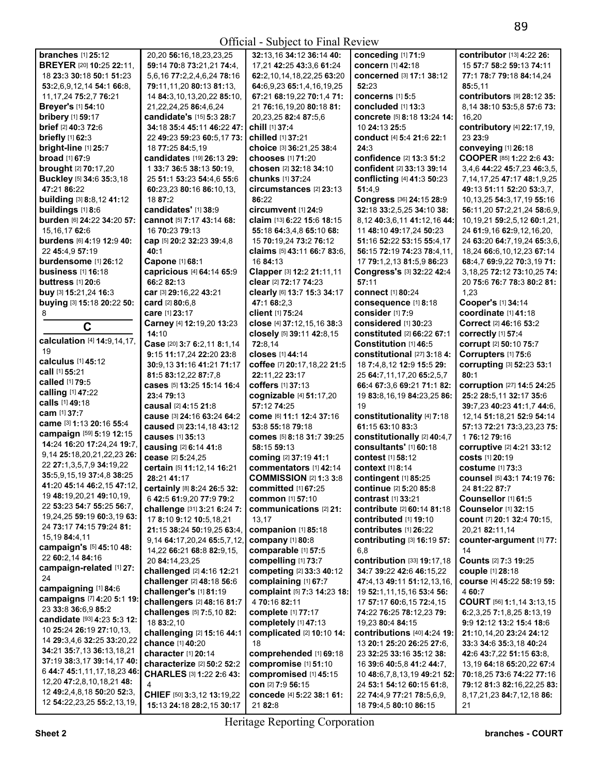|                                                          |                                                    | $\sum$                                 |                                                         |                                    |
|----------------------------------------------------------|----------------------------------------------------|----------------------------------------|---------------------------------------------------------|------------------------------------|
| <b>branches</b> [1] 25:12                                | 20,20 56:16,18,23,23,25                            | 32:13,16 34:12 36:14 40:               | conceding [1] 71:9                                      | contributor [13] 4:22 26:          |
| <b>BREYER [20] 10:25 22:11,</b>                          | 59:14 70:8 73:21,21 74:4,                          | 17,21 42:25 43:3,6 61:24               | concern [1] 42:18                                       | 15 57:7 58:2 59:13 74:11           |
| 18 23:3 30:18 50:1 51:23                                 | 5,6,16 77:2,2,4,6,24 78:16                         | 62:2,10,14,18,22,25 63:20              | <b>concerned</b> [3] 17:1 38:12                         | 77:1 78:7 79:18 84:14,24           |
| 53:2,6,9,12,14 54:1 66:8,                                | 79:11,11,20 80:13 81:13,                           | 64:6,9,23 65:1,4,16,19,25              | 52:23                                                   | 85:5,11                            |
| 11, 17, 24 75: 2, 7 76: 21                               | 14 84:3,10,13,20,22 85:10,                         | 67:21 68:19,22 70:1,4 71:              | <b>concerns</b> [1] 5:5                                 | <b>contributors [9] 28:12 35:</b>  |
| <b>Breyer's [1] 54:10</b>                                | 21, 22, 24, 25 86: 4, 6, 24                        | 21 76:16,19,20 80:18 81:               | concluded [1] 13:3                                      | 8.14 38:10 53:5.8 57:6 73:         |
| <b>bribery</b> [1] 59:17                                 | candidate's [15] 5:3 28:7                          | 20, 23, 25 82: 4 87: 5, 6              | <b>concrete</b> [5] 8:18 13:24 14:                      | 16,20                              |
| brief [2] 40:3 72:6                                      | 34:18 35:4 45:11 46:22 47:                         | chill [1] 37:4                         | 10 24:13 25:5                                           | contributory [4] 22:17,19,         |
| <b>briefly</b> [1] 62:3                                  | 22 49:23 59:23 60:5,17 73:                         | chilled [1] 37:21                      | conduct [4] 5:4 21:6 22:1                               | 23 23:9                            |
| bright-line [1] 25:7                                     | 18 77:25 84:5.19                                   | choice [3] 36:21,25 38:4               | 24:3                                                    | conveying [1] 26:18                |
| <b>broad</b> [1] 67:9                                    | candidates [19] 26:13 29:                          | chooses [1] 71:20                      | confidence [2] 13:3 51:2                                | COOPER [85] 1:22 2:6 43:           |
| <b>brought</b> [2] 70:17,20                              | 1 33:7 36:5 38:13 50:19,                           | chosen [2] 32:18 34:10                 | confident [2] 33:13 39:14                               | 3,4,6 44:22 45:7,23 46:3,5,        |
| Buckley [5] 34:6 35:3,18                                 | 25 51:1 53:23 54:4,6 55:6                          | chunks [1] 37:24                       | conflicting [4] 41:3 50:23                              | 7, 14, 17, 25 47: 17 48: 1, 9, 25  |
| 47:21 86:22                                              | 60:23,23 80:16 86:10,13,                           | circumstances [2] 23:13                | 51:4.9                                                  | 49:13 51:11 52:20 53:3,7,          |
|                                                          | 18 87:2                                            | 86:22                                  |                                                         |                                    |
| building [3] 8:8,12 41:12<br>buildings [1] 8:6           | candidates' [1] 38:9                               |                                        | Congress [36] 24:15 28:9                                | 10, 13, 25 54: 3, 17, 19 55: 16    |
|                                                          |                                                    | circumvent [1] 24:9                    | 32:18 33:2,5,25 34:10 38:                               | 56:11,20 57:2,21,24 58:6,9,        |
| burden [6] 24:22 34:20 57:                               | cannot [5] 7:17 43:14 68:                          | claim [13] 6:22 15:6 18:15             | 8,12 40:3,6,11 41:12,16 44:                             | 10, 19, 21 59: 2, 5, 12 60: 1, 21, |
| 15, 16, 17 62:6                                          | 16 70:23 79:13                                     | 55:18 64:3,4,8 65:10 68:               | 11 48:10 49:17,24 50:23                                 | 24 61:9,16 62:9,12,16,20,          |
| burdens [6] 4:19 12:9 40:                                | cap [5] 20:2 32:23 39:4,8                          | 15 70:19,24 73:2 76:12                 | 51:16 52:22 53:15 55:4.17                               | 24 63:20 64:7,19,24 65:3,6,        |
| 22 45:4,9 57:19                                          | 40:1                                               | claims [5] 43:11 66:7 83:6,            | 56:15 72:19 74:23 78:4,11,                              | 18,24 66:6,10,12,23 67:14          |
| burdensome [1] 26:12                                     | Capone [1] 68:1                                    | 16 84:13                               | 17 79:1,2,13 81:5,9 86:23                               | 68:4,7 69:9,22 70:3,19 71:         |
| business $[1]$ 16:18                                     | capricious [4] 64:14 65:9                          | Clapper [3] 12:2 21:11,11              | Congress's [3] 32:22 42:4                               | 3,18,25 72:12 73:10,25 74:         |
| buttress $[1]$ 20:6                                      | 66:2 82:13                                         | clear [2] 72:17 74:23                  | 57:11                                                   | 20 75:6 76:7 78:3 80:2 81:         |
| buy [3] 15:21,24 16:3                                    | car [3] 29:16,22 43:21                             | clearly [6] 13:7 15:3 34:17            | <b>connect</b> [1] 80:24                                | 1,23                               |
| buying [3] 15:18 20:22 50:                               | card [2] 80:6.8                                    | 47:1 68:2,3                            | consequence [1] 8:18                                    | Cooper's [1] 34:14                 |
| 8                                                        | care [1] 23:17                                     | client [1] 75:24                       | consider [1] 7:9                                        | coordinate [1] 41:18               |
| $\mathbf C$                                              | Carney [4] 12:19,20 13:23                          | close [4] 37:12,15,16 38:3             | considered [1] 30:23                                    | Correct [2] 46:16 53:2             |
|                                                          | 14:10                                              | closely [5] 39:11 42:8,15              | constituted [2] 66:22 67:1                              | correctly [1] 57:4                 |
| calculation [4] 14:9,14,17,                              | Case [20] 3:7 6:2,11 8:1,14                        | 72:8,14                                | Constitution [1] 46:5                                   | corrupt [2] 50:10 75:7             |
| 19                                                       | 9:15 11:17,24 22:20 23:8                           | closes [1] 44:14                       | constitutional $[27]$ 3:18 4:                           | Corrupters [1] 75:6                |
| calculus [1] 45:12                                       | 30:9,13 31:16 41:21 71:17                          | coffee [7] 20:17,18,22 21:5            | 18 7:4,8,12 12:9 15:5 29:                               | corrupting [3] 52:23 53:1          |
| call [1] 55:21                                           |                                                    |                                        |                                                         |                                    |
|                                                          |                                                    | 22:11,22 23:17                         |                                                         | 80:1                               |
| <b>called</b> [1] 79:5                                   | 81:5 83:12,22 87:7,8<br>cases [5] 13:25 15:14 16:4 |                                        | 25 64:7,11,17,20 65:2,5,7<br>66:4 67:3,6 69:21 71:1 82: |                                    |
| calling [1] 47:22                                        | 23:4 79:13                                         | coffers [1] 37:13                      |                                                         | corruption [27] 14:5 24:25         |
| calls [1] 49:18                                          |                                                    | cognizable [4] 51:17,20<br>57:12 74:25 | 19 83:8, 16, 19 84: 23, 25 86:<br>19                    | 25:2 28:5,11 32:17 35:6            |
| <b>cam</b> [1] 37:7                                      | causal [2] 4:15 21:8                               |                                        |                                                         | 39:7,23 40:23 41:1,7 44:6,         |
| came [3] 1:13 20:16 55:4                                 | cause [3] 24:16 63:24 64:2                         | come [6] 11:1 12:4 37:16               | constitutionality [4] 7:18                              | 12, 14 51: 18, 21 52: 9 54: 14     |
| campaign [59] 5:19 12:15                                 | caused [3] 23:14,18 43:12                          | 53:8 55:18 79:18                       | 61:15 63:10 83:3                                        | 57:13 72:21 73:3,23,23 75:         |
| 14:24 16:20 17:24,24 19:7,                               | causes [1] 35:13                                   | comes [5] 8:18 31:7 39:25              | constitutionally [2] 40:4,7                             | 176:12 79:16                       |
| 9,14 25:18,20,21,22,23 26:                               | causing [2] 6:14 41:8                              | 58:15 59:13                            | consultants' [1] 60:18                                  | corruptive [2] 4:21 33:12          |
| 22 27:1,3,5,7,9 34:19,22                                 | cease [2] 5:24,25                                  | coming [2] 37:19 41:1                  | contest [1] 58:12                                       | costs [1] 20:19                    |
| 35:5,9,15,19 37:4,8 38:25                                | certain [5] 11:12,14 16:21                         | commentators [1] 42:14                 | context [1] 8:14                                        | costume [1] 73:3                   |
|                                                          | 28:21 41:17                                        | <b>COMMISSION [2] 1:3 3:8</b>          | contingent [1] 85:25                                    | <b>counsel</b> [5] 43:1 74:19 76:  |
| 41:20 45:14 46:2,15 47:12,<br>19 48:19,20,21 49:10,19,   | certainly [8] 8:24 26:5 32:                        | <b>committed</b> [1] 67:25             | <b>continue</b> [2] 5:20 85:8                           | 24 81:22 87:7                      |
| 22 53:23 54:7 55:25 56:7,                                | 6 42:5 61:9,20 77:9 79:2                           | <b>common</b> [1] 57:10                | <b>contrast</b> [1] <b>33:21</b>                        | Counsellor [1] 61:5                |
| 19,24,25 59:19 60:3,19 63:                               | challenge [31] 3:21 6:24 7:                        | communications [2] 21:                 | contribute [2] 60:14 81:18                              | <b>Counselor [1] 32:15</b>         |
|                                                          | 17 8:10 9:12 10:5,18,21                            | 13,17                                  | contributed [1] 19:10                                   | count [7] 20:1 32:4 70:15,         |
| 24 73:17 74:15 79:24 81:                                 | 21:15 38:24 50:19.25 63:4.                         | companion [1] 85:18                    | contributes [1] 26:22                                   | 20,21 82:11,14                     |
| 15,19 84:4,11                                            | 9,14 64:17,20,24 65:5,7,12,                        | company [1] 80:8                       | contributing [3] 16:19 57:                              | counter-argument [1] 77:           |
| campaign's [5] 45:10 48:                                 | 14,22 66:21 68:8 82:9,15,                          | comparable [1] 57:5                    | 6,8                                                     | 14                                 |
| 22 60:2.14 84:16                                         | 20 84:14,23,25                                     | compelling [1] 73:7                    | contribution [33] 19:17,18                              | Counts [2] 7:3 19:25               |
| campaign-related [1] 27:                                 | challenged [2] 4:16 12:21                          | competing [2] 33:3 40:12               | 34:7 39:22 42:6 46:15,22                                | couple [1] 28:18                   |
| 24                                                       | challenger [2] 48:18 56:6                          | complaining [1] 67:7                   | 47:4,13 49:11 51:12,13,16,                              | course [4] 45:22 58:19 59:         |
| campaigning [1] 84:6                                     | challenger's [1] 81:19                             | complaint [5] 7:3 14:23 18:            | 19 52:1,11,15,16 53:4 56:                               | 4 60:7                             |
| campaigns [7] 4:20 5:1 19:                               | challengers [2] 48:16 81:7                         | 470:16 82:11                           | 17 57:17 60:6,15 72:4,15                                | COURT [56] 1:1,14 3:13,15          |
| 23 33:8 36:6.9 85:2                                      | challenges [5] 7:5,10 82:                          | <b>complete</b> [1] 77:17              | 74:22 76:25 78:12,23 79:                                | 6:2,3,25 7:1,8,25 8:13,19          |
| candidate [93] 4:23 5:3 12:                              | 18 83:2,10                                         | completely [1] 47:13                   | 19,23 80:4 84:15                                        | 9:9 12:12 13:2 15:4 18:6           |
| 10 <b>25:24 26:19 27:10,13,</b>                          | challenging [2] 15:16 44:1                         | complicated [2] 10:10 14:              | contributions $[40]$ 4:24 19:                           | 21:10,14,20 23:24 24:12            |
| 14 29:3,4,6 32:25 33:20,22                               | chance [1] 40:20                                   | 18                                     | 13 20:1 25:20 26:25 27:6,                               | 33:3 34:6 35:3,18 40:24            |
| 34:21 35:7,13 36:13,18,21                                | character [1] 20:14                                | comprehended [1] 69:18                 | 23 32:25 33:16 35:12 38:                                | 42:6 43:7,22 51:15 63:8,           |
| 37:19 38:3,17 39:14,17 40:                               | characterize [2] 50:2 52:2                         | compromise [1] 51:10                   | 16 39:6 40:5,8 41:2 44:7,                               | 13,19 64:18 65:20,22 67:4          |
| 6 44:7 45:1,11,17,18,23 46:                              | <b>CHARLES</b> [3] 1:22 2:6 43:                    | compromised [1] 45:15                  | 10 48:6,7,8,13,19 49:21 52:                             | 70:18,25 73:6 74:22 77:16          |
| 12,20 47:2,8,10,18,21 48:                                | 4                                                  | con [2] 7:9 56:15                      | 24 53:1 54:12 60:15 61:8,                               | 79:12 81:3 82:16,22,25 83:         |
| 12 49:2,4,8,18 50:20 52:3,<br>12 54:22,23,25 55:2,13,19, | CHIEF [50] 3:3,12 13:19,22                         | concede [4] 5:22 38:1 61:              | 22 74:4,9 77:21 78:5,6,9,                               | 8, 17, 21, 23 84: 7, 12, 18 86:    |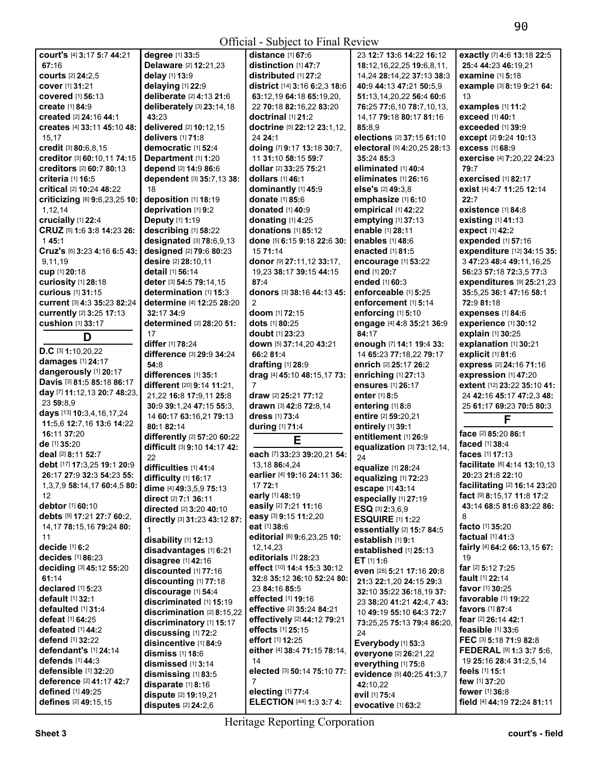| COUIT'S [4] 3:17 5:7 44:21                | degree [1] 33:5                             | distance $[1]$ 67:6                           | 23 12:7 13:6 14:22 16:12            | exactly [7] 4:6 13:18 22:5                                     |
|-------------------------------------------|---------------------------------------------|-----------------------------------------------|-------------------------------------|----------------------------------------------------------------|
| 67:16                                     | Delaware [2] 12:21,23                       | distinction [1] 47:7                          | 18:12,16,22,25 19:6,8,11,           | 25:4 44:23 46:19.21                                            |
| courts [2] 24:2,5                         | delay [1] 13:9                              | distributed [1] 27:2                          | 14,24 28:14,22 37:13 38:3           | examine [1] 5:18                                               |
| cover [1] 31:21                           | delaying [1] 22:9                           | district [14] 3:16 6:2,3 18:6                 | 40:9 44:13 47:21 50:5,9             | example [3] 8:19 9:21 64:                                      |
| <b>covered</b> [1] 56:13                  | deliberate [2] 4:13 21:6                    | 63:12,19 64:18 65:19,20,                      | 51:13,14,20,22 56:4 60:6            | 13                                                             |
| create [1] 84:9                           | deliberately [3] 23:14,18                   | 22 70:18 82:16,22 83:20                       | 76:25 77:6,10 78:7,10,13,           | examples [1] 11:2                                              |
| created [2] 24:16 44:1                    | 43:23                                       | doctrinal [1] 21:2                            | 14,17 79:18 80:17 81:16             | exceed [1] 40:1                                                |
| creates [4] 33:11 45:10 48:               | delivered [2] 10:12,15                      | doctrine [5] 22:12 23:1,12,                   | 85:8.9                              | exceeded [1] 39:9                                              |
| 15,17                                     | delivers [1] 71:8                           | 24 24:1                                       | elections [2] 37:15 61:10           | except [2] 9:24 10:13                                          |
| credit [3] 80:6,8,15                      | democratic [1] 52:4                         | doing [7] 9:17 13:18 30:7,                    | electoral [5] 4:20,25 28:13         | excess [1] 68:9                                                |
|                                           |                                             | 11 31:10 58:15 59:7                           | 35:24 85:3                          |                                                                |
| creditor [3] 60:10,11 74:15               | Department [1] 1:20                         |                                               |                                     | exercise [4] 7:20,22 24:23                                     |
| creditors [2] 60:7 80:13                  | depend [2] 14:9 86:6                        | dollar [2] 33:25 75:21                        | eliminated [1] 40:4                 | 79:7                                                           |
| criteria [1] 16:5                         | dependent [3] 35:7,13 38:                   | dollars [1] 46:1                              | eliminates [1] 26:16                | exercised [1] 82:17                                            |
| critical [2] 10:24 48:22                  | 18                                          | dominantly [1] 45:9                           | else's [2] 49:3,8                   | exist [4] 4:7 11:25 12:14                                      |
| criticizing [6] 9:6,23,25 10:             | deposition [1] 18:19                        | donate [1] 85:6                               | emphasize [1] 6:10                  | 22:7                                                           |
| 1,12,14                                   | deprivation [1] 9:2                         | donated [1] 40:9                              | empirical [1] 42:22                 | existence [1] 84:8                                             |
| crucially [1] 22:4                        | Deputy [1] 1:19                             | donating [1] 4:25                             | emptying [1] 37:13                  | existing [1] 41:13                                             |
| CRUZ [5] 1:6 3:8 14:23 26:                | describing [1] 58:22                        | donations [1] 85:12                           | enable [1] 28:11                    | expect [1] 42:2                                                |
| 145:1                                     | designated [3] 78:6,9,13                    | done [5] 6:15 9:18 22:6 30:                   | enables [1] 48:6                    | expended [1] 57:16                                             |
| Cruz's [6] 3:23 4:16 6:5 43:              | designed [2] 79:6 80:23                     | 15 71:14                                      | enacted [1] 81:5                    | expenditure [12] 34:15 35:                                     |
| 9,11,19                                   | desire [2] 28:10,11                         | donor [9] 27:11,12 33:17,                     | encourage [1] 53:22                 | 3 47:23 48:4 49:11,16,25                                       |
|                                           | detail [1] 56:14                            |                                               | end [1] 20:7                        |                                                                |
| cup [1] 20:18                             |                                             | 19,23 38:17 39:15 44:15                       |                                     | 56:23 57:18 72:3,5 77:3                                        |
| curiosity [1] 28:18                       | deter [3] 54:5 79:14,15                     | 87:4                                          | ended [1] 60:3                      | expenditures [9] 25:21,23                                      |
| <b>curious</b> [1] 31:15                  | determination [1] 15:3                      | donors [3] 38:16 44:13 45:                    | enforceable [1] 5:25                | 35:5,25 36:1 47:16 58:1                                        |
| current [3] 4:3 35:23 82:24               | determine [4] 12:25 28:20                   | 2                                             | enforcement [1] 5:14                | 72:9 81:18                                                     |
| currently [2] 3:25 17:13                  | 32:17 34:9                                  | doom [1] 72:15                                | enforcing [1] 5:10                  | expenses [1] 84:6                                              |
| cushion [1] 33:17                         | determined [2] 28:20 51:                    | dots [1] 80:25                                | engage [4] 4:8 35:21 36:9           | experience [1] 30:12                                           |
| D                                         | 17                                          | doubt [1] 23:23                               | 84:17                               | explain [1] 30:25                                              |
|                                           | differ [1] 78:24                            | down [5] 37:14,20 43:21                       | enough [7] 14:1 19:4 33:            | explanation [1] 30:21                                          |
| D.C [3] 1:10,20,22                        | difference [3] 29:9 34:24                   | 66:2 81:4                                     | 14 65:23 77:18,22 79:17             | explicit [1] 81:6                                              |
| damages [1] 24:17                         | 54:8                                        | drafting [1] 28:9                             | enrich [2] 25:17 26:2               | express [2] 24:16 71:16                                        |
| dangerously [1] 20:17                     | differences [1] 35:1                        | drag [4] 45:10 48:15,17 73:                   | enriching [1] 27:13                 | expression [1] 47:20                                           |
| Davis [3] 81:5 85:18 86:17                |                                             |                                               |                                     |                                                                |
| day [7] 11:12,13 20:7 48:23,              | different [20] 9:14 11:21,                  | $\overline{7}$                                | ensures [1] 26:17                   | extent [12] 23:22 35:10 41:                                    |
|                                           | 21,22 16:8 17:9,11 25:8                     |                                               |                                     |                                                                |
|                                           |                                             | draw [2] 25:21 77:12                          | enter [1] 8:5                       | 24 42:16 45:17 47:2,3 48:                                      |
| 23 59:8.9                                 | 30:9 39:1,24 47:15 55:3,                    | drawn [3] 42:8 72:8,14                        | entering [1] 8:8                    | 25 61:17 69:23 70:5 80:3                                       |
| days [13] 10:3,4,16,17,24                 | 14 60:17 63:16,21 79:13                     | dress [1] 73:4                                | entire [2] 59:20.21                 |                                                                |
| 11:5,6 12:7,16 13:6 14:22                 | 80:182:14                                   | during [1] 71:4                               | entirely [1] 39:1                   | F                                                              |
| 16:11 37:20                               | differently [2] 57:20 60:22                 |                                               | entitlement [1] 26:9                | face [2] 85:20 86:1                                            |
| de [1] 35:20                              | difficult [3] 9:10 14:17 42:                | Е                                             | equalization [3] 73:12,14,          | faced [1] 38:4                                                 |
| deal [2] 8:11 52:7                        | 22                                          | each [7] 33:23 39:20,21 54:                   | 24                                  | faces [1] 17:13                                                |
| debt [17] 17:3,25 19:1 20:9               |                                             | 13,18 86:4,24                                 |                                     | facilitate [6] 4:14 13:10,13                                   |
| 26:17 27:9 32:3 54:23 55:                 | difficulties [1] 41:4                       | earlier [4] 19:16 24:11 36:                   | equalize [1] 28:24                  | 20:23 21:8 22:10                                               |
| 1,3,7,9 58:14,17 60:4,5 80:               | difficulty [1] 16:17                        | 17 72:1                                       | equalizing [1] 72:23                |                                                                |
| 12                                        | dime [4] 49:3,5,9 75:13                     | early [1] 48:19                               | escape [1] 43:14                    |                                                                |
| <b>debtor</b> [1] <b>60:1</b> 0           | direct [2] 7:1 36:11                        |                                               | especially [1] 27:19                | fact [9] 8:15,17 11:8 17:2                                     |
|                                           | directed [2] 3:20 40:10                     | easily [2] 7:21 11:16                         | ESQ [3] 2:3,6,9                     | facilitating [2] 16:14 23:20<br>43:14 68:5 81:6 83:22 86:<br>8 |
| debts [9] 17:21 27:7 60:2,                | directly [3] 31:23 43:12 87:                | easy [3] 9:15 11:2,20                         | <b>ESQUIRE [1] 1:22</b>             |                                                                |
| 14, 17 78: 15, 16 79: 24 80:              | 1                                           | eat [1] 38:6                                  | essentially [2] 15:7 84:5           | facto [1] 35:20                                                |
| 11                                        | disability [1] 12:13                        | editorial [6] 9:6,23,25 10:                   | establish [1] 9:1                   | factual [1] 41:3                                               |
| decide [1] 6:2                            | disadvantages [1] 6:21                      | 12,14,23                                      | established [1] 25:13               | fairly [4] 64:2 66:13,15 67:                                   |
| decides [1] 86:23                         | disagree [1] 42:16                          | editorials [1] 28:23                          | $ET$ [1] 1:6                        | 19                                                             |
| deciding [3] 45:12 55:20                  | discounted [1] 77:16                        | effect [10] 14:4 15:3 30:12                   | even [28] 5:21 17:16 20:8           | far [2] 5:12 7:25                                              |
| 61:14                                     | discounting [1] 77:18                       | 32:8 35:12 36:10 52:24 80:                    | 21:3 22:1,20 24:15 29:3             | <b>fault</b> [1] <b>22:14</b>                                  |
| declared [1] 5:23                         | discourage [1] 54:4                         | 23 84:16 85:5                                 | 32:10 35:22 36:18,19 37:            | <b>favor</b> [1] <b>30:</b> 25                                 |
| default [1] 32:1                          | discriminated [1] 15:19                     | effected [1] 19:16                            | 23 38:20 41:21 42:4,7 43:           | favorable [1] 19:22                                            |
| defaulted [1] 31:4                        | discrimination [2] 8:15,22                  | effective [2] 35:24 84:21                     | 10 49:19 55:10 64:3 72:7            | favors [1] 87:4                                                |
| defeat [1] 64:25                          |                                             | effectively [2] 44:12 79:21                   |                                     | fear [2] 26:14 42:1                                            |
| defeated [1] 44:2                         | discriminatory [1] 15:17                    | effects [1] 25:15                             | 73:25,25 75:13 79:4 86:20,          | feasible $[1]$ 33:6                                            |
| defend [1] 32:22                          | discussing [1] 72:2                         | effort [1] 12:25                              | 24                                  | FEC [3] 5:18 71:9 82:8                                         |
| defendant's [1] 24:14                     | disincentive [1] 84:9                       | either [4] 38:4 71:15 78:14,                  | Everybody [1] 53:3                  |                                                                |
| defends [1] 44:3                          | dismiss [1] 18:6                            | 14                                            | everyone [2] 26:21,22               | FEDERAL [9] 1:3 3:7 5:6,<br>19 25:16 28:4 31:2,5,14            |
|                                           | dismissed [1] 3:14                          |                                               | everything [1] 75:8                 |                                                                |
| defensible [1] 32:20                      | dismissing [1] 83:5                         | elected [3] 50:14 75:10 77:                   | evidence [5] 40:25 41:3,7           | feels [1] 15:1                                                 |
| deference [2] 41:17 42:7                  | disparate [1] 8:16                          | $\overline{7}$                                | 42:10,22                            | few [1] 37:20                                                  |
| defined [1] 49:25<br>defines [2] 49:15,15 | dispute [2] 19:19,21<br>disputes [2] 24:2,6 | electing [1] 77:4<br>ELECTION [44] 1:3 3:7 4: | evil [1] 75:4<br>evocative [1] 63:2 | fewer [1] 36:8<br>field [4] 44:19 72:24 81:11                  |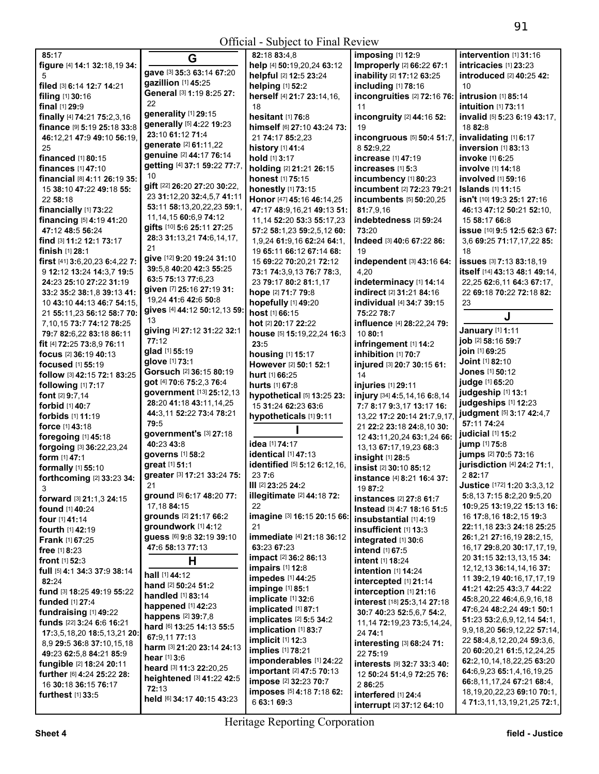|                                     |                              | $\sigma$ menar babject to Final Review |                                   |                                  |
|-------------------------------------|------------------------------|----------------------------------------|-----------------------------------|----------------------------------|
| 85:17                               | G                            | 82:18 83:4,8                           | imposing [1] 12:9                 | intervention [1] 31:16           |
| figure [4] 14:1 32:18,19 34:        |                              | help [4] 50:19,20,24 63:12             | Improperly [2] 66:22 67:1         | intricacies [1] 23:23            |
| 5                                   | gave [3] 35:3 63:14 67:20    | helpful [2] 12:5 23:24                 | inability [2] 17:12 63:25         | introduced [2] 40:25 42:         |
| filed [3] 6:14 12:7 14:21           | gazillion [1] 45:25          | helping [1] 52:2                       | including [1] 78:16               | 10                               |
|                                     | General [3] 1:19 8:25 27:    |                                        |                                   |                                  |
| filing [1] 30:16                    | 22                           | herself [4] 21:7 23:14,16,             | incongruities [2] 72:16 76:       | intrusion [1] 85:14              |
| final [1] 29:9                      |                              | 18                                     | 11                                | intuition [1] 73:11              |
| finally [4] 74:21 75:2,3,16         | generality [1] 29:15         | hesitant [1] 76:8                      | incongruity [2] 44:16 52:         | invalid [5] 5:23 6:19 43:17,     |
| finance [9] 5:19 25:18 33:8         | generally [5] 4:22 19:23     | himself [6] 27:10 43:24 73:            | 19                                | 18 82:8                          |
| 46:12,21 47:9 49:10 56:19,          | 23:10 61:12 71:4             | 21 74:17 85:2,23                       | incongruous [5] 50:4 51:7,        | invalidating [1] 6:17            |
| 25                                  | generate [2] 61:11,22        | history [1] 41:4                       | 8 52:9,22                         | inversion [1] 83:13              |
|                                     | genuine [2] 44:17 76:14      |                                        |                                   |                                  |
| financed [1] 80:15                  | getting [4] 37:1 59:22 77:7, | hold [1] 3:17                          | increase [1] 47:19                | invoke [1] 6:25                  |
| finances [1] 47:10                  |                              | holding [2] 21:21 26:15                | increases $[1]$ 5:3               | involve [1] 14:18                |
| financial [8] 4:11 26:19 35:        | 10                           | honest [1] 75:15                       | incumbency [1] 80:23              | involved [1] 59:16               |
| 15 38:10 47:22 49:18 55:            | gift [22] 26:20 27:20 30:22, | honestly [1] 73:15                     | incumbent [2] 72:23 79:21         | <b>Islands</b> [1] 11:15         |
| 22 58:18                            | 23 31:12,20 32:4,5,7 41:11   | Honor [47] 45:16 46:14,25              | incumbents [5] 50:20,25           | isn't [10] 19:3 25:1 27:16       |
| financially [1] 73:22               | 53:11 58:13,20,22,23 59:1,   |                                        |                                   |                                  |
|                                     | 11, 14, 15 60: 6, 9 74: 12   | 47:17 48:9,16,21 49:13 51:             | 81:7,9,16                         | 46:13 47:12 50:21 52:10,         |
| financing [5] 4:19 41:20            |                              | 11, 14 52: 20 53: 3 55: 17, 23         | indebtedness [2] 59:24            | 15 58:17 66:8                    |
| 47:12 48:5 56:24                    | gifts [10] 5:6 25:11 27:25   | 57:2 58:1,23 59:2,5,12 60:             | 73:20                             | issue [10] 9:5 12:5 62:3 67:     |
| find [3] 11:2 12:1 73:17            | 28:3 31:13,21 74:6,14,17,    | 1,9,24 61:9,16 62:24 64:1,             | Indeed [3] 40:6 67:22 86:         | 3,6 69:25 71:17,17,22 85:        |
| finish [1] 28:1                     | 21                           | 19 65:11 66:12 67:14 68:               | 19                                | 18                               |
| first $[41]$ 3:6, 20, 23 6:4, 22 7: | give [12] 9:20 19:24 31:10   | 15 69:22 70:20,21 72:12                | independent [3] 43:16 64:         | issues [3] 7:13 83:18,19         |
|                                     | 39:5,8 40:20 42:3 55:25      |                                        |                                   |                                  |
| 9 12:12 13:24 14:3,7 19:5           | 63:5 75:13 77:6.23           | 73:1 74:3,9,13 76:7 78:3,              | 4,20                              | itself [14] 43:13 48:1 49:14,    |
| 24:23 25:10 27:22 31:19             |                              | 23 79:17 80:2 81:1,17                  | indeterminacy [1] 14:14           | 22,25 62:6,11 64:3 67:17,        |
| 33:2 35:2 38:1,8 39:13 41:          | given [7] 25:16 27:19 31:    | hope [2] 71:7 79:8                     | indirect [2] 31:21 84:16          | 22 69:18 70:22 72:18 82:         |
| 10 43:10 44:13 46:7 54:15.          | 19,24 41:6 42:6 50:8         | hopefully [1] 49:20                    | individual [4] 34:7 39:15         | 23                               |
| 21 55:11,23 56:12 58:7 70:          | gives [4] 44:12 50:12,13 59: | host [1] 66:15                         | 75:22 78:7                        |                                  |
| 7,10,15 73:7 74:12 78:25            | 13                           | hot [2] 20:17 22:22                    | influence [4] 28:22,24 79:        | J                                |
|                                     | giving [4] 27:12 31:22 32:1  |                                        |                                   | January [1] 1:11                 |
| 79:7 82:6,22 83:18 86:11            | 77:12                        | house [5] 15:19,22,24 16:3             | 1080:1                            | job [2] 58:16 59:7               |
| fit [4] 72:25 73:8,9 76:11          |                              | 23:5                                   | infringement [1] 14:2             |                                  |
| focus [2] 36:19 40:13               | glad [1] 55:19               | housing [1] 15:17                      | inhibition [1] 70:7               | join [1] 69:25                   |
| focused [1] 55:19                   | glove [1] 73:1               | However [2] 50:1 52:1                  | injured [3] 20:7 30:15 61:        | Joint [1] 82:10                  |
| follow [3] 42:15 72:1 83:25         | Gorsuch [2] 36:15 80:19      | hurt [1] 66:25                         | 14                                | Jones [1] 50:12                  |
| following [1] 7:17                  | got [4] 70:6 75:2,3 76:4     | hurts [1] 67:8                         | injuries [1] 29:11                | judge [1] 65:20                  |
|                                     | government [13] 25:12,13     |                                        |                                   | judgeship [1] 13:1               |
| font [2] 9:7,14                     | 28:20 41:18 43:11,14,25      | hypothetical [5] 13:25 23:             | injury [34] 4:5,14,16 6:8,14      | judgeships [1] 12:23             |
| forbid [1] 40:7                     |                              | 15 31:24 62:23 63:6                    | 7:7 8:17 9:3,17 13:17 16:         |                                  |
| forbids [1] 11:19                   | 44:3,11 52:22 73:4 78:21     | hypotheticals [1] 9:11                 | 13,22 17:2 20:14 21:7,9,17,       | judgment [5] 3:17 42:4,7         |
| force [1] 43:18                     | 79:5                         |                                        | 21 22:2 23:18 24:8,10 30:         | 57:11 74:24                      |
| foregoing [1] 45:18                 | government's [3] 27:18       |                                        | 12 43:11,20,24 63:1,24 66:        | judicial [1] 15:2                |
| forgoing [3] 36:22,23,24            | 40:23 43:8                   | idea [1] 74:17                         | 13,13 67:17,19,23 68:3            | jump [1] 75:8                    |
|                                     | governs [1] 58:2             | identical [1] 47:13                    |                                   | jumps [2] 70:5 73:16             |
| form [1] 47:1                       | great [1] 51:1               | identified [5] 5:12 6:12,16,           | insight [1] 28:5                  | jurisdiction [4] 24:2 71:1,      |
| formally [1] 55:10                  |                              |                                        | insist [2] 30:10 85:12            |                                  |
| forthcoming [2] 33:23 34:           | greater [3] 17:21 33:24 75:  | 23 7:6                                 | instance [4] 8:21 16:4 37:        | 282:17                           |
| 3                                   | 21                           | III [2] $23:25$ 24:2                   | 19 87:2                           | Justice [172] 1:20 3:3,3,12      |
| forward [3] 21:1,3 24:15            | ground [5] 6:17 48:20 77:    | <b>illegitimate</b> [2] 44:18 72:      | instances [2] 27:8 61:7           | 5:8,13 7:15 8:2,20 9:5,20        |
| <b>found</b> [1] <b>40:24</b>       | 17,18 84:15                  | 22                                     | Instead [3] 4:7 18:16 51:5        | 10:9,25 13:19,22 15:13 16:       |
|                                     | grounds [2] 21:17 66:2       | imagine [3] 16:15 20:15 66:            |                                   | 16 17:8,16 18:2,15 19:3          |
| four [1] 41:14                      | groundwork [1] 4:12          | 21                                     | insubstantial [1] 4:19            | 22:11.18 23:3 24:18 25:25        |
| fourth [1] 42:19                    |                              |                                        | insufficient [1] 13:3             |                                  |
| <b>Frank [1] 67:25</b>              | guess [6] 9:8 32:19 39:10    | immediate [4] 21:18 36:12              | integrated [1] 30:6               | 26:1,21 27:16,19 28:2,15,        |
| <b>free</b> $[1]$ 8:23              | 47:6 58:13 77:13             | 63:23 67:23                            | intend [1] 67:5                   | 16,17 29:8,20 30:17,17,19,       |
| <b>front</b> $[1]$ 52:3             | H                            | <b>impact</b> [2] <b>36:2 86:13</b>    | intent [1] 18:24                  | 20 31:15 32:13,13,15 34:         |
|                                     |                              | impairs [1] 12:8                       | <b>intention</b> [1] <b>14:24</b> | 12, 12, 13 36: 14, 14, 16 37:    |
| full [5] 4:1 34:3 37:9 38:14        | hall [1] 44:12               | impedes [1] 44:25                      |                                   | 11 39:2,19 40:16,17,17,19        |
| 82:24                               | hand [2] 50:24 51:2          | impinge [1] 85:1                       | intercepted [1] 21:14             | 41:21 42:25 43:3,7 44:22         |
| fund [3] 18:25 49:19 55:22          | handled [1] 83:14            |                                        | interception [1] 21:16            |                                  |
| <b>funded</b> [1] 27:4              | happened [1] 42:23           | implicate [1] 32:6                     | interest [18] 25:3,14 27:18       | 45:8,20,22 46:4,6,9,16,18        |
| fundraising [1] 49:22               |                              | implicated [1] 87:1                    | 30:7 40:23 52:5,6,7 54:2,         | 47:6,24 48:2,24 49:1 50:1        |
| funds [22] 3:24 6:6 16:21           | happens [2] 39:7,8           | implicates [2] 5:5 34:2                | 11, 14 72: 19, 23 73: 5, 14, 24,  | 51:23 53:2,6,9,12,14 54:1,       |
| 17:3,5,18,20 18:5,13,21 20:         | hard [6] 13:25 14:13 55:5    | implication [1] 83:7                   | 24 74:1                           | 9,9,18,20 56:9,12,22 57:14,      |
|                                     | 67:9,11 77:13                | implicit $[1]$ 12:3                    |                                   | 22 58:4,8,12,20,24 59:3,6,       |
| 8,9 29:5 36:8 37:10,15,18           | harm [3] 21:20 23:14 24:13   | implies [1] 78:21                      | interesting [3] 68:24 71:         | 20 60:20,21 61:5,12,24,25        |
| 49:23 62:5,8 84:21 85:9             | <b>hear</b> $[1]$ 3:6        |                                        | 22 75:19                          |                                  |
| fungible [2] 18:24 20:11            | heard [3] 11:3 22:20,25      | imponderables [1] 24:22                | interests [9] 32:7 33:3 40:       | 62:2,10,14,18,22,25 63:20        |
| further [6] 4:24 25:22 28:          | heightened [3] 41:22 42:5    | important [2] 47:5 70:13               | 12 50:24 51:4,9 72:25 76:         | 64:6,9,23 65:1,4,16,19,25        |
| 16 30:18 36:15 76:17                |                              | impose [2] 32:23 70:7                  | 2 86:25                           | 66:8,11,17,24 67:21 68:4,        |
| furthest [1] 33:5                   | 72:13                        | imposes [5] 4:18 7:18 62:              | interfered [1] 24:4               | 18, 19, 20, 22, 23 69: 10 70: 1, |
|                                     | held [6] 34:17 40:15 43:23   | 6 63:1 69:3                            | interrupt [2] 37:12 64:10         | 4 71:3,11,13,19,21,25 72:1,      |
|                                     |                              |                                        |                                   |                                  |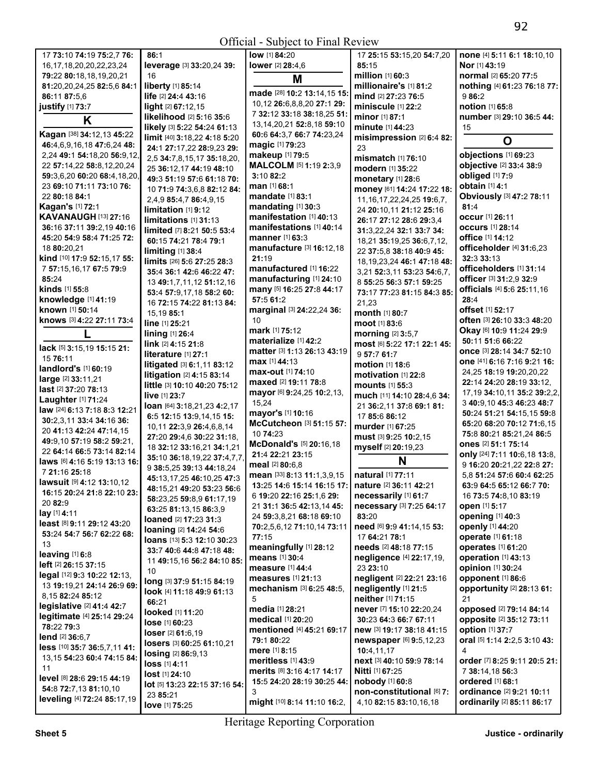| 17 73:10 74:19 75:2,7 76:        | 86:1                                 | low [1] 84:20                   | 17 25:15 53:15,20 54:7,20        | none [4] 5:11 6:1 18:10.10                                         |
|----------------------------------|--------------------------------------|---------------------------------|----------------------------------|--------------------------------------------------------------------|
|                                  |                                      |                                 |                                  |                                                                    |
| 16, 17, 18, 20, 20, 22, 23, 24   | leverage [3] 33:20,24 39:            | lower [2] 28:4,6                | 85:15                            | <b>Nor</b> [1] 43:19                                               |
| 79:22 80:18,18,19,20,21          | 16                                   | M                               | million [1] 60:3                 | normal [2] 65:20 77:5                                              |
| 81:20,20,24,25 82:5,6 84:1       | liberty [1] 85:14                    |                                 | millionaire's [1] 81:2           | nothing [4] 61:23 76:18 77:                                        |
| 86:11 87:5.6                     | life [2] 24:4 43:16                  | made [28] 10:2 13:14,15 15:     | mind [2] 27:23 76:5              | 986:2                                                              |
| justify [1] 73:7                 | light [2] 67:12,15                   | 10,12 26:6,8,8,20 27:1 29:      | miniscule [1] 22:2               | notion [1] 65:8                                                    |
| K                                | likelihood [2] 5:16 35:6             | 7 32:12 33:18 38:18.25 51:      | minor [1] 87:1                   | number [3] 29:10 36:5 44:                                          |
|                                  | likely [3] 5:22 54:24 61:13          | 13, 14, 20, 21 52: 8, 18 59: 10 | minute [1] 44:23                 | 15                                                                 |
| Kagan [38] 34:12,13 45:22        | limit [40] 3:18,22 4:18 5:20         | 60:6 64:3,7 66:7 74:23,24       | misimpression [2] 6:4 82:        | O                                                                  |
| 46:4,6,9,16,18 47:6,24 48:       | 24:1 27:17,22 28:9,23 29:            | magic [1] 79:23                 | 23                               |                                                                    |
| 2,24 49:1 54:18,20 56:9,12,      | 2,5 34:7,8,15,17 35:18,20,           | makeup [1] 79:5                 | <b>mismatch</b> [1] <b>76:10</b> | objections [1] 69:23                                               |
| 22 57:14,22 58:8,12,20,24        | 25 36:12,17 44:19 48:10              | MALCOLM [5] 1:19 2:3,9          | modern [1] 35:22                 | objective [2] 33:4 38:9                                            |
| 59:3,6,20 60:20 68:4,18,20,      | 49:3 51:19 57:6 61:18 70:            | 3:10 82:2                       | monetary [1] 28:6                | obliged [1] 7:9                                                    |
| 23 69:10 71:11 73:10 76:         | 10 71:9 74:3,6,8 82:12 84:           | man [1] 68:1                    | money [61] 14:24 17:22 18:       | obtain [1] 4:1                                                     |
| 22 80:18 84:1                    |                                      | mandate [1] 83:1                |                                  | Obviously [3] 47:2 78:11                                           |
| <b>Kagan's [1] 72:1</b>          | 2,4,9 85:4,7 86:4,9,15               | mandating [1] 30:3              | 11, 16, 17, 22, 24, 25 19: 6, 7, | 81:4                                                               |
| <b>KAVANAUGH [13] 27:16</b>      | limitation [1] 9:12                  | manifestation [1] 40:13         | 24 20:10,11 21:12 25:16          | <b>occur</b> [1] 26:11                                             |
| 36:16 37:11 39:2,19 40:16        | limitations [1] 31:13                | manifestations [1] 40:14        | 26:17 27:12 28:6 29:3,4          | <b>occurs</b> [1] 28:14                                            |
|                                  | limited [7] 8:21 50:5 53:4           | manner [1] 63:3                 | 31:3,22,24 32:1 33:7 34:         | office [1] 14:12                                                   |
| 45:20 54:9 58:4 71:25 72:        | 60:15 74:21 78:4 79:1                |                                 | 18,21 35:19,25 36:6,7,12,        |                                                                    |
| 18 80:20,21                      | limiting [1] 38:4                    | manufacture [3] 16:12,18        | 22 37:5,8 38:18 40:9 45:         | officeholder [4] 31:6,23                                           |
| kind [10] 17:9 52:15,17 55:      | limits [26] 5:6 27:25 28:3           | 21:19                           | 18, 19, 23, 24 46: 1 47: 18 48:  | 32:3 33:13                                                         |
| 7 57:15,16,17 67:5 79:9          | 35:4 36:1 42:6 46:22 47:             | manufactured [1] 16:22          | 3,21 52:3,11 53:23 54:6,7,       | officeholders [1] 31:14                                            |
| 85:24                            | 13 49:1,7,11,12 51:12,16             | manufacturing [1] 24:10         | 8 55:25 56:3 57:1 59:25          | officer [3] 31:2,9 32:9                                            |
| kinds [1] 55:8                   | 53:4 57:9,17,18 58:2 60:             | many [5] 16:25 27:8 44:17       | 73:17 77:23 81:15 84:3 85:       | officials [4] 5:6 25:11,16                                         |
| knowledge [1] 41:19              | 16 72:15 74:22 81:13 84:             | 57:5 61:2                       | 21,23                            | 28:4                                                               |
| known [1] 50:14                  | 15,19 85:1                           | marginal [3] 24:22,24 36:       | month [1] 80:7                   | offset [1] 52:17                                                   |
| knows [3] 4:22 27:11 73:4        | line [1] 25:21                       | 10                              | moot [1] 83:6                    | often [3] 26:10 33:3 48:20                                         |
|                                  | lining [1] 26:4                      | mark [1] 75:12                  | morning [2] 3:5,7                | Okay [6] 10:9 11:24 29:9                                           |
|                                  | link [2] 4:15 21:8                   | materialize [1] 42:2            | most [6] 5:22 17:1 22:1 45:      | 50:11 51:6 66:22                                                   |
| lack [5] 3:15,19 15:15 21:       |                                      | matter [3] 1:13 26:13 43:19     |                                  | once [3] 28:14 34:7 52:10                                          |
| 15 76:11                         | literature [1] 27:1                  | max [1] 44:13                   | 957:761:7                        | one [41] 6:16 7:16 9:21 16:                                        |
| landlord's [1] 60:19             | litigated [3] 6:1,11 83:12           | max-out [1] 74:10               | motion [1] 18:6                  | 24,25 18:19 19:20,20,22                                            |
| large [2] 33:11,21               | litigation [2] 4:15 83:14            | maxed [2] 19:11 78:8            | motivation [1] 22:8              | 22:14 24:20 28:19 33:12,                                           |
| last [2] 37:20 78:13             | little [3] 10:10 40:20 75:12         |                                 | mounts [1] 55:3                  | 17, 19 34: 10, 11 35: 2 39: 2, 2,                                  |
| Laughter [1] 71:24               | live [1] 23:7                        | mayor [6] 9:24,25 10:2,13,      | much [11] 14:10 28:4,6 34:       |                                                                    |
| law [24] 6:13 7:18 8:3 12:21     | loan [64] 3:18,21,23 4:2,17          | 15,24                           | 21 36:2,11 37:8 69:1 81:         | 3 40:9,10 45:3 46:23 48:7                                          |
| 30:2,3,11 33:4 34:16 36:         | 6:5 12:15 13:9,14,15 15:             | mayor's [1] 10:16               | 17 85:6 86:12                    | 50:24 51:21 54:15,15 59:8                                          |
| 20 41:13 42:24 47:14,15          | 10,11 22:3,9 26:4,6,8,14             | McCutcheon [3] 51:15 57:        | murder [1] 67:25                 | 65:20 68:20 70:12 71:6,15                                          |
| 49:9,10 57:19 58:2 59:21,        | 27:20 29:4,6 30:22 31:18,            | 10 74:23                        | must [3] 9:25 10:2,15            | 75:8 80:21 85:21,24 86:5                                           |
| 22 64:14 66:5 73:14 82:14        | 18 32:12 33:16,21 34:1,21            | McDonald's [5] 20:16,18         | myself [2] 20:19,23              | ones [2] 51:1 75:14                                                |
| laws [6] 4:16 5:19 13:13 16:     | 35:10 36:18,19,22 37:4,7,7,          | 21:4 22:21 23:15                | N                                | only [24] 7:11 10:6,18 13:8,                                       |
| 7 21:16 25:18                    | 9 38:5.25 39:13 44:18.24             | meal [2] 80:6,8                 |                                  | 9 16:20 20:21,22 22:8 27:                                          |
| <b>lawsuit</b> [9] 4:12 13:10,12 | 45:13,17,25 46:10,25 47:3            | mean [33] 8:13 11:1,3,9,15      | natural [1] 77:11                | 5,8 51:24 57:6 60:4 62:25                                          |
|                                  | 48:15,21 49:20 53:23 56:6            | 13:25 14:6 15:14 16:15 17:      | nature [2] 36:11 42:21           | 63:9 64:5 65:12 66:7 70:                                           |
| 16:15 20:24 21:8 22:10 23:       | 58:23,25 59:8,9 61:17,19             | 6 19:20 22:16 25:1,6 29:        | necessarily [1] 61:7             | 16 73:5 74:8,10 83:19                                              |
| 20 82:9                          | 63:25 81:13,15 86:3,9                | 21 31:1 36:5 42:13,14 45:       | necessary [3] 7:25 64:17         | open [1] 5:17                                                      |
| lay [1] 4:11                     | loaned [2] 17:23 31:3                | 24 59:3,8,21 68:18 69:10        | 83:20                            | opening [1] 40:3                                                   |
| least [8] 9:11 29:12 43:20       | <b>loaning</b> [2] <b>14:24 54:6</b> | 70:2,5,6,12 71:10,14 73:11      | need [6] 9:9 41:14,15 53:        | <b>openly</b> [1] 44:20                                            |
| 53:24 54:7 56:7 62:22 68:        | loans [13] 5:3 12:10 30:23           | 77:15                           | 17 64:21 78:1                    | operate [1] 61:18                                                  |
| 13                               | 33:7 40:6 44:8 47:18 48:             | meaningfully [1] 28:12          | <b>needs</b> [2] 48:18 77:15     | <b>operates</b> [1] 61:20                                          |
| leaving $[1]$ 6:8                | 11 49:15,16 56:2 84:10 85:           | means [1] 30:4                  | negligence [4] 22:17,19,         | operation [1] 43:13                                                |
| <b>left</b> [2] 26:15 37:15      | 10                                   | measure [1] 44:4                | 23 23:10                         | opinion [1] 30:24                                                  |
| legal [12] 9:3 10:22 12:13,      | long [3] 37:9 51:15 84:19            | measures [1] 21:13              | negligent [2] 22:21 23:16        | opponent [1] 86:6                                                  |
| 13 19:19,21 24:14 26:9 69:       | look [4] 11:18 49:9 61:13            | mechanism [3] 6:25 48:5,        | negligently [1] 21:5             | opportunity [2] 28:13 61:                                          |
| 8,15 82:24 85:12                 |                                      | 5                               | neither [1] 71:15                | 21                                                                 |
| legislative $[2]$ 41:4 42:7      | 66:21                                | media [1] 28:21                 | never [7] 15:10 22:20,24         | <b>opposed</b> [2] <b>79:14 84:14</b>                              |
| legitimate [4] 25:14 29:24       | looked [1] 11:20                     | medical [1] 20:20               | 30:23 64:3 66:7 67:11            | opposite [2] 35:12 73:11                                           |
| 78:22 79:3                       | lose [1] 60:23                       | mentioned [4] 45:21 69:17       | new [3] 19:17 38:18 41:15        | option [1] 37:7                                                    |
| <b>lend</b> [2] 36:6,7           | <b>loser</b> [2] 61:6,19             | 79:1 80:22                      | newspaper [6] 9:5,12,23          | <b>oral</b> [5] <b>1:14 2:2,5 3:10 43:</b>                         |
| less [10] 35:7 36:5,7,11 41:     | losers [3] 60:25 61:10,21            |                                 |                                  |                                                                    |
| 13,15 54:23 60:4 74:15 84:       | <b>losing</b> [2] 86:9,13            | <b>mere</b> [1] 8:15            | 10:4,11,17                       | 4                                                                  |
| 11                               | loss [1] 4:11                        | <b>meritless</b> [1] 43:9       | next [3] 40:10 59:9 78:14        | <b>order</b> [7] <b>8:</b> 25 <b>9:</b> 11 <b>20:</b> 5 <b>21:</b> |
| level [8] 28:6 29:15 44:19       | lost [1] 24:10                       | merits [8] 3:16 4:17 14:17      | <b>Nitti</b> [1] 67:25           | 7 38:14,18 56:3                                                    |
| 54:8 72:7,13 81:10,10            | lot [5] 13:23 22:15 37:16 54:        | 15:5 24:20 28:19 30:25 44:      | nobody [1] 60:8                  | ordered [1] 68:1                                                   |
| leveling [4] 72:24 85:17,19      | 23 85:21                             | 3                               | non-constitutional [6] 7:        | ordinance [2] 9:21 10:11                                           |
|                                  | love [1] 75:25                       | might [10] 8:14 11:10 16:2,     | 4,10 82:15 83:10,16,18           | ordinarily [2] 85:11 86:17                                         |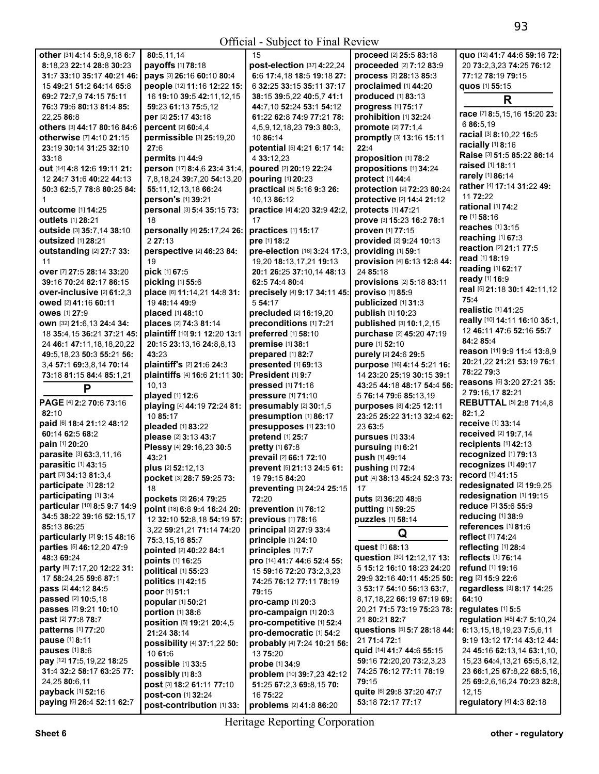| other [31] 4:14 5:8,9,18 6:7                           | 80:5,11,14                             | 15                               | proceed [2] 25:5 83:18       | quo [12] 41:7 44:6 59:16 72:          |
|--------------------------------------------------------|----------------------------------------|----------------------------------|------------------------------|---------------------------------------|
| 8:18,23 22:14 28:8 30:23                               | payoffs [1] 78:18                      | post-election [37] 4:22,24       | proceeded [2] 7:12 83:9      | 20 73:2,3,23 74:25 76:12              |
| 31:7 33:10 35:17 40:21 46:                             | pays [3] 26:16 60:10 80:4              | 6:6 17:4,18 18:5 19:18 27:       | process [2] 28:13 85:3       | 77:12 78:19 79:15                     |
| 15 49:21 51:2 64:14 65:8                               | people [12] 11:16 12:22 15:            | 6 32:25 33:15 35:11 37:17        | proclaimed [1] 44:20         | quos [1] 55:15                        |
| 69:2 72:7,9 74:15 75:11                                | 16 19:10 39:5 42:11,12,15              | 38:15 39:5,22 40:5,7 41:1        | <b>produced</b> [1] 83:13    | R                                     |
| 76:3 79:6 80:13 81:4 85:                               | 59:23 61:13 75:5,12                    | 44:7.10 52:24 53:1 54:12         | progress [1] 75:17           |                                       |
| 22,25 86:8                                             | per [2] 25:17 43:18                    | 61:22 62:8 74:9 77:21 78:        | prohibition [1] 32:24        | race [7] 8:5,15,16 15:20 23:          |
| others [3] 44:17 80:16 84:6                            | percent [2] 60:4,4                     | 4, 5, 9, 12, 18, 23 79: 3 80: 3, | promote [2] 77:1,4           | 6 86:5,19                             |
| otherwise [7] 4:10 21:15                               | permissible [3] 25:19,20               | 10 86:14                         | promptly [3] 13:16 15:11     | racial [3] 8:10,22 16:5               |
| 23:19 30:14 31:25 32:10                                | 27:6                                   | potential [5] 4:21 6:17 14:      | 22:4                         | racially [1] 8:16                     |
| 33:18                                                  | permits [1] 44:9                       | 4 33:12,23                       | proposition [1] 78:2         | Raise [3] 51:5 85:22 86:14            |
| out [14] 4:8 12:6 19:11 21:                            | person [17] 8:4,6 23:4 31:4,           | poured [2] 20:19 22:24           | propositions [1] 34:24       | <b>raised</b> [1] 18:11               |
| 12 24:7 31:6 40:22 44:13                               | 7,8,18,24 39:7,20 54:13,20             | pouring [1] 20:23                | protect [1] 44:4             | rarely [1] 86:14                      |
| 50:3 62:5,7 78:8 80:25 84:                             | 55:11, 12, 13, 18 66: 24               | practical [5] 5:16 9:3 26:       | protection [2] 72:23 80:24   | rather [4] 17:14 31:22 49:            |
|                                                        | person's [1] 39:21                     | 10,13 86:12                      | protective [2] 14:4 21:12    | 11 72:22                              |
| outcome [1] 14:25                                      | personal [3] 5:4 35:15 73:             | practice [4] 4:20 32:9 42:2,     | protects [1] 47:21           | rational $[1]$ 74:2                   |
| outlets [1] 28:21                                      | 18                                     | 17                               | prove [3] 15:23 16:2 78:1    | re [1] 58:16                          |
|                                                        |                                        | practices [1] 15:17              | proven [1] 77:15             | reaches [1] 3:15                      |
| outside [3] 35:7,14 38:10<br><b>outsized</b> [1] 28:21 | personally [4] 25:17,24 26:<br>2 27:13 | pre [1] 18:2                     | provided [2] 9:24 10:13      | reaching [1] 67:3                     |
|                                                        |                                        |                                  |                              | reaction [2] 21:1 77:5                |
| outstanding [2] 27:7 33:                               | perspective [2] 46:23 84:              | pre-election [16] 3:24 17:3,     | providing [1] 59:1           | read [1] 18:19                        |
| 11                                                     | 19                                     | 19,20 18:13,17,21 19:13          | provision [4] 6:13 12:8 44:  | reading [1] 62:17                     |
| over [7] 27:5 28:14 33:20                              | pick [1] 67:5                          | 20:1 26:25 37:10,14 48:13        | 24 85:18                     | ready [1] 16:9                        |
| 39:16 70:24 82:17 86:15                                | picking [1] 55:6                       | 62:5 74:4 80:4                   | provisions [2] 5:18 83:11    | real [5] 21:18 30:1 42:11,12          |
| over-inclusive [2] 61:2,3                              | place [6] 11:14,21 14:8 31:            | precisely [4] 9:17 34:11 45:     | proviso [1] 85:9             | 75:4                                  |
| owed [2] 41:16 60:11                                   | 19 48:14 49:9                          | 5 54:17                          | publicized [1] 31:3          | realistic [1] 41:25                   |
| <b>owes</b> [1] 27:9                                   | placed [1] 48:10                       | precluded [2] 16:19,20           | publish [1] 10:23            | really [10] 14:11 16:10 35:1,         |
| own [32] 21:6,13 24:4 34:                              | places [2] 74:3 81:14                  | preconditions [1] 7:21           | published [3] 10:1,2,15      |                                       |
| 18 35:4,15 36:21 37:21 45:                             | plaintiff [10] 9:1 12:20 13:1          | preferred [1] 58:10              | purchase [2] 45:20 47:19     | 12 46:11 47:6 52:16 55:7<br>84:2 85:4 |
| 24 46:1 47:11,18,18,20,22                              | 20:15 23:13,16 24:8,8,13               | premise [1] 38:1                 | pure [1] 52:10               |                                       |
| 49:5,18,23 50:3 55:21 56:                              | 43:23                                  | prepared [1] 82:7                | purely [2] 24:6 29:5         | reason [11] 9:9 11:4 13:8,9           |
| 3,4 57:1 69:3,8,14 70:14                               | plaintiff's [2] 21:6 24:3              | presented [1] 69:13              | purpose [16] 4:14 5:21 16:   | 20:21,22 21:21 53:19 76:1             |
| 73:18 81:15 84:4 85:1,21                               | plaintiffs [4] 16:6 21:11 30:          | President [1] 9:7                | 14 23:20 25:19 30:15 39:1    | 78:22 79:3                            |
| P                                                      | 10,13                                  | pressed [1] 71:16                | 43:25 44:18 48:17 54:4 56:   | reasons [6] 3:20 27:21 35:            |
|                                                        | played [1] 12:6                        | pressure [1] 71:10               | 5 76:14 79:6 85:13,19        | 2 79:16,17 82:21                      |
| PAGE [4] 2:2 70:6 73:16                                | playing [4] 44:19 72:24 81:            | presumably [2] 30:1,5            | purposes [8] 4:25 12:11      | <b>REBUTTAL [5] 2:8 71:4,8</b>        |
| 82:10                                                  | 10 85:17                               | presumption [1] 86:17            | 23:25 25:22 31:13 32:4 62:   | 82:1,2                                |
| paid [6] 18:4 21:12 48:12                              | pleaded [1] 83:22                      | presupposes [1] 23:10            | 23 63:5                      | receive [1] 33:14                     |
| 60:14 62:5 68:2                                        | please [2] 3:13 43:7                   | pretend [1] 25:7                 | pursues [1] 33:4             | received [2] 19:7,14                  |
| pain [1] 20:20                                         | Plessy [4] 29:16,23 30:5               | pretty [1] 67:8                  | pursuing [1] 6:21            | recipients [1] 42:13                  |
| parasite [3] 63:3,11,16                                | 43:21                                  | prevail [2] 66:1 72:10           | push [1] 49:14               | recognized [1] 79:13                  |
| parasitic [1] 43:15                                    | plus [2] 52:12,13                      | prevent [5] 21:13 24:5 61:       | pushing [1] 72:4             | recognizes [1] 49:17                  |
| part [3] 34:13 81:3,4                                  | pocket [3] 28:7 59:25 73:              | 19 79:15 84:20                   | put [4] 38:13 45:24 52:3 73: | record [1] 41:15                      |
| <b>participate</b> [1] 28:12                           | 18                                     | preventing [3] 24:24 25:15       | 17                           | redesignated $[2]$ 19:9,25            |
| participating [1] 3:4                                  | pockets [2] 26:4 79:25                 | 72:20                            | puts [2] 36:20 48:6          | redesignation [1] 19:15               |
| particular [10] 8:5 9:7 14:9                           | point [18] 6:8 9:4 16:24 20:           | prevention [1] 76:12             | putting [1] 59:25            | reduce [2] 35:6 55:9                  |
| 34:5 38:22 39:16 52:15.17                              | 12 32:10 52:8,18 54:19 57:             | previous [1] 78:16               | puzzles [1] 58:14            | reducing [1] 38:9                     |
| 85:13 86:25                                            | 3,22 59:21,21 71:14 74:20              | principal [2] 27:9 33:4          |                              | references [1] 81:6                   |
| particularly [2] 9:15 48:16                            | 75:3,15,16 85:7                        | principle [1] 24:10              | Q                            | reflect [1] 74:24                     |
| parties [5] 46:12,20 47:9                              | pointed [2] 40:22 84:1                 | principles [1] 7:7               | quest [1] 68:13              | reflecting [1] 28:4                   |
| 48:3 69:24                                             | points [1] 16:25                       | pro [14] 41:7 44:6 52:4 55:      | question [30] 12:12,17 13:   | reflects [1] 76:14                    |
| party [8] 7:17,20 12:22 31:                            | political [1] 55:23                    | 15 59:16 72:20 73:2,3,23         | 5 15:12 16:10 18:23 24:20    | refund [1] 19:16                      |
| 17 58:24,25 59:6 87:1                                  | politics [1] 42:15                     | 74:25 76:12 77:11 78:19          | 29:9 32:16 40:11 45:25 50:   | reg [2] 15:9 22:6                     |
| <b>pass</b> [2] 44:12 84:5                             | poor [1] 51:1                          | 79:15                            | 3 53:17 54:10 56:13 63:7.    | regardless [3] 8:17 14:25             |
| passed [2] 10:5,18                                     | popular [1] 50:21                      | pro-camp [1] 20:3                | 8,17,18,22 66:19 67:19 69:   | 64:10                                 |
| <b>passes</b> [2] 9:21 10:10                           |                                        |                                  | 20,21 71:5 73:19 75:23 78:   | regulates [1] 5:5                     |
| past [2] 77:8 78:7                                     | portion [1] 38:6                       | pro-campaign [1] 20:3            | 21 80:21 82:7                | regulation [45] 4:7 5:10,24           |
| patterns [1] 77:20                                     | position [5] 19:21 20:4,5              | pro-competitive [1] 52:4         | questions [5] 5:7 28:18 44:  | 6:13,15,18,19,23 7:5,6,11             |
| pause [1] 8:11                                         | 21:24 38:14                            | pro-democratic [1] 54:2          | 21 71:4 72:1                 | 9:19 13:12 17:14 43:12 44:            |
| pauses $[1]$ 8:6                                       | possibility [4] 37:1,22 50:            | probably [4] 7:24 10:21 56:      | quid [14] 41:7 44:6 55:15    | 24 45:16 62:13,14 63:1,10,            |
| pay [12] 17:5, 19, 22 18: 25                           | 10 61:6                                | 13 75:20                         | 59:16 72:20,20 73:2,3,23     | 15,23 64:4,13,21 65:5,8,12,           |
| 31:4 32:2 58:17 63:25 77:                              | possible [1] 33:5                      | probe [1] 34:9                   | 74:25 76:12 77:11 78:19      | 23 66:1,25 67:8,22 68:5,16,           |
| 24,25 80:6,11                                          | possibly [1] 8:3                       | problem [10] 39:7,23 42:12       | 79:15                        | 25 69:2,6,16,24 70:23 82:8,           |
| <b>payback</b> [1] <b>52:16</b>                        | post [3] 18:2 61:11 77:10              | 51:25 67:2,3 69:8,15 70:         | quite [6] 29:8 37:20 47:7    | 12,15                                 |
|                                                        | post-con [1] 32:24                     | 16 75:22                         |                              |                                       |
| paying [6] 26:4 52:11 62:7                             | post-contribution [1] 33:              | problems [2] 41:8 86:20          | 53:18 72:17 77:17            | regulatory [4] 4:3 82:18              |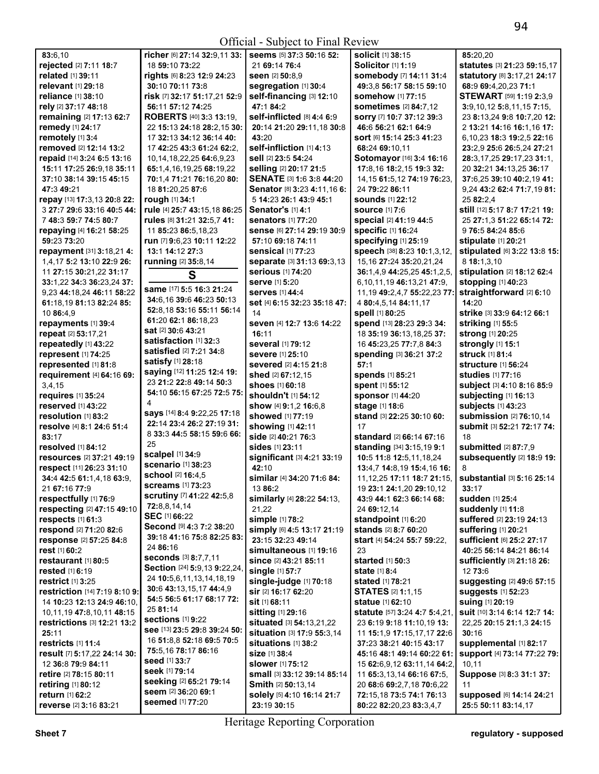Official - Subject to Final Review

| 83:6,10                                          | richer [6] 27:14 32:9,11 33:      | Seems [5] 37:3 50:16 52:                  | <b>solicit</b> [1] 38:15                                | 85:20,20                                            |
|--------------------------------------------------|-----------------------------------|-------------------------------------------|---------------------------------------------------------|-----------------------------------------------------|
| rejected [2] 7:11 18:7                           | 18 59:10 73:22                    | 21 69:14 76:4                             | Solicitor [1] 1:19                                      | statutes [3] 21:23 59:15,17                         |
| related [1] 39:11                                | rights [6] 8:23 12:9 24:23        | seen [2] 50:8,9                           | somebody [7] 14:11 31:4                                 | statutory [8] 3:17,21 24:17                         |
| relevant [1] 29:18                               | 30:10 70:11 73:8                  | segregation [1] 30:4                      | 49:3.8 56:17 58:15 59:10                                | 68:9 69:4,20,23 71:1                                |
| reliance [1] 38:10                               | risk [7] 32:17 51:17,21 52:9      | self-financing [3] 12:10                  | <b>somehow</b> [1] 77:15                                | STEWART [59] 1:19 2:3,9                             |
| rely [2] 37:17 48:18                             | 56:11 57:12 74:25                 | 47:1 84:2                                 | <b>sometimes</b> [2] 84:7,12                            | $3:9,10,12$ 5:8,11,15 7:15,                         |
| remaining [2] 17:13 62:7                         | ROBERTS [40] 3:3 13:19,           | self-inflicted [8] 4:4 6:9                | sorry [7] 10:7 37:12 39:3                               | 23 8:13,24 9:8 10:7,20 12:                          |
| remedy [1] 24:17                                 | 22 15:13 24:18 28:2,15 30:        | 20:14 21:20 29:11,18 30:8                 | 46:6 56:21 62:1 64:9                                    | 2 13:21 14:16 16:1,16 17:                           |
| remotely [1] 3:4                                 | 17 32:13 34:12 36:14 40:          | 43:20                                     | Sort [6] 15:14 25:3 41:23                               | 6,10,23 18:3 19:2,5 22:16                           |
| removed [2] 12:14 13:2                           | 17 42:25 43:3 61:24 62:2.         | self-infliction [1] 4:13                  | 68:24 69:10.11                                          | 23:2,9 25:6 26:5,24 27:21                           |
| repaid [14] 3:24 6:5 13:16                       | 10, 14, 18, 22, 25 64: 6, 9, 23   | sell [2] 23:5 54:24                       | Sotomayor [16] 3:4 16:16                                | 28:3,17,25 29:17,23 31:1,                           |
| 15:11 17:25 26:9,18 35:11                        | 65:1,4,16,19,25 68:19,22          | selling [2] 20:17 21:5                    | 17:8,16 18:2,15 19:3 32:                                | 20 32:21 34:13,25 36:17                             |
| 37:10 38:14 39:15 45:15                          | 70:1.4 71:21 76:16.20 80:         | SENATE [3] 1:6 3:8 44:20                  | 14, 15 61: 5, 12 74: 19 76: 23,                         | 37:6.25 39:10 40:2.19 41:                           |
| 47:349:21                                        | 18 81:20,25 87:6                  | Senator [8] 3:23 4:11,16 6:               | 24 79:22 86:11                                          | 9,24 43:2 62:4 71:7,19 81:                          |
| repay [13] 17:3,13 20:8 22:                      | rough [1] 34:1                    | 5 14:23 26:1 43:9 45:1                    | <b>sounds</b> [1] 22:12                                 | 25 82:2,4                                           |
| 3 27:7 29:6 33:16 40:5 44:                       | rule [4] 25:7 43:15,18 86:25      | Senator's [1] 4:1                         | <b>source</b> [1] 7:6                                   | still [12] 5:17 8:7 17:21 19:                       |
| 7 48:3 59:7 74:5 80:7                            | rules [8] 31:21 32:5,7 41:        | <b>senators</b> [1] 77:20                 | special [2] 41:19 44:5                                  | 25 27:1,3 51:22 65:14 72:                           |
| repaying [4] 16:21 58:25                         | 11 85:23 86:5,18,23               | Sense [6] 27:14 29:19 30:9                | <b>specific [1] 16:24</b>                               | 9 76:5 84:24 85:6                                   |
| 59:23 73:20                                      | run [7] 9:6,23 10:11 12:22        | 57:10 69:18 74:11                         | specifying [1] 25:19                                    | stipulate [1] 20:21                                 |
| repayment [31] 3:18,214:                         | 13:1 14:12 27:3                   | <b>sensical [1] 77:23</b>                 | speech [38] 8:23 10:1,3,12,                             | stipulated [6] 3:22 13:8 15:                        |
| 1,4,17 5:2 13:10 22:9 26:                        | running [2] 35:8,14               | separate [3] 31:13 69:3,13                | 15, 16 27: 24 35: 20, 21, 24                            | 8 18:1,3,10                                         |
|                                                  |                                   | serious [1] 74:20                         |                                                         |                                                     |
| 11 27:15 30:21,22 31:17                          | S                                 | serve [1] 5:20                            | 36:1,4,9 44:25,25 45:1,2,5,                             | stipulation [2] 18:12 62:4<br>stopping [1] 40:23    |
| 33:1,22 34:3 36:23,24 37:                        | same [17] 5:5 16:3 21:24          |                                           | 6,10,11,19 46:13,21 47:9,                               |                                                     |
| 9,23 44:18,24 46:11 58:22                        | 34:6,16 39:6 46:23 50:13          | <b>serves</b> [1] 44:4                    | 11, 19 49: 2, 4, 7 55: 22, 23 77:                       | straightforward [2] 6:10                            |
| 61:18.19 81:13 82:24 85:                         | 52:8,18 53:16 55:11 56:14         | set [4] 6:15 32:23 35:18 47:              | 4 80:4,5,14 84:11,17                                    | 14:20                                               |
| 10 86:4,9                                        | 61:20 62:1 86:18,23               | 14                                        | spell [1] 80:25                                         | strike [3] 33:9 64:12 66:1                          |
| repayments [1] 39:4                              | <b>sat</b> [2] <b>30:</b> 6 43:21 | seven [4] 12:7 13:6 14:22                 | spend [13] 28:23 29:3 34:                               | striking [1] 55:5                                   |
| repeat [2] 53:17,21                              | satisfaction [1] 32:3             | 16:11                                     | 18 35:19 36:13,18,25 37:                                | strong [1] 20:25                                    |
| repeatedly [1] 43:22                             | satisfied [2] 7:21 34:8           | several [1] 79:12                         | 16 45:23,25 77:7,8 84:3                                 | strongly [1] 15:1                                   |
| represent [1] 74:25                              | satisfy [1] 28:18                 | <b>severe</b> [1] 25:10                   | spending [3] 36:21 37:2                                 | <b>struck [1] 81:4</b>                              |
| represented [1] 81:8                             | saying [12] 11:25 12:4 19:        | <b>severed</b> [2] 4:15 21:8              | 57:1                                                    | <b>structure</b> [1] 56:24                          |
| requirement [4] 64:16 69:                        |                                   | shed [2] 67:12,15                         | spends [1] 85:21                                        | <b>studies</b> [1] 77:16                            |
| 3,4,15                                           | 23 21:2 22:8 49:14 50:3           | shoes [1] 60:18                           | spent [1] 55:12                                         | subject [3] 4:10 8:16 85:9                          |
| requires [1] 35:24                               | 54:10 56:15 67:25 72:5 75:        | shouldn't [1] 54:12                       | sponsor [1] 44:20                                       | subjecting [1] 16:13                                |
| reserved [1] 43:22                               | 4                                 | show [4] 9:1,2 16:6,8                     | stage [1] 18:6                                          | subjects [1] 43:23                                  |
| resolution [1] 83:2                              | says [14] 8:4 9:22,25 17:18       | showed [1] 77:19                          | stand [3] 22:25 30:10 60:                               | submission [2] 76:10,14                             |
| resolve [4] 8:1 24:6 51:4                        | 22:14 23:4 26:2 27:19 31:         | showing [1] 42:11                         | 17                                                      | Submit [3] 52:21 72:17 74:                          |
| 83:17                                            | 8 33:3 44:5 58:15 59:6 66:        | side [2] 40:21 76:3                       | standard [2] 66:14 67:16                                | 18                                                  |
| resolved [1] 84:12                               | 25                                | <b>sides</b> [1] 23:11                    | standing [34] 3:15,19 9:1                               | submitted [2] 87:7,9                                |
| resources [2] 37:21 49:19                        | scalpel [1] 34:9                  | significant [3] 4:21 33:19                | 10:5 11:8 12:5,11,18,24                                 | subsequently [2] 18:9 19:                           |
| respect [11] 26:23 31:10                         | <b>scenario</b> [1] 38:23         | 42:10                                     | 13:4,7 14:8,19 15:4,16 16:                              | 8                                                   |
| 34:4 42:5 61:1,4,18 63:9,                        | school [2] 16:4,5                 | similar [4] 34:20 71:6 84:                | 11, 12, 25 17: 11 18: 7 21: 15,                         | substantial [3] 5:16 25:14                          |
| 21 67:16 77:9                                    | <b>screams</b> [1] 73:23          | 13 86:2                                   | 19 23:1 24:1,20 29:10,12                                | 33:17                                               |
| respectfully [1] 76:9                            | scrutiny [7] 41:22 42:5,8         | similarly [4] 28:22 54:13,                | 43:9 44:1 62:3 66:14 68:                                | <b>sudden</b> [1] 25:4                              |
| respecting [2] 47:15 49:10                       | 72:8,8,14,14                      | 21,22                                     | 24 69:12,14                                             | suddenly [1] 11:8                                   |
| respects [1] 61:3                                | SEC [1] 66:22                     | simple [1] 78:2                           | standpoint $[1]$ 6:20                                   | suffered [2] 23:19 24:13                            |
| respond [2] 71:20 82:6                           | Second [9] 4:3 7:2 38:20          | simply [6] 4:5 13:17 21:19                | stands [2] 8:7 60:20                                    | suffering [1] 20:21                                 |
| response [2] 57:25 84:8                          | 39:18 41:16 75:8 82:25 83:        | 23:15 32:23 49:14                         | start [4] 54:24 55:7 59:22,                             | sufficient [6] 25:2 27:17                           |
| rest [1] 60:2                                    | 24 86:16                          | simultaneous [1] 19:16                    | 23                                                      | 40:25 56:14 84:21 86:14                             |
| restaurant [1] 80:5                              | seconds [3] 8:7,7,11              | <b>since</b> [2] 43:21 85:11              | started [1] 50:3                                        | <b>sufficiently [3] 21:18 26:</b>                   |
| <b>rested</b> [1] 6:19                           | Section [24] 5:9,13 9:22,24,      | single [1] 57:7                           | <b>state</b> [1] 8:4                                    | 12 73:6                                             |
| restrict [1] 3:25                                | 24 10:5,6,11,13,14,18,19          | single-judge $[1]$ 70:18                  | <b>stated</b> [1] <b>78:21</b>                          | suggesting [2] 49:6 57:15                           |
| restriction [14] 7:19 8:10 9:                    | 30:6 43:13,15,17 44:4,9           | sir [2] 16:17 62:20                       | <b>STATES [2] 1:1.15</b>                                | <b>suggests</b> [1] 52:23                           |
| 14 10:23 12:13 24:9 46:10,                       | 54:5 56:5 61:17 68:17 72:         | sit [1] 68:11                             | <b>statue</b> [1] 62:10                                 | <b>suing [1] 20:19</b>                              |
| 10,11,19 47:8,10,11 48:15                        | 25 81:14                          | <b>sitting</b> [1] 29:16                  | statute [57] 3:24 4:7 5:4,21,                           | Suit [10] 3:14 6:14 12:7 14:                        |
| restrictions [3] 12:21 13:2                      | <b>sections</b> [1] 9:22          | <b>situated</b> [3] <b>54:13,21,22</b>    | 23 6:19 9:18 11:10,19 13:                               | 22,25 20:15 21:1,3 24:15                            |
| 25:11                                            | see [13] 23:5 29:8 39:24 50:      | <b>situation [3] 17:9 55:3,14</b>         | 11 15:1,9 17:15,17,17 22:6                              | 30:16                                               |
| restricts [1] 11:4                               | 16 51:8,8 52:18 69:5 70:5         | situations [1] 38:2                       | <b>37:</b> 23 <b>38:</b> 21 <b>40:</b> 15 <b>43:</b> 17 | supplemental [1] 82:17                              |
| result [7] 5:17,22 24:14 30:                     | 75:5,16 78:17 86:16               | <b>size</b> [1] 38:4                      |                                                         | Support [4] 73:14 77:22 79:                         |
| 12 36:8 79:9 84:11                               | seed [1] 33:7                     | <b>slower</b> [1] 75:12                   |                                                         | 10,11                                               |
|                                                  | Seek [1] 79:14                    |                                           | 15 62:6,9,12 63:11,14 64:2,                             |                                                     |
| <b>retire</b> [2] <b>78:</b> 15 80:11            | seeking [2] 65:21 79:14           | <b>small</b> [3] <b>33:12 39:14 85:14</b> | 11 65:3,13,14 66:16 67:5,                               | Suppose [3] 8:3 31:1 37:                            |
| retiring [1] 80:12                               | seem [2] 36:20 69:1               | <b>Smith [2] 50:13,14</b>                 | 20 68:6 69:2,7,18 70:6,22                               | 11                                                  |
| return [1] 62:2<br><b>ravarsa</b> [2] 3.16 83.21 | seemed [1] 77:20                  | solely [5] 4:10 16:14 21:7<br>23.1030.15  | 72:15,18 73:5 74:1 76:13<br>80.2282.202383.347          | <b>supposed</b> [6] 14:14 24:21<br>25.550.1183.1417 |

Heritage Reporting Corporation

**80:**22 **82:**20,23 **83:**3,4,7

**23:**19 **30:**15

**25:**5 **50:**11 **83:**14,17

**reverse** [2] **3:**16 **83:**21